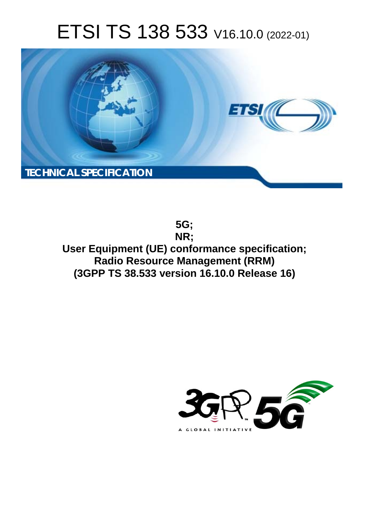# ETSI TS 138 533 V16.10.0 (2022-01)



**5G; NR; User Equipment (UE) conformance specification; Radio Resource Management (RRM) (3GPP TS 38.533 version 16.10.0 Release 16)** 

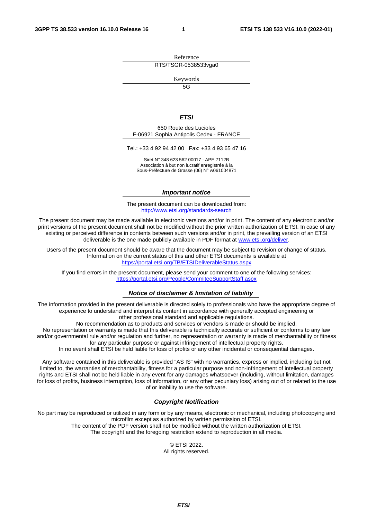Reference RTS/TSGR-0538533vga0

Keywords

 $\overline{5G}$ 

### *ETSI*

650 Route des Lucioles F-06921 Sophia Antipolis Cedex - FRANCE

Tel.: +33 4 92 94 42 00 Fax: +33 4 93 65 47 16

Siret N° 348 623 562 00017 - APE 7112B Association à but non lucratif enregistrée à la Sous-Préfecture de Grasse (06) N° w061004871

### *Important notice*

The present document can be downloaded from: <http://www.etsi.org/standards-search>

The present document may be made available in electronic versions and/or in print. The content of any electronic and/or print versions of the present document shall not be modified without the prior written authorization of ETSI. In case of any existing or perceived difference in contents between such versions and/or in print, the prevailing version of an ETSI deliverable is the one made publicly available in PDF format at [www.etsi.org/deliver](http://www.etsi.org/deliver).

Users of the present document should be aware that the document may be subject to revision or change of status. Information on the current status of this and other ETSI documents is available at <https://portal.etsi.org/TB/ETSIDeliverableStatus.aspx>

If you find errors in the present document, please send your comment to one of the following services: <https://portal.etsi.org/People/CommiteeSupportStaff.aspx>

### *Notice of disclaimer & limitation of liability*

The information provided in the present deliverable is directed solely to professionals who have the appropriate degree of experience to understand and interpret its content in accordance with generally accepted engineering or other professional standard and applicable regulations.

No recommendation as to products and services or vendors is made or should be implied.

No representation or warranty is made that this deliverable is technically accurate or sufficient or conforms to any law and/or governmental rule and/or regulation and further, no representation or warranty is made of merchantability or fitness for any particular purpose or against infringement of intellectual property rights.

In no event shall ETSI be held liable for loss of profits or any other incidental or consequential damages.

Any software contained in this deliverable is provided "AS IS" with no warranties, express or implied, including but not limited to, the warranties of merchantability, fitness for a particular purpose and non-infringement of intellectual property rights and ETSI shall not be held liable in any event for any damages whatsoever (including, without limitation, damages for loss of profits, business interruption, loss of information, or any other pecuniary loss) arising out of or related to the use of or inability to use the software.

### *Copyright Notification*

No part may be reproduced or utilized in any form or by any means, electronic or mechanical, including photocopying and microfilm except as authorized by written permission of ETSI. The content of the PDF version shall not be modified without the written authorization of ETSI.

The copyright and the foregoing restriction extend to reproduction in all media.

© ETSI 2022. All rights reserved.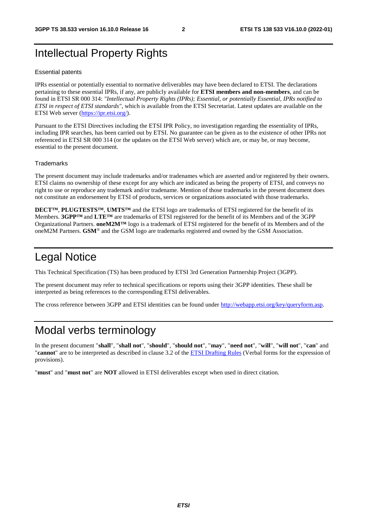## Intellectual Property Rights

### Essential patents

IPRs essential or potentially essential to normative deliverables may have been declared to ETSI. The declarations pertaining to these essential IPRs, if any, are publicly available for **ETSI members and non-members**, and can be found in ETSI SR 000 314: *"Intellectual Property Rights (IPRs); Essential, or potentially Essential, IPRs notified to ETSI in respect of ETSI standards"*, which is available from the ETSI Secretariat. Latest updates are available on the ETSI Web server ([https://ipr.etsi.org/\)](https://ipr.etsi.org/).

Pursuant to the ETSI Directives including the ETSI IPR Policy, no investigation regarding the essentiality of IPRs, including IPR searches, has been carried out by ETSI. No guarantee can be given as to the existence of other IPRs not referenced in ETSI SR 000 314 (or the updates on the ETSI Web server) which are, or may be, or may become, essential to the present document.

### **Trademarks**

The present document may include trademarks and/or tradenames which are asserted and/or registered by their owners. ETSI claims no ownership of these except for any which are indicated as being the property of ETSI, and conveys no right to use or reproduce any trademark and/or tradename. Mention of those trademarks in the present document does not constitute an endorsement by ETSI of products, services or organizations associated with those trademarks.

**DECT™**, **PLUGTESTS™**, **UMTS™** and the ETSI logo are trademarks of ETSI registered for the benefit of its Members. **3GPP™** and **LTE™** are trademarks of ETSI registered for the benefit of its Members and of the 3GPP Organizational Partners. **oneM2M™** logo is a trademark of ETSI registered for the benefit of its Members and of the oneM2M Partners. **GSM**® and the GSM logo are trademarks registered and owned by the GSM Association.

## Legal Notice

This Technical Specification (TS) has been produced by ETSI 3rd Generation Partnership Project (3GPP).

The present document may refer to technical specifications or reports using their 3GPP identities. These shall be interpreted as being references to the corresponding ETSI deliverables.

The cross reference between 3GPP and ETSI identities can be found under<http://webapp.etsi.org/key/queryform.asp>.

### Modal verbs terminology

In the present document "**shall**", "**shall not**", "**should**", "**should not**", "**may**", "**need not**", "**will**", "**will not**", "**can**" and "**cannot**" are to be interpreted as described in clause 3.2 of the [ETSI Drafting Rules](https://portal.etsi.org/Services/editHelp!/Howtostart/ETSIDraftingRules.aspx) (Verbal forms for the expression of provisions).

"**must**" and "**must not**" are **NOT** allowed in ETSI deliverables except when used in direct citation.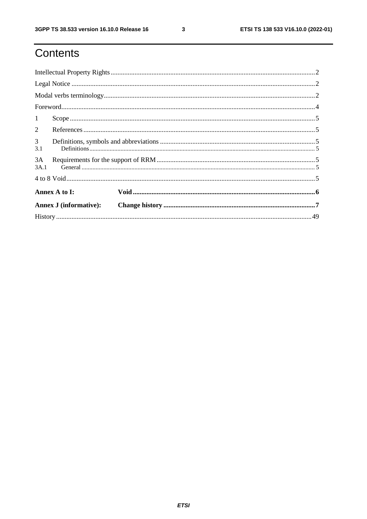## Contents

| 1                     |                               |  |  |  |  |  |  |  |  |  |  |  |  |  |
|-----------------------|-------------------------------|--|--|--|--|--|--|--|--|--|--|--|--|--|
| $\overline{2}$        |                               |  |  |  |  |  |  |  |  |  |  |  |  |  |
| 3 <sup>1</sup><br>3.1 |                               |  |  |  |  |  |  |  |  |  |  |  |  |  |
| 3A<br>3A.1            |                               |  |  |  |  |  |  |  |  |  |  |  |  |  |
|                       |                               |  |  |  |  |  |  |  |  |  |  |  |  |  |
|                       | Annex A to I:                 |  |  |  |  |  |  |  |  |  |  |  |  |  |
|                       | <b>Annex J</b> (informative): |  |  |  |  |  |  |  |  |  |  |  |  |  |
|                       |                               |  |  |  |  |  |  |  |  |  |  |  |  |  |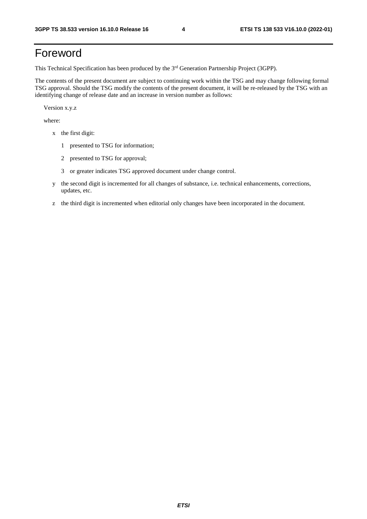## Foreword

This Technical Specification has been produced by the 3<sup>rd</sup> Generation Partnership Project (3GPP).

The contents of the present document are subject to continuing work within the TSG and may change following formal TSG approval. Should the TSG modify the contents of the present document, it will be re-released by the TSG with an identifying change of release date and an increase in version number as follows:

Version x.y.z

where:

- x the first digit:
	- 1 presented to TSG for information;
	- 2 presented to TSG for approval;
	- 3 or greater indicates TSG approved document under change control.
- y the second digit is incremented for all changes of substance, i.e. technical enhancements, corrections, updates, etc.
- z the third digit is incremented when editorial only changes have been incorporated in the document.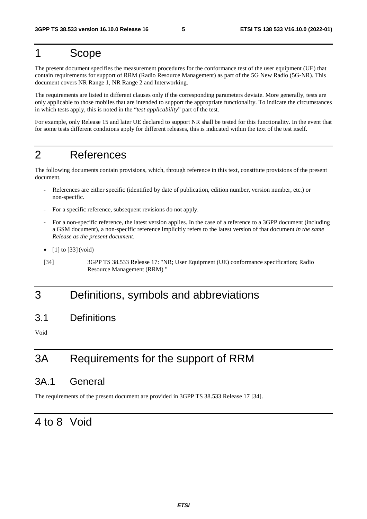### 1 Scope

The present document specifies the measurement procedures for the conformance test of the user equipment (UE) that contain requirements for support of RRM (Radio Resource Management) as part of the 5G New Radio (5G-NR). This document covers NR Range 1, NR Range 2 and Interworking.

The requirements are listed in different clauses only if the corresponding parameters deviate. More generally, tests are only applicable to those mobiles that are intended to support the appropriate functionality. To indicate the circumstances in which tests apply, this is noted in the "*test applicability*" part of the test.

For example, only Release 15 and later UE declared to support NR shall be tested for this functionality. In the event that for some tests different conditions apply for different releases, this is indicated within the text of the test itself.

## 2 References

The following documents contain provisions, which, through reference in this text, constitute provisions of the present document.

- References are either specific (identified by date of publication, edition number, version number, etc.) or non-specific.
- For a specific reference, subsequent revisions do not apply.
- For a non-specific reference, the latest version applies. In the case of a reference to a 3GPP document (including a GSM document), a non-specific reference implicitly refers to the latest version of that document *in the same Release as the present document*.
- $[1]$  to  $[33]$  (void)
- [34] 3GPP TS 38.533 Release 17: "NR; User Equipment (UE) conformance specification; Radio Resource Management (RRM) "

### 3 Definitions, symbols and abbreviations

3.1 Definitions

Void

## 3A Requirements for the support of RRM

### 3A.1 General

The requirements of the present document are provided in 3GPP TS 38.533 Release 17 [34].

### 4 to 8 Void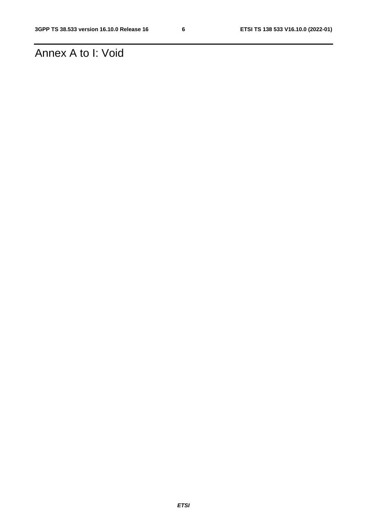## Annex A to I: Void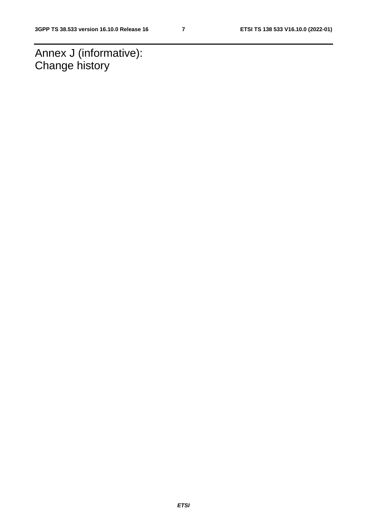Annex J (informative): Change history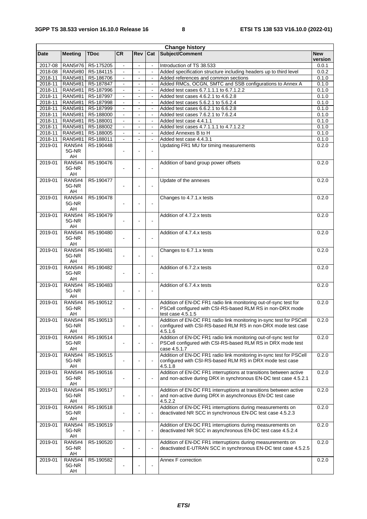| <b>Change history</b> |                                    |                               |                |                |                          |                                                                                |                |  |  |
|-----------------------|------------------------------------|-------------------------------|----------------|----------------|--------------------------|--------------------------------------------------------------------------------|----------------|--|--|
| <b>Date</b>           | <b>Meeting</b>                     | <b>TDoc</b>                   | <b>CR</b>      | Rev            | Cat                      | Subject/Comment                                                                | <b>New</b>     |  |  |
|                       |                                    |                               |                |                |                          |                                                                                | version        |  |  |
| 2017-08               |                                    | RAN5#76   R5-175205           |                |                |                          | Introduction of TS 38.533                                                      | 0.0.1          |  |  |
|                       |                                    | 2018-08   RAN5#80   R5-184115 | $\omega$       | $\mathbf{r}$   | $\mathbf{L}$             | Added specification structure including headers up to third level              | 0.0.2          |  |  |
|                       | 2018-11   RAN5#81                  | R5-186706                     |                |                |                          | Added references and common sections                                           | 0.1.0          |  |  |
| 2018-11               | <b>RAN5#81</b>                     | R5-187847                     |                |                |                          | Added RMCs, OCGN, SMTC and SSB configurations to Annex A                       | 0.1.0          |  |  |
| 2018-11               | <b>RAN5#81</b>                     | R5-187996                     | $\blacksquare$ | $\blacksquare$ | $\overline{\phantom{a}}$ | Added test cases 6.7.1.1.1 to 6.7.1.2.2<br>Added test cases 4.6.2.1 to 4.6.2.8 | 0.1.0          |  |  |
|                       | 2018-11   RAN5#81                  | R5-187997                     | $\blacksquare$ |                |                          |                                                                                | 0.1.0<br>0.1.0 |  |  |
|                       | 2018-11 RAN5#81<br>2018-11 RAN5#81 | R5-187998<br>R5-187999        | $\blacksquare$ | $\blacksquare$ | $\omega$                 | Added test cases 5.6.2.1 to 5.6.2.4<br>Added test cases 6.6.2.1 to 6.6.2.8     | 0.1.0          |  |  |
|                       | 2018-11 RAN5#81                    | R5-188000                     |                |                |                          | Added test cases 7.6.2.1 to 7.6.2.4                                            | 0.1.0          |  |  |
|                       | 2018-11 RAN5#81                    | R5-188001                     | $\blacksquare$ |                |                          | Added test case 4.4.1.1                                                        | 0.1.0          |  |  |
| 2018-11               | <b>RAN5#81</b>                     | R5-188002                     | $\blacksquare$ | $\blacksquare$ | $\Box$                   | Added test cases 4.7.1.1.1 to 4.7.1.2.2                                        | 0.1.0          |  |  |
| 2018-11               | <b>RAN5#81</b>                     | R5-188005                     | $\blacksquare$ |                |                          | Added Annexes B to H                                                           | 0.1.0          |  |  |
| 2018-11               | RAN5#81                            | R5-188011                     |                |                |                          | Added test case 4.4.3.1                                                        | 0.1.0          |  |  |
| 2019-01               | <b>RAN5#4</b>                      | R5-190448                     |                |                |                          | Updating FR1 MU for timing measurements                                        | 0.2.0          |  |  |
|                       | 5G-NR                              |                               | $\blacksquare$ |                |                          |                                                                                |                |  |  |
|                       | AH                                 |                               |                |                |                          |                                                                                |                |  |  |
| 2019-01               | <b>RAN5#4</b>                      | R5-190476                     |                |                |                          | Addition of band group power offsets                                           | 0.2.0          |  |  |
|                       | 5G-NR                              |                               |                |                | $\overline{a}$           |                                                                                |                |  |  |
|                       | AH                                 |                               |                |                |                          |                                                                                |                |  |  |
| 2019-01               | <b>RAN5#4</b>                      | R5-190477                     |                |                |                          | Update of the annexes                                                          | 0.2.0          |  |  |
|                       | 5G-NR                              |                               |                |                | $\blacksquare$           |                                                                                |                |  |  |
|                       | AH                                 |                               |                |                |                          |                                                                                |                |  |  |
| 2019-01               | <b>RAN5#4</b>                      | R5-190478                     |                |                |                          | Changes to 4.7.1.x tests                                                       | 0.2.0          |  |  |
|                       | 5G-NR                              |                               |                |                | $\blacksquare$           |                                                                                |                |  |  |
|                       | AH                                 |                               |                |                |                          |                                                                                |                |  |  |
| 2019-01               | <b>RAN5#4</b>                      | R5-190479                     |                |                |                          | Addition of 4.7.2.x tests                                                      | 0.2.0          |  |  |
|                       | 5G-NR                              |                               |                |                | $\sim$                   |                                                                                |                |  |  |
|                       | AH                                 |                               |                |                |                          |                                                                                |                |  |  |
| 2019-01               | <b>RAN5#4</b>                      | R5-190480                     |                |                |                          | Addition of 4.7.4.x tests                                                      | 0.2.0          |  |  |
|                       | 5G-NR                              |                               |                |                |                          |                                                                                |                |  |  |
| 2019-01               | AH<br><b>RAN5#4</b>                | R5-190481                     |                |                |                          | Changes to 6.7.1.x tests                                                       | 0.2.0          |  |  |
|                       | 5G-NR                              |                               |                |                |                          |                                                                                |                |  |  |
|                       | AH                                 |                               |                |                |                          |                                                                                |                |  |  |
| 2019-01               | <b>RAN5#4</b>                      | R5-190482                     |                |                |                          | Addition of 6.7.2.x tests                                                      | 0.2.0          |  |  |
|                       | 5G-NR                              |                               |                |                | $\sim$                   |                                                                                |                |  |  |
|                       | AH                                 |                               |                |                |                          |                                                                                |                |  |  |
| 2019-01               | <b>RAN5#4</b>                      | R5-190483                     |                |                |                          | Addition of 6.7.4.x tests                                                      | 0.2.0          |  |  |
|                       | 5G-NR                              |                               |                |                |                          |                                                                                |                |  |  |
|                       | AH                                 |                               |                |                |                          |                                                                                |                |  |  |
| 2019-01               | <b>RAN5#4</b>                      | R5-190512                     |                |                |                          | Addition of EN-DC FR1 radio link monitoring out-of-sync test for               | 0.2.0          |  |  |
|                       | 5G-NR                              |                               |                |                |                          | PSCell configured with CSI-RS-based RLM RS in non-DRX mode                     |                |  |  |
|                       | AH                                 |                               |                |                |                          | test case 4.5.1.5                                                              |                |  |  |
|                       |                                    | 2019-01 RAN5#4 R5-190513      |                |                |                          | Addition of EN-DC FR1 radio link monitoring in-sync test for PSCell            | 0.2.0          |  |  |
|                       | 5G-NR                              |                               |                |                |                          | configured with CSI-RS-based RLM RS in non-DRX mode test case                  |                |  |  |
|                       | AH                                 |                               |                |                |                          | 4.5.1.6                                                                        |                |  |  |
| 2019-01               | <b>RAN5#4</b>                      | R5-190514                     |                |                |                          | Addition of EN-DC FR1 radio link monitoring out-of-sync test for               | 0.2.0          |  |  |
|                       | 5G-NR                              |                               |                |                |                          | PSCell configured with CSI-RS-based RLM RS in DRX mode test                    |                |  |  |
|                       | AH                                 |                               |                |                |                          | case 4.5.1.7                                                                   |                |  |  |
| 2019-01               | <b>RAN5#4</b>                      | R5-190515                     |                |                |                          | Addition of EN-DC FR1 radio link monitoring in-sync test for PSCell            | 0.2.0          |  |  |
|                       | 5G-NR<br>AH                        |                               |                |                |                          | configured with CSI-RS-based RLM RS in DRX mode test case<br>4.5.1.8           |                |  |  |
| 2019-01               | <b>RAN5#4</b>                      | R5-190516                     |                |                |                          | Addition of EN-DC FR1 interruptions at transitions between active              | 0.2.0          |  |  |
|                       | 5G-NR                              |                               |                |                | $\blacksquare$           | and non-active during DRX in synchronous EN-DC test case 4.5.2.1               |                |  |  |
|                       | AH                                 |                               |                |                |                          |                                                                                |                |  |  |
| 2019-01               | <b>RAN5#4</b>                      | R5-190517                     |                |                |                          | Addition of EN-DC FR1 interruptions at transitions between active              | 0.2.0          |  |  |
|                       | 5G-NR                              |                               |                |                | $\blacksquare$           | and non-active during DRX in asynchronous EN-DC test case                      |                |  |  |
|                       | AH                                 |                               |                |                |                          | 4.5.2.2                                                                        |                |  |  |
| 2019-01               | <b>RAN5#4</b>                      | R5-190518                     |                |                |                          | Addition of EN-DC FR1 interruptions during measurements on                     | 0.2.0          |  |  |
|                       | 5G-NR                              |                               |                |                |                          | deactivated NR SCC in synchronous EN-DC test case 4.5.2.3                      |                |  |  |
|                       | AH                                 |                               |                |                |                          |                                                                                |                |  |  |
| 2019-01               | <b>RAN5#4</b>                      | R5-190519                     |                |                |                          | Addition of EN-DC FR1 interruptions during measurements on                     | 0.2.0          |  |  |
|                       | 5G-NR                              |                               |                |                | $\blacksquare$           | deactivated NR SCC in asynchronous EN-DC test case 4.5.2.4                     |                |  |  |
|                       | AH                                 |                               |                |                |                          |                                                                                |                |  |  |
| 2019-01               | <b>RAN5#4</b>                      | R5-190520                     |                |                |                          | Addition of EN-DC FR1 interruptions during measurements on                     | 0.2.0          |  |  |
|                       | 5G-NR                              |                               |                |                | $\blacksquare$           | deactivated E-UTRAN SCC in synchronous EN-DC test case 4.5.2.5                 |                |  |  |
|                       | AH<br><b>RAN5#4</b>                |                               |                |                |                          |                                                                                |                |  |  |
| 2019-01               | 5G-NR                              | R5-190582                     |                |                |                          | Annex F correction                                                             | 0.2.0          |  |  |
|                       | AH                                 |                               |                |                |                          |                                                                                |                |  |  |
|                       |                                    |                               |                |                |                          |                                                                                |                |  |  |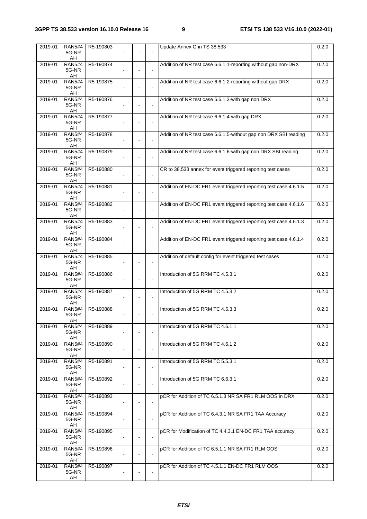| 2019-01 | <b>RAN5#4</b><br>5G-NR             | R5-190803 |  |                          | Update Annex G in TS 38.533                                       | 0.2.0 |
|---------|------------------------------------|-----------|--|--------------------------|-------------------------------------------------------------------|-------|
|         | AH                                 |           |  |                          |                                                                   |       |
| 2019-01 | <b>RAN5#4</b><br>5G-NR<br>AH       | R5-190874 |  | $\blacksquare$           | Addition of NR test case 6.6.1.1-reporting without gap non-DRX    | 0.2.0 |
| 2019-01 | <b>RAN5#4</b><br>5G-NR<br>AH       | R5-190875 |  | $\blacksquare$           | Addition of NR test case 6.6.1.2-reporting without gap DRX        | 0.2.0 |
| 2019-01 | <b>RAN5#4</b><br>5G-NR             | R5-190876 |  | $\overline{\phantom{a}}$ | Addition of NR test case 6.6.1.3-with gap non DRX                 | 0.2.0 |
| 2019-01 | AH<br><b>RAN5#4</b><br>5G-NR<br>AH | R5-190877 |  | $\mathbf{r}$             | Addition of NR test case 6.6.1.4-with gap DRX                     | 0.2.0 |
| 2019-01 | <b>RAN5#4</b><br>5G-NR<br>AH       | R5-190878 |  | $\blacksquare$           | Addition of NR test case 6.6.1.5-without gap non DRX SBI reading  | 0.2.0 |
| 2019-01 | <b>RAN5#4</b><br>5G-NR<br>AH       | R5-190879 |  | $\blacksquare$           | Addition of NR test case 6.6.1.6-with gap non DRX SBI reading     | 0.2.0 |
| 2019-01 | <b>RAN5#4</b><br>5G-NR<br>AH       | R5-190880 |  |                          | CR to 38.533 annex for event triggered reporting test cases       | 0.2.0 |
| 2019-01 | <b>RAN5#4</b><br>5G-NR<br>AH       | R5-190881 |  | $\blacksquare$           | Addition of EN-DC FR1 event triggered reporting test case 4.6.1.5 | 0.2.0 |
| 2019-01 | <b>RAN5#4</b><br>5G-NR<br>AH       | R5-190882 |  | ä,                       | Addition of EN-DC FR1 event triggered reporting test case 4.6.1.6 | 0.2.0 |
| 2019-01 | <b>RAN5#4</b><br>5G-NR<br>AH       | R5-190883 |  | $\overline{\phantom{a}}$ | Addition of EN-DC FR1 event triggered reporting test case 4.6.1.3 | 0.2.0 |
| 2019-01 | <b>RAN5#4</b><br>5G-NR<br>AH       | R5-190884 |  | $\blacksquare$           | Addition of EN-DC FR1 event triggered reporting test case 4.6.1.4 | 0.2.0 |
| 2019-01 | <b>RAN5#4</b><br>5G-NR<br>AH       | R5-190885 |  | $\overline{\phantom{a}}$ | Addition of default config for event triggered test cases         | 0.2.0 |
| 2019-01 | <b>RAN5#4</b><br>5G-NR<br>AH       | R5-190886 |  | $\blacksquare$           | Introduction of 5G RRM TC 4.5.3.1                                 | 0.2.0 |
| 2019-01 | <b>RAN5#4</b><br>5G-NR<br>AH       | R5-190887 |  |                          | Introduction of 5G RRM TC 4.5.3.2                                 | 0.2.0 |
| 2019-01 | <b>RAN5#4</b><br>5G-NR<br>AH       | R5-190888 |  |                          | Introduction of 5G RRM TC 4.5.3.3                                 | 0.2.0 |
| 2019-01 | <b>RAN5#4</b><br>5G-NR<br>AH       | R5-190889 |  |                          | Introduction of 5G RRM TC 4.6.1.1                                 | 0.2.0 |
| 2019-01 | <b>RAN5#4</b><br>5G-NR<br>AH       | R5-190890 |  | $\blacksquare$           | Introduction of 5G RRM TC 4.6.1.2                                 | 0.2.0 |
| 2019-01 | <b>RAN5#4</b><br>5G-NR<br>AH       | R5-190891 |  |                          | Introduction of 5G RRM TC 5.5.3.1                                 | 0.2.0 |
| 2019-01 | <b>RAN5#4</b><br>5G-NR<br>AH       | R5-190892 |  |                          | Introduction of 5G RRM TC 6.6.3.1                                 | 0.2.0 |
| 2019-01 | <b>RAN5#4</b><br>5G-NR<br>AH       | R5-190893 |  | $\blacksquare$           | pCR for Addition of TC 6.5.1.3 NR SA FR1 RLM OOS in DRX           | 0.2.0 |
| 2019-01 | <b>RAN5#4</b><br>5G-NR<br>AH       | R5-190894 |  | $\overline{\phantom{a}}$ | pCR for Addition of TC 6.4.3.1 NR SA FR1 TAA Accuracy             | 0.2.0 |
| 2019-01 | <b>RAN5#4</b><br>5G-NR<br>AH       | R5-190895 |  | $\blacksquare$           | pCR for Modification of TC 4.4.3.1 EN-DC FR1 TAA accuracy         | 0.2.0 |
| 2019-01 | <b>RAN5#4</b><br>5G-NR<br>AH       | R5-190896 |  | $\blacksquare$           | pCR for Addition of TC 6.5.1.1 NR SA FR1 RLM OOS                  | 0.2.0 |
| 2019-01 | <b>RAN5#4</b><br>5G-NR<br>AH       | R5-190897 |  |                          | pCR for Addition of TC 4.5.1.1 EN-DC FR1 RLM OOS                  | 0.2.0 |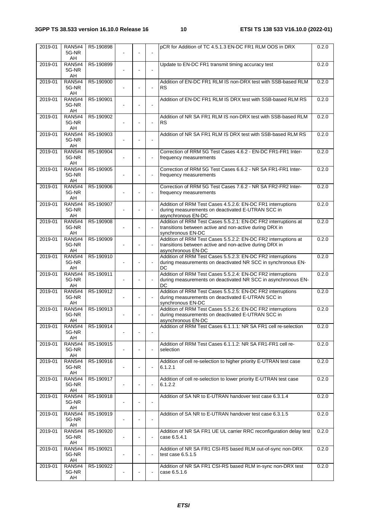| 2019-01 | <b>RAN5#4</b>                | R5-190898 |                |                          | pCR for Addition of TC 4.5.1.3 EN-DC FR1 RLM OOS in DRX                       | 0.2.0 |
|---------|------------------------------|-----------|----------------|--------------------------|-------------------------------------------------------------------------------|-------|
|         | 5G-NR<br>AH                  |           |                |                          |                                                                               |       |
| 2019-01 | <b>RAN5#4</b>                | R5-190899 |                |                          | Update to EN-DC FR1 transmit timing accuracy test                             | 0.2.0 |
|         | 5G-NR<br>AH                  |           |                |                          |                                                                               |       |
| 2019-01 | <b>RAN5#4</b><br>5G-NR       | R5-190900 |                |                          | Addition of EN-DC FR1 RLM IS non-DRX test with SSB-based RLM<br><b>RS</b>     | 0.2.0 |
|         | AH                           |           |                |                          |                                                                               |       |
| 2019-01 | <b>RAN5#4</b><br>5G-NR<br>AH | R5-190901 |                | L.                       | Addition of EN-DC FR1 RLM IS DRX test with SSB-based RLM RS                   | 0.2.0 |
| 2019-01 | <b>RAN5#4</b>                | R5-190902 |                |                          | Addition of NR SA FR1 RLM IS non-DRX test with SSB-based RLM                  | 0.2.0 |
|         | 5G-NR<br>AH                  |           |                | L.                       | <b>RS</b>                                                                     |       |
| 2019-01 | <b>RAN5#4</b>                | R5-190903 |                |                          | Addition of NR SA FR1 RLM IS DRX test with SSB-based RLM RS                   | 0.2.0 |
|         | 5G-NR<br>AH                  |           |                |                          |                                                                               |       |
| 2019-01 | <b>RAN5#4</b>                | R5-190904 |                |                          | Correction of RRM 5G Test Cases 4.6.2 - EN-DC FR1-FR1 Inter-                  | 0.2.0 |
|         | 5G-NR<br>AH                  |           |                |                          | frequency measurements                                                        |       |
| 2019-01 | <b>RAN5#4</b>                | R5-190905 |                |                          | Correction of RRM 5G Test Cases 6.6.2 - NR SA FR1-FR1 Inter-                  | 0.2.0 |
|         | 5G-NR<br>AH                  |           |                | $\blacksquare$           | frequency measurements                                                        |       |
| 2019-01 | <b>RAN5#4</b>                | R5-190906 |                |                          | Correction of RRM 5G Test Cases 7.6.2 - NR SA FR2-FR2 Inter-                  | 0.2.0 |
|         | 5G-NR<br>AH                  |           |                | $\blacksquare$           | frequency measurements                                                        |       |
| 2019-01 | <b>RAN5#4</b>                | R5-190907 |                |                          | Addition of RRM Test Cases 4.5.2.6: EN-DC FR1 interruptions                   | 0.2.0 |
|         | 5G-NR<br>AH                  |           |                |                          | during measurements on deactivated E-UTRAN SCC in<br>asynchronous EN-DC       |       |
| 2019-01 | <b>RAN5#4</b>                | R5-190908 |                |                          | Addition of RRM Test Cases 5.5.2.1: EN-DC FR2 interruptions at                | 0.2.0 |
|         | 5G-NR<br>AH                  |           |                |                          | transitions between active and non-active during DRX in<br>synchronous EN-DC  |       |
| 2019-01 | <b>RAN5#4</b>                | R5-190909 |                |                          | Addition of RRM Test Cases 5.5.2.2: EN-DC FR2 interruptions at                | 0.2.0 |
|         | 5G-NR<br>AH                  |           | $\sim$         | $\bar{\phantom{a}}$      | transitions between active and non-active during DRX in<br>asynchronous EN-DC |       |
| 2019-01 | <b>RAN5#4</b>                | R5-190910 |                |                          | Addition of RRM Test Cases 5.5.2.3: EN-DC FR2 interruptions                   | 0.2.0 |
|         | 5G-NR<br>AH                  |           |                | L.                       | during measurements on deactivated NR SCC in synchronous EN-<br>DC            |       |
| 2019-01 | <b>RAN5#4</b>                | R5-190911 |                |                          | Addition of RRM Test Cases 5.5.2.4: EN-DC FR2 interruptions                   | 0.2.0 |
|         | 5G-NR<br>AH                  |           |                |                          | during measurements on deactivated NR SCC in asynchronous EN-<br>DC           |       |
| 2019-01 | <b>RAN5#4</b>                | R5-190912 |                |                          | Addition of RRM Test Cases 5.5.2.5: EN-DC FR2 interruptions                   | 0.2.0 |
|         | 5G-NR<br>AH                  |           |                |                          | during measurements on deactivated E-UTRAN SCC in<br>synchronous EN-DC        |       |
| 2019-01 | <b>RAN5#4</b>                | R5-190913 |                |                          | Addition of RRM Test Cases 5.5.2.6: EN-DC FR2 interruptions                   | 0.2.0 |
|         | 5G-NR<br>AH                  |           |                |                          | during measurements on deactivated E-UTRAN SCC in<br>asynchronous EN-DC       |       |
| 2019-01 | <b>RAN5#4</b>                | R5-190914 |                |                          | Addition of RRM Test Cases 6.1.1.1: NR SA FR1 cell re-selection               | 0.2.0 |
|         | 5G-NR<br>AH                  |           |                |                          |                                                                               |       |
| 2019-01 | <b>RAN5#4</b>                | R5-190915 |                |                          | Addition of RRM Test Cases 6.1.1.2: NR SA FR1-FR1 cell re-                    | 0.2.0 |
|         | 5G-NR<br>AH                  |           |                |                          | selection                                                                     |       |
| 2019-01 | <b>RAN5#4</b>                | R5-190916 |                |                          | Addition of cell re-selection to higher priority E-UTRAN test case            | 0.2.0 |
|         | 5G-NR<br>AH                  |           |                | $\overline{\phantom{a}}$ | 6.1.2.1                                                                       |       |
| 2019-01 | <b>RAN5#4</b>                | R5-190917 |                |                          | Addition of cell re-selection to lower priority E-UTRAN test case             | 0.2.0 |
|         | 5G-NR<br>AH                  |           |                | $\blacksquare$           | 6.1.2.2                                                                       |       |
| 2019-01 | <b>RAN5#4</b>                | R5-190918 |                |                          | Addition of SA NR to E-UTRAN handover test case 6.3.1.4                       | 0.2.0 |
|         | 5G-NR<br>AH                  |           |                |                          |                                                                               |       |
| 2019-01 | <b>RAN5#4</b>                | R5-190919 |                |                          | Addition of SA NR to E-UTRAN handover test case 6.3.1.5                       | 0.2.0 |
|         | 5G-NR<br>AH                  |           |                |                          |                                                                               |       |
| 2019-01 | <b>RAN5#4</b>                | R5-190920 |                |                          | Addition of NR SA FR1 UE UL carrier RRC reconfiguration delay test            | 0.2.0 |
|         | 5G-NR<br>AH                  |           | $\blacksquare$ | $\blacksquare$           | case 6.5.4.1                                                                  |       |
| 2019-01 | <b>RAN5#4</b>                | R5-190921 |                |                          | Addition of NR SA FR1 CSI-RS based RLM out-of-sync non-DRX                    | 0.2.0 |
|         | 5G-NR<br>AH                  |           |                |                          | test case 6.5.1.5                                                             |       |
| 2019-01 | <b>RAN5#4</b>                | R5-190922 |                |                          | Addition of NR SA FR1 CSI-RS based RLM in-sync non-DRX test                   | 0.2.0 |
|         | 5G-NR<br>AH                  |           |                |                          | case 6.5.1.6                                                                  |       |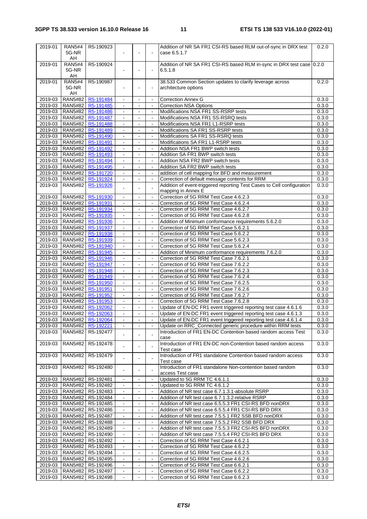| 2019-01 | <b>RAN5#4</b>     | R5-190923                     |                |                              |                     | Addition of NR SA FR1 CSI-RS based RLM out-of-sync in DRX test         | 0.2.0 |
|---------|-------------------|-------------------------------|----------------|------------------------------|---------------------|------------------------------------------------------------------------|-------|
|         | 5G-NR             |                               |                |                              | $\blacksquare$      | case 6.5.1.7                                                           |       |
|         | AH                |                               |                |                              |                     |                                                                        |       |
| 2019-01 | <b>RAN5#4</b>     | R5-190924                     |                |                              |                     | Addition of NR SA FR1 CSI-RS based RLM in-sync in DRX test case 0.2.0  |       |
|         | 5G-NR             |                               |                |                              | $\blacksquare$      | 6.5.1.8                                                                |       |
|         |                   |                               |                |                              |                     |                                                                        |       |
|         | AH                |                               |                |                              |                     |                                                                        |       |
| 2019-01 | <b>RAN5#4</b>     | R5-190987                     |                |                              |                     | 38.533 Common Section updates to clarify leverage across               | 0.2.0 |
|         | 5G-NR             |                               |                |                              | $\blacksquare$      | architecture options                                                   |       |
|         | AH                |                               |                |                              |                     |                                                                        |       |
|         |                   | 2019-03   RAN5#82   R5-191484 | $\blacksquare$ | $\blacksquare$               | $\blacksquare$      | <b>Correction Annex G</b>                                              | 0.3.0 |
|         |                   | 2019-03   RAN5#82   R5-191485 |                |                              |                     | <b>Correction NSA Options</b>                                          | 0.3.0 |
|         |                   | 2019-03 RAN5#82 R5-191486     | $\blacksquare$ | ä,                           | $\Box$              | Modifications NSA FR1 SS-RSRP tests                                    | 0.3.0 |
| 2019-03 |                   | RAN5#82 R5-191487             |                | $\blacksquare$               | $\blacksquare$      | Modifications NSA FR1 SS-RSRQ tests                                    | 0.3.0 |
|         |                   |                               |                |                              |                     |                                                                        |       |
|         |                   | 2019-03   RAN5#82   R5-191488 |                |                              |                     | Modifications NSA FR1 L1-RSRP tests                                    | 0.3.0 |
|         |                   | 2019-03 RAN5#82 R5-191489     | $\blacksquare$ | $\blacksquare$               | $\mathbf{u}$        | Modifications SA FR1 SS-RSRP tests                                     | 0.3.0 |
| 2019-03 |                   | RAN5#82 R5-191490             | $\blacksquare$ | $\blacksquare$               | $\blacksquare$      | Modifications SA FR1 SS-RSRQ tests                                     | 0.3.0 |
| 2019-03 |                   | RAN5#82   R5-191491           |                |                              |                     | Modifications SA FR1 L1-RSRP tests                                     | 0.3.0 |
| 2019-03 |                   | RAN5#82   R5-191492           | $\blacksquare$ | $\blacksquare$               | $\Box$              | Addition NSA FR1 BWP switch tests                                      | 0.3.0 |
| 2019-03 |                   | RAN5#82 R5-191493             |                | $\blacksquare$               | $\blacksquare$      | Addition SA FR1 BWP switch tests                                       | 0.3.0 |
|         |                   |                               |                |                              |                     |                                                                        |       |
| 2019-03 |                   | RAN5#82 R5-191494             |                |                              |                     | Addition NSA FR2 BWP switch tests                                      | 0.3.0 |
| 2019-03 |                   | RAN5#82   R5-191495           | $\blacksquare$ | $\blacksquare$               | $\blacksquare$      | Addition SA FR2 BWP switch tests                                       | 0.3.0 |
| 2019-03 |                   | RAN5#82 R5-191720             |                | $\blacksquare$               | $\bar{\phantom{a}}$ | addition of cell mapping for BFD and measurement                       | 0.3.0 |
| 2019-03 |                   | RAN5#82 R5-191924             |                |                              |                     | Correction of default message contents for RRM                         | 0.3.0 |
| 2019-03 | <b>RAN5#82</b>    | R5-191926                     |                |                              |                     | Addition of event-triggered reporting Test Cases to Cell configuration | 0.3.0 |
|         |                   |                               |                |                              |                     | mapping in Annex E                                                     |       |
| 2019-03 |                   | RAN5#82 R5-191930             | ä,             | $\mathbf{r}$                 | $\blacksquare$      | Correction of 5G RRM Test Case 4.6.2.3                                 | 0.3.0 |
|         |                   |                               |                |                              |                     |                                                                        |       |
|         | 2019-03 RAN5#82   | R5-191931                     | $\blacksquare$ | $\frac{1}{2}$                | $\blacksquare$      | Correction of 5G RRM Test Case 4.6.2.4                                 | 0.3.0 |
| 2019-03 | <b>RAN5#82</b>    | R5-191934                     | $\blacksquare$ |                              | $\blacksquare$      | Correction of 5G RRM Test Case 4.6.2.7                                 | 0.3.0 |
|         |                   | 2019-03   RAN5#82   R5-191935 | $\blacksquare$ | $\blacksquare$               | $\blacksquare$      | Correction of 5G RRM Test Case 4.6.2.8                                 | 0.3.0 |
| 2019-03 |                   | RAN5#82 R5-191936             | $\blacksquare$ | $\qquad \qquad \blacksquare$ | $\blacksquare$      | Addition of Minimum conformance requirements 5.6.2.0                   | 0.3.0 |
| 2019-03 |                   | RAN5#82 R5-191937             | $\sim$         | $\blacksquare$               | $\blacksquare$      | Correction of 5G RRM Test Case 5.6.2.1                                 | 0.3.0 |
|         |                   | 2019-03   RAN5#82   R5-191938 | $\mathbf{r}$   | $\blacksquare$               | $\blacksquare$      | Correction of 5G RRM Test Case 5.6.2.2                                 | 0.3.0 |
| 2019-03 |                   |                               |                |                              |                     |                                                                        | 0.3.0 |
|         |                   | RAN5#82 R5-191939             | $\blacksquare$ | $\blacksquare$               | $\blacksquare$      | Correction of 5G RRM Test Case 5.6.2.3                                 |       |
| 2019-03 |                   | RAN5#82   R5-191940           | $\blacksquare$ |                              | $\blacksquare$      | Correction of 5G RRM Test Case 5.6.2.4                                 | 0.3.0 |
|         |                   | 2019-03 RAN5#82 R5-191945     | ä,             | $\blacksquare$               | $\blacksquare$      | Addition of Minimum conformance requirements 7.6.2.0                   | 0.3.0 |
| 2019-03 |                   | RAN5#82 R5-191946             |                | $\blacksquare$               | $\blacksquare$      | Correction of 5G RRM Test Case 7.6.2.1                                 | 0.3.0 |
|         |                   | 2019-03   RAN5#82   R5-191947 |                |                              | $\blacksquare$      | Correction of 5G RRM Test Case 7.6.2.2                                 | 0.3.0 |
|         |                   | 2019-03 RAN5#82 R5-191948     | $\omega$       | $\blacksquare$               | $\mathbf{r}$        | Correction of 5G RRM Test Case 7.6.2.3                                 | 0.3.0 |
| 2019-03 |                   | RAN5#82 R5-191949             |                | $\blacksquare$               | $\blacksquare$      | Correction of 5G RRM Test Case 7.6.2.4                                 | 0.3.0 |
|         |                   |                               |                |                              | $\blacksquare$      |                                                                        |       |
| 2019-03 |                   | RAN5#82 R5-191950             |                |                              |                     | Correction of 5G RRM Test Case 7.6.2.5                                 | 0.3.0 |
|         |                   | 2019-03   RAN5#82   R5-191951 | $\blacksquare$ | $\blacksquare$               | $\omega$            | Correction of 5G RRM Test Case 7.6.2.6                                 | 0.3.0 |
| 2019-03 |                   | RAN5#82 R5-191952             |                | $\blacksquare$               | $\blacksquare$      | Correction of 5G RRM Test Case 7.6.2.7                                 | 0.3.0 |
| 2019-03 |                   | RAN5#82 R5-191953             |                |                              |                     | Correction of 5G RRM Test Case 7.6.2.8                                 | 0.3.0 |
|         |                   | 2019-03   RAN5#82   R5-192062 | $\blacksquare$ | $\blacksquare$               | $\blacksquare$      | Update of EN-DC FR1 event triggered reporting test case 4.6.1.6        | 0.3.0 |
|         | 2019-03   RAN5#82 | R5-192063                     | $\blacksquare$ | $\blacksquare$               | $\blacksquare$      | Update of EN-DC FR1 event triggered reporting test case 4.6.1.3        | 0.3.0 |
|         |                   | 2019-03 RAN5#82 R5-192064     |                |                              |                     | Update of EN-DC FR1 event triggered reporting test case 4.6.1.4        | 0.3.0 |
|         |                   | 2019-03   RAN5#82   R5-192221 | $\blacksquare$ | $\blacksquare$               | $\blacksquare$      |                                                                        | 0.3.0 |
|         |                   |                               |                |                              |                     | Update on RRC_Connected generic procedure within RRM tests             |       |
| 2019-03 |                   | RAN5#82   R5-192477           |                |                              |                     | Introduction of FR1 EN-DC Contention based random access Test          | 0.3.0 |
|         |                   |                               |                |                              |                     | case                                                                   |       |
| 2019-03 |                   | RAN5#82   R5-192478           | $\sim$         |                              |                     | Introduction of FR1 EN-DC non-Contention based random access           | 0.3.0 |
|         |                   |                               |                |                              |                     | Test case                                                              |       |
| 2019-03 | <b>RAN5#82</b>    | R5-192479                     |                |                              |                     | Introduction of FR1 standalone Contention based random access          | 0.3.0 |
|         |                   |                               |                |                              |                     | Test case                                                              |       |
| 2019-03 | <b>RAN5#82</b>    | R5-192480                     |                |                              |                     | Introduction of FR1 standalone Non-contention based random             | 0.3.0 |
|         |                   |                               |                |                              |                     | access Test case                                                       |       |
|         |                   |                               |                |                              |                     |                                                                        |       |
| 2019-03 | RAN5#82           | R5-192481                     | $\blacksquare$ |                              | $\blacksquare$      | Updated to 5G RRM TC 4.6.1.1                                           | 0.3.0 |
|         |                   | 2019-03   RAN5#82   R5-192482 | $\blacksquare$ | $\blacksquare$               | $\omega$            | Updated to 5G RRM TC 4.6.1.2                                           | 0.3.0 |
| 2019-03 | <b>RAN5#82</b>    | R5-192483                     | $\blacksquare$ |                              | $\blacksquare$      | Addition of NR test case 6.7.1.3.1-absolute RSRP                       | 0.3.0 |
| 2019-03 | <b>RAN5#82</b>    | R5-192484                     |                |                              |                     | Addition of NR test case 6.7.1.3.2-relative RSRP                       | 0.3.0 |
| 2019-03 | <b>RAN5#82</b>    | R5-192485                     | $\blacksquare$ | $\Box$                       | $\blacksquare$      | Addition of NR test case 6.5.5.3 FR1 CSI-RS BFD nonDRX                 | 0.3.0 |
| 2019-03 | <b>RAN5#82</b>    | R5-192486                     | $\blacksquare$ |                              | $\blacksquare$      | Addition of NR test case 6.5.5.4 FR1 CSI-RS BFD DRX                    | 0.3.0 |
| 2019-03 |                   | RAN5#82   R5-192487           |                |                              |                     | Addition of NR test case 7.5.5.1 FR2 SSB BFD nonDRX                    | 0.3.0 |
|         |                   |                               |                |                              |                     |                                                                        |       |
| 2019-03 |                   | RAN5#82   R5-192488           | $\blacksquare$ | $\blacksquare$               | $\blacksquare$      | Addition of NR test case 7.5.5.2 FR2 SSB BFD DRX                       | 0.3.0 |
| 2019-03 |                   | RAN5#82   R5-192489           | $\blacksquare$ |                              | $\blacksquare$      | Addition of NR test case 7.5.5.3 FR2 CSI-RS BFD nonDRX                 | 0.3.0 |
| 2019-03 |                   | RAN5#82   R5-192490           |                |                              |                     | Addition of NR test case 7.5.5.4 FR2 CSI-RS BFD DRX                    | 0.3.0 |
| 2019-03 | <b>RAN5#82</b>    | R5-192492                     | $\blacksquare$ | $\blacksquare$               | $\blacksquare$      | Correction of 5G RRM Test Case 4.6.2.1                                 | 0.3.0 |
| 2019-03 | <b>RAN5#82</b>    | R5-192493                     | $\blacksquare$ |                              | $\blacksquare$      | Correction of 5G RRM Test Case 4.6.2.2                                 | 0.3.0 |
| 2019-03 |                   | RAN5#82   R5-192494           |                |                              |                     | Correction of 5G RRM Test Case 4.6.2.5                                 | 0.3.0 |
| 2019-03 |                   |                               | $\blacksquare$ | $\blacksquare$               | $\blacksquare$      | Correction of 5G RRM Test Case 4.6.2.6                                 | 0.3.0 |
|         |                   | RAN5#82   R5-192495           |                |                              |                     |                                                                        |       |
| 2019-03 | <b>RAN5#82</b>    | R5-192496                     |                |                              | $\blacksquare$      | Correction of 5G RRM Test Case 6.6.2.1                                 | 0.3.0 |
| 2019-03 | <b>RAN5#82</b>    | R5-192497                     |                |                              | $\blacksquare$      | Correction of 5G RRM Test Case 6.6.2.2                                 | 0.3.0 |
| 2019-03 |                   | RAN5#82   R5-192498           | $\Box$         | $\blacksquare$               | $\blacksquare$      | Correction of 5G RRM Test Case 6.6.2.3                                 | 0.3.0 |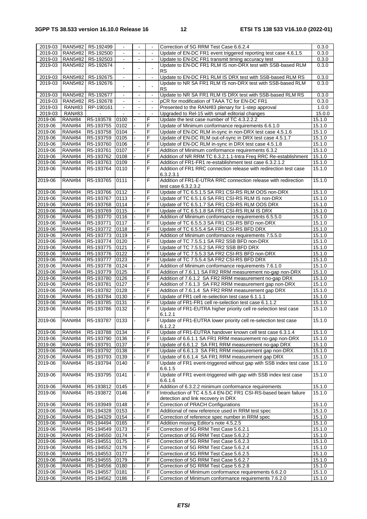| 2019-03     | <b>RAN5#82</b> | R5-192499 | $\blacksquare$              | ۰              | $\blacksquare$      | Correction of 5G RRM Test Case 6.6.2.4                                                                                  | 0.3.0  |
|-------------|----------------|-----------|-----------------------------|----------------|---------------------|-------------------------------------------------------------------------------------------------------------------------|--------|
| 2019-03     | <b>RAN5#82</b> | R5-192500 | $\blacksquare$              |                | $\blacksquare$      | Update of EN-DC FR1 event triggered reporting test case 4.6.1.5                                                         | 0.3.0  |
| 2019-03     | <b>RAN5#82</b> | R5-192503 |                             |                |                     | Update to EN-DC FR1 transmit timing accuracy test                                                                       | 0.3.0  |
| 2019-03     | <b>RAN5#82</b> | R5-192674 |                             |                |                     | Update to EN-DC FR1 RLM IS non-DRX test with SSB-based RLM                                                              | 0.3.0  |
|             |                |           |                             |                |                     | <b>RS</b>                                                                                                               |        |
| $2019 - 03$ |                |           | $\mathcal{L}^{\mathcal{L}}$ | $\mathbf{r}$   | $\mathbf{r}$        |                                                                                                                         |        |
|             | <b>RAN5#82</b> | R5-192675 |                             |                |                     | Update to EN-DC FR1 RLM IS DRX test with SSB-based RLM RS<br>Update to NR SA FR1 RLM IS non-DRX test with SSB-based RLM | 0.3.0  |
| 2019-03     | RAN5#82        | R5-192676 | $\overline{a}$              |                | $\overline{a}$      |                                                                                                                         | 0.3.0  |
|             |                |           |                             |                |                     | <b>RS</b>                                                                                                               |        |
| 2019-03     | <b>RAN5#82</b> | R5-192677 | $\blacksquare$              | $\blacksquare$ | $\blacksquare$      | Update to NR SA FR1 RLM IS DRX test with SSB-based RLM RS                                                               | 0.3.0  |
| 2019-03     | <b>RAN5#82</b> | R5-192678 | $\sim$                      | $\blacksquare$ | $\mathbf{r}$        | pCR for modification of TAAA TC for EN-DC FR1                                                                           | 0.3.0  |
| 2019-03     | <b>RAN#83</b>  | RP-190161 |                             | $\sim$         | $\mathbf{r}$        | Presented to the RAN#83 plenary for 1-step approval                                                                     | 1.0.0  |
| 2019-03     | <b>RAN#83</b>  |           | $\blacksquare$              | $\blacksquare$ | $\bar{\phantom{a}}$ | Upgraded to Rel-15 with small editorial changes                                                                         | 15.0.0 |
| 2019-06     | <b>RAN#84</b>  | R5-193578 | 0100                        |                | F                   | Update the test case number of TC 4.3.2.2.2                                                                             | 15.1.0 |
| 2019-06     | <b>RAN#84</b>  | R5-193755 | 0102                        |                | F                   | Update of Minimum conformance requirements 6.6.1.0                                                                      | 15.1.0 |
| 2019-06     | <b>RAN#84</b>  | R5-193758 | 0104                        |                | F                   | Update of EN-DC RLM in-sync in non-DRX test case 4.5.1.6                                                                | 15.1.0 |
| 2019-06     | <b>RAN#84</b>  | R5-193759 | 0105                        |                | F                   | Update of EN-DC RLM out-of-sync in DRX test case 4.5.1.7                                                                | 15.1.0 |
| 2019-06     | <b>RAN#84</b>  | R5-193760 | 0106                        |                | F                   | Update of EN-DC RLM in-sync in DRX test case 4.5.1.8                                                                    | 15.1.0 |
| 2019-06     | <b>RAN#84</b>  | R5-193761 | 0107                        |                | F                   | Addition of Minimum conformance requirements 6.3.2                                                                      | 15.1.0 |
| 2019-06     | <b>RAN#84</b>  | R5-193762 | 0108                        |                | F                   | Addition of NR RRM TC 6.3.2.1.1-Intra Freq RRC Re-establishment                                                         | 15.1.0 |
| 2019-06     | <b>RAN#84</b>  | R5-193763 | 0109                        |                | F                   | Addition of FR1-FR1 re-establishment test case 6.3.2.1.2                                                                | 15.1.0 |
| 2019-06     | <b>RAN#84</b>  | R5-193764 | 0110                        |                | F                   | Addition of FR1 RRC connection release with redirection test case                                                       | 15.1.0 |
|             |                |           |                             |                |                     | 6.3.2.3.1                                                                                                               |        |
| 2019-06     | <b>RAN#84</b>  | R5-193765 | 0111                        | $\blacksquare$ | F                   | Addition of FR1-E-UTRA RRC connection release with redirection                                                          | 15.1.0 |
|             |                |           |                             |                |                     | test case 6.3.2.3.2                                                                                                     |        |
| 2019-06     | <b>RAN#84</b>  | R5-193766 | 0112                        |                | F                   | Update of TC 6.5.1.5 SA FR1 CSI-RS RLM OOS non-DRX                                                                      | 15.1.0 |
| 2019-06     | <b>RAN#84</b>  | R5-193767 | 0113                        |                | F                   | Update of TC 6.5.1.6 SA FR1 CSI-RS RLM IS non-DRX                                                                       | 15.1.0 |
| 2019-06     | <b>RAN#84</b>  | R5-193768 | 0114                        |                | F                   | Update of TC 6.5.1.7 SA FR1 CSI-RS RLM OOS DRX                                                                          | 15.1.0 |
| 2019-06     | <b>RAN#84</b>  | R5-193769 | 0115                        |                | F                   | Update of TC 6.5.1.8 SA FR1 CSI-RS RLM IS DRX                                                                           | 15.1.0 |
|             |                |           |                             |                |                     |                                                                                                                         |        |
| 2019-06     | <b>RAN#84</b>  | R5-193770 | 0116                        |                | F                   | Addition of Minimum conformance requirements 6.5.5.0                                                                    | 15.1.0 |
| 2019-06     | <b>RAN#84</b>  | R5-193771 | 0117                        |                | F                   | Update of TC 6.5.5.3 SA FR1 CSI-RS BFD non-DRX                                                                          | 15.1.0 |
| 2019-06     | <b>RAN#84</b>  | R5-193772 | 0118                        |                | F                   | Update of TC 6.5.5.4 SA FR1 CSI-RS BFD DRX                                                                              | 15.1.0 |
| 2019-06     | <b>RAN#84</b>  | R5-193773 | 0119                        |                | F                   | Addition of Minimum conformance requirements 7.5.5.0                                                                    | 15.1.0 |
| 2019-06     | <b>RAN#84</b>  | R5-193774 | 0120                        |                | F                   | Update of TC 7.5.5.1 SA FR2 SSB BFD non-DRX                                                                             | 15.1.0 |
| 2019-06     | <b>RAN#84</b>  | R5-193775 | 0121                        |                | F                   | Update of TC 7.5.5.2 SA FR2 SSB BFD DRX                                                                                 | 15.1.0 |
| 2019-06     | <b>RAN#84</b>  | R5-193776 | 0122                        |                | F                   | Update of TC 7.5.5.3 SA FR2 CSI-RS BFD non-DRX                                                                          | 15.1.0 |
| 2019-06     | <b>RAN#84</b>  | R5-193777 | 0123                        |                | F                   | Update of TC 7.5.5.4 SA FR2 CSI-RS BFD DRX                                                                              | 15.1.0 |
| 2019-06     | <b>RAN#84</b>  | R5-193778 | 0124                        |                | F                   | Addition of Minimum conformance requirements 7.6.1.0                                                                    | 15.1.0 |
| 2019-06     | <b>RAN#84</b>  | R5-193779 | 0125                        |                | F                   | Addition of 7.6.1.1 SA FR2 RRM measurement no-gap non-DRX                                                               | 15.1.0 |
| 2019-06     | <b>RAN#84</b>  | R5-193780 | 0126                        |                | F                   | Addition of 7.6.1.2 SA FR2 RRM measurement no-gap DRX                                                                   | 15.1.0 |
| 2019-06     | <b>RAN#84</b>  | R5-193781 | 0127                        |                | F                   | Addition of 7.6.1.3 SA FR2 RRM measurement gap non-DRX                                                                  | 15.1.0 |
| 2019-06     | <b>RAN#84</b>  | R5-193782 | 0128                        |                | F                   | Addition of 7.6.1.4 SA FR2 RRM measurement gap DRX                                                                      | 15.1.0 |
| 2019-06     | <b>RAN#84</b>  | R5-193784 | 0130                        |                | F                   | Update of FR1 cell re-selection test case 6.1.1.1                                                                       | 15.1.0 |
| 2019-06     | <b>RAN#84</b>  | R5-193785 | 0131                        |                | F                   | Update of FR1-FR1 cell re-selection test case 6.1.1.2                                                                   | 15.1.0 |
| 2019-06     | <b>RAN#84</b>  | R5-193786 | 0132                        |                | F                   | Update of FR1-EUTRA higher priority cell re-selection test case                                                         | 15.1.0 |
|             |                |           |                             |                |                     | 6.1.2.1                                                                                                                 |        |
| 2019-06     | <b>RAN#84</b>  | R5-193787 | 0133                        |                | F                   | Update of FR1-EUTRA lower priority cell re-selection test case                                                          | 15.1.0 |
|             |                |           |                             |                |                     | 6.1.2.2                                                                                                                 |        |
| 2019-06     | <b>RAN#84</b>  | R5-193788 | 0134                        |                | F                   | Update of FR1-EUTRA handover known cell test case 6.3.1.4                                                               | 15.1.0 |
| 2019-06     | <b>RAN#84</b>  | R5-193790 | 0136                        |                | F                   | Update of 6.6.1.1 SA FR1 RRM measurement no-gap non-DRX                                                                 | 15.1.0 |
| 2019-06     | <b>RAN#84</b>  |           | 0137                        |                | F                   |                                                                                                                         |        |
|             |                | R5-193791 |                             |                | F                   | Update of 6.6.1.2 SA FR1 RRM measurement no-gap DRX                                                                     | 15.1.0 |
| 2019-06     | <b>RAN#84</b>  | R5-193792 | 0138                        |                |                     | Update of 6.6.1.3 SA FR1 RRM measurement gap non-DRX                                                                    | 15.1.0 |
| 2019-06     | <b>RAN#84</b>  | R5-193793 | 0139                        |                | F                   | Update of 6.6.1.4 SA FR1 RRM measurement gap DRX                                                                        | 15.1.0 |
| 2019-06     | <b>RAN#84</b>  | R5-193794 | 0140                        |                | F                   | Update of FR1 event-triggered without gap with SSB index test case                                                      | 15.1.0 |
|             |                |           |                             |                |                     | 6.6.1.5                                                                                                                 |        |
| 2019-06     | <b>RAN#84</b>  | R5-193795 | 0141                        |                | F                   | Update of FR1 event-triggered with gap with SSB index test case                                                         | 15.1.0 |
|             |                |           |                             |                |                     | 6.6.1.6                                                                                                                 |        |
| 2019-06     | <b>RAN#84</b>  | R5-193812 | 0145                        |                | F                   | Addition of 6.3.2.2 minimum conformance requirements                                                                    | 15.1.0 |
| 2019-06     | <b>RAN#84</b>  | R5-193872 | 0146                        |                | F                   | Introduction of TC 4.5.5.4 EN-DC FR1 CSI-RS-based beam failure                                                          | 15.1.0 |
|             |                |           |                             |                |                     | detection and link recovery in DRX                                                                                      |        |
| 2019-06     | <b>RAN#84</b>  | R5-193949 | 0148                        |                | F                   | Correction of PRACH Configurations                                                                                      | 15.1.0 |
| 2019-06     | <b>RAN#84</b>  | R5-194328 | 0153                        |                | F                   | Additional of new reference used in RRM test spec                                                                       | 15.1.0 |
| 2019-06     | <b>RAN#84</b>  | R5-194329 | 0154                        |                | F                   | Correction of reference spec number in RRM spec                                                                         | 15.1.0 |
| 2019-06     | <b>RAN#84</b>  | R5-194494 | 0165                        |                | F                   | Addition missing Editor's note 4.5.2.5                                                                                  | 15.1.0 |
| 2019-06     | <b>RAN#84</b>  | R5-194549 | 0173                        |                | F                   | Correction of 5G RRM Test Case 5.6.2.1                                                                                  | 15.1.0 |
| 2019-06     | <b>RAN#84</b>  | R5-194550 | 0174                        |                | F                   | Correction of 5G RRM Test Case 5.6.2.2                                                                                  | 15.1.0 |
| 2019-06     | <b>RAN#84</b>  | R5-194551 | 0175                        |                | F                   | Correction of 5G RRM Test Case 5.6.2.3                                                                                  | 15.1.0 |
| 2019-06     | <b>RAN#84</b>  | R5-194552 | 0176                        |                | F                   | Correction of 5G RRM Test Case 5.6.2.4                                                                                  | 15.1.0 |
| 2019-06     | <b>RAN#84</b>  | R5-194553 | 0177                        |                | F                   | Correction of 5G RRM Test Case 5.6.2.5                                                                                  | 15.1.0 |
| 2019-06     | <b>RAN#84</b>  | R5-194555 | 0179                        |                | F                   | Correction of 5G RRM Test Case 5.6.2.7                                                                                  | 15.1.0 |
| 2019-06     | <b>RAN#84</b>  | R5-194556 | 0180                        |                | F                   | Correction of 5G RRM Test Case 5.6.2.8                                                                                  | 15.1.0 |
| 2019-06     | <b>RAN#84</b>  | R5-194557 | 0181                        |                | F                   | Correction of Minimum conformance requirements 6.6.2.0                                                                  | 15.1.0 |
| 2019-06     | <b>RAN#84</b>  | R5-194562 | 0186                        |                | F                   | Correction of Minimum conformance requirements 7.6.2.0                                                                  | 15.1.0 |
|             |                |           |                             |                |                     |                                                                                                                         |        |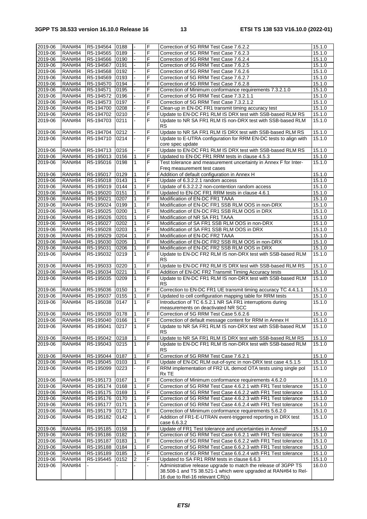| 2019-06 | <b>RAN#84</b> | R5-194564             | 0188 |                | F              | Correction of 5G RRM Test Case 7.6.2.2                                                            | 15.1.0 |
|---------|---------------|-----------------------|------|----------------|----------------|---------------------------------------------------------------------------------------------------|--------|
| 2019-06 | <b>RAN#84</b> | R5-194565             | 0189 |                | F              | Correction of 5G RRM Test Case 7.6.2.3                                                            | 15.1.0 |
| 2019-06 | <b>RAN#84</b> | R5-194566             | 0190 |                | F              | Correction of 5G RRM Test Case 7.6.2.4                                                            | 15.1.0 |
|         |               |                       |      |                | F              |                                                                                                   |        |
| 2019-06 | <b>RAN#84</b> | R5-194567             | 0191 |                |                | Correction of 5G RRM Test Case 7.6.2.5                                                            | 15.1.0 |
| 2019-06 | <b>RAN#84</b> | R5-194568             | 0192 | ä,             | F              | Correction of 5G RRM Test Case 7.6.2.6                                                            | 15.1.0 |
| 2019-06 | <b>RAN#84</b> | R5-194569             | 0193 |                | F              | Correction of 5G RRM Test Case 7.6.2.7                                                            | 15.1.0 |
| 2019-06 | <b>RAN#84</b> | R5-194570             | 0194 |                | F              | Correction of 5G RRM Test Case 7.6.2.8                                                            | 15.1.0 |
| 2019-06 | <b>RAN#84</b> | R5-194571             | 0195 |                | F              | Correction of Minimum conformance requirements 7.3.2.1.0                                          | 15.1.0 |
| 2019-06 | <b>RAN#84</b> | R5-194572             | 0196 |                | F              | Correction of 5G RRM Test Case 7.3.2.1.1                                                          | 15.1.0 |
| 2019-06 | <b>RAN#84</b> | R5-194573             | 0197 |                | F              | Correction of 5G RRM Test Case 7.3.2.1.2                                                          | 15.1.0 |
|         | <b>RAN#84</b> | R5-194700             |      |                | F              |                                                                                                   | 15.1.0 |
| 2019-06 |               |                       | 0208 |                |                | Clean-up in EN-DC FR1 transmit timing accuracy test                                               |        |
| 2019-06 | <b>RAN#84</b> | R5-194702             | 0210 |                | F              | Update to EN-DC FR1 RLM IS DRX test with SSB-based RLM RS                                         | 15.1.0 |
| 2019-06 | <b>RAN#84</b> | R5-194703             | 0211 |                | F              | Update to NR SA FR1 RLM IS non-DRX test with SSB-based RLM                                        | 15.1.0 |
|         |               |                       |      |                |                | <b>RS</b>                                                                                         |        |
| 2019-06 | <b>RAN#84</b> | R5-194704             | 0212 |                | F              | Update to NR SA FR1 RLM IS DRX test with SSB-based RLM RS                                         | 15.1.0 |
| 2019-06 | <b>RAN#84</b> | R5-194710             | 0214 |                | F              | Update to E-UTRA configuration for RRM EN-DC tests to align with                                  | 15.1.0 |
|         |               |                       |      |                |                | core spec update                                                                                  |        |
| 2019-06 | <b>RAN#84</b> | R5-194713             | 0216 |                | F              | Update to EN-DC FR1 RLM IS DRX test with SSB-based RLM RS                                         | 15.1.0 |
| 2019-06 | <b>RAN#84</b> | R5-195013             | 0156 | 1              | F              | Updated to EN-DC FR1 RRM tests in clause 4.5.3                                                    | 15.1.0 |
| 2019-06 | <b>RAN#84</b> | R5-195016             | 0198 | $\mathbf{1}$   | F              | Test tolerance and measurement uncertainty in Annex F for Inter-                                  | 15.1.0 |
|         |               |                       |      |                |                |                                                                                                   |        |
|         |               |                       |      |                |                | Freq measurement test cases                                                                       |        |
| 2019-06 | <b>RAN#84</b> | R5-195017             | 0129 | 1              | F              | Addition of default configuration in Annex H                                                      | 15.1.0 |
| 2019-06 | <b>RAN#84</b> | R5-195018             | 0143 | 1              | F              | Update of 6.3.2.2.1 random access                                                                 | 15.1.0 |
| 2019-06 | <b>RAN#84</b> | R5-195019             | 0144 | 1              | F              | Update of 6.3.2.2.2 non-contention random access                                                  | 15.1.0 |
| 2019-06 | <b>RAN#84</b> | R5-195020             | 0151 | 1              | F              | Updated to EN-DC FR1 RRM tests in clause 4.6.1                                                    | 15.1.0 |
| 2019-06 | <b>RAN#84</b> | R5-195021             | 0207 | 1              | F              | Modification of EN-DC FR1 TAAA                                                                    | 15.1.0 |
| 2019-06 | <b>RAN#84</b> | R5-195024             | 0199 | 1              | F              | Modification of EN-DC FR1 SSB RLM OOS in non-DRX                                                  | 15.1.0 |
| 2019-06 | <b>RAN#84</b> | R5-195025             | 0200 | 1              | F              | Modification of EN-DC FR1 SSB RLM OOS in DRX                                                      | 15.1.0 |
| 2019-06 | <b>RAN#84</b> | R5-195026             | 0201 | 1              | F              | Modification of NR SA FR1 TAAA                                                                    | 15.1.0 |
|         |               |                       |      |                |                |                                                                                                   |        |
| 2019-06 | <b>RAN#84</b> | R5-195027             | 0202 | 1              | F              | Modification of SA FR1 SSB RLM OOS in non-DRX                                                     | 15.1.0 |
| 2019-06 | <b>RAN#84</b> | R5-195028             | 0203 | 1              | F              | Modification of SA FR1 SSB RLM OOS in DRX                                                         | 15.1.0 |
| 2019-06 | <b>RAN#84</b> | R5-195029             | 0204 | 1              | F              | Modification of EN-DC FR2 TAAA                                                                    | 15.1.0 |
| 2019-06 | <b>RAN#84</b> | R5-195030             | 0205 | 1              | F              | Modification of EN-DC FR2 SSB RLM OOS in non-DRX                                                  | 15.1.0 |
| 2019-06 | <b>RAN#84</b> | R5-195031             | 0206 | 1              | F              | Modification of EN-DC FR2 SSB RLM OOS in DRX                                                      | 15.1.0 |
| 2019-06 | <b>RAN#84</b> | R5-195032             | 0219 | 1              | F              | Update to EN-DC FR2 RLM IS non-DRX test with SSB-based RLM                                        | 15.1.0 |
|         |               |                       |      |                |                | <b>RS</b>                                                                                         |        |
| 2019-06 | <b>RAN#84</b> | R5-195033             | 0220 | 1              | F              | Update to EN-DC FR2 RLM IS DRX test with SSB-based RLM RS                                         | 15.1.0 |
|         |               |                       |      |                |                |                                                                                                   |        |
|         |               |                       |      |                |                |                                                                                                   |        |
| 2019-06 | <b>RAN#84</b> | R5-195034             | 0221 | 1              | F              | Addition of EN-DC FR2 Transmit Timing Accuracy tests                                              | 15.1.0 |
| 2019-06 | <b>RAN#84</b> | R5-195035             | 0209 | $\mathbf{1}$   | F              | Update to EN-DC FR1 RLM IS non-DRX test with SSB-based RLM                                        | 15.1.0 |
|         |               |                       |      |                |                | <b>RS</b>                                                                                         |        |
| 2019-06 | <b>RAN#84</b> | R5-195036             | 0150 | $\mathbf{1}$   | $\overline{F}$ | Correction to EN-DC FR1 UE transmit timing accuracy TC 4.4.1.1                                    | 15.1.0 |
| 2019-06 | <b>RAN#84</b> | R5-195037             | 0155 | 1              | F              | Updated to cell configuration mapping table for RRM tests                                         | 15.1.0 |
| 2019-06 | <b>RAN#84</b> | R5-195038             | 0147 | $\mathbf{1}$   | $\overline{F}$ | Introduction of TC 6.5.2.1 NR SA FR1 interruptions during                                         | 15.1.0 |
|         |               |                       |      |                |                | measurements on deactivated NR SCC                                                                |        |
| 2019-06 | <b>RAN#84</b> | R5-195039             | 0178 | 1              | F              | Correction of 5G RRM Test Case 5.6.2.6                                                            | 15.1.0 |
| 2019-06 |               | RAN#84 R5-195040 0166 |      | $\overline{1}$ | $\overline{F}$ | Correction of default message content for RRM in Annex H                                          | 15.1.0 |
|         | <b>RAN#84</b> | R5-195041             | 0217 |                | F              | Update to NR SA FR1 RLM IS non-DRX test with SSB-based RLM                                        |        |
| 2019-06 |               |                       |      |                |                | RS.                                                                                               | 15.1.0 |
| 2019-06 | <b>RAN#84</b> | R5-195042             | 0218 | 1              | F              |                                                                                                   | 15.1.0 |
|         |               |                       |      | $\mathbf{1}$   | F              | Update to NR SA FR1 RLM IS DRX test with SSB-based RLM RS                                         |        |
| 2019-06 | <b>RAN#84</b> | R5-195043             | 0215 |                |                | Update to EN-DC FR1 RLM IS non-DRX test with SSB-based RLM                                        | 15.1.0 |
|         |               |                       |      |                |                | <b>RS</b>                                                                                         |        |
| 2019-06 | <b>RAN#84</b> | R5-195044             | 0187 | 1              | F              | Correction of 5G RRM Test Case 7.6.2.1                                                            | 15.1.0 |
| 2019-06 | <b>RAN#84</b> | R5-195045             | 0103 | 1              | F              | Update of EN-DC RLM out-of-sync in non-DRX test case 4.5.1.5                                      | 15.1.0 |
| 2019-06 | <b>RAN#84</b> | R5-195099             | 0223 |                | F              | RRM implementation of FR2 UL demod OTA tests using single pol                                     | 15.1.0 |
|         |               |                       |      |                |                | Rx TE                                                                                             |        |
| 2019-06 | <b>RAN#84</b> | R5-195173             | 0167 |                | F              | Correction of Minimum conformance requirements 4.6.2.0                                            | 15.1.0 |
| 2019-06 | <b>RAN#84</b> | R5-195174             | 0168 | 1              | F              | Correction of 5G RRM Test Case 4.6.2.1 with FR1 Test tolerance                                    | 15.1.0 |
| 2019-06 | <b>RAN#84</b> | R5-195175             | 0169 |                | F              | Correction of 5G RRM Test Case 4.6.2.2 with FR1 Test tolerance                                    | 15.1.0 |
| 2019-06 | <b>RAN#84</b> | R5-195176             | 0170 | 1              | F              | Correction of 5G RRM Test Case 4.6.2.3 with FR1 Test tolerance                                    | 15.1.0 |
| 2019-06 | <b>RAN#84</b> | R5-195177             | 0171 | 1              | F              | Correction of 5G RRM Test Case 4.6.2.4 with FR1 Test tolerance                                    | 15.1.0 |
|         |               |                       |      |                | F              |                                                                                                   |        |
| 2019-06 | <b>RAN#84</b> | R5-195179             | 0172 |                |                | Correction of Minimum conformance requirements 5.6.2.0                                            | 15.1.0 |
| 2019-06 | <b>RAN#84</b> | R5-195182             | 0142 | 1              | F              | Addition of FR1-E-UTRAN event-triggered reporting in DRX test                                     | 15.1.0 |
|         |               |                       |      |                |                | case 6.6.3.2                                                                                      |        |
| 2019-06 | <b>RAN#84</b> | R5-195185             | 0158 | 1              | F              | Update of FR1 Test tolerance and uncertainties in AnnexF                                          | 15.1.0 |
| 2019-06 | <b>RAN#84</b> | R5-195186             | 0182 | 1              | F              | Correction of 5G RRM Test Case 6.6.2.1 with FR1 Test tolerance                                    | 15.1.0 |
| 2019-06 | <b>RAN#84</b> | R5-195187             | 0183 | 1              | F              | Correction of 5G RRM Test Case 6.6.2.2 with FR1 Test tolerance                                    | 15.1.0 |
| 2019-06 | <b>RAN#84</b> | R5-195188             | 0184 | 1              | F              | Correction of 5G RRM Test Case 6.6.2.3 with FR1 Test tolerance                                    | 15.1.0 |
| 2019-06 | <b>RAN#84</b> | R5-195189             | 0185 |                | F              | Correction of 5G RRM Test Case 6.6.2.4 with FR1 Test tolerance                                    | 15.1.0 |
| 2019-06 | <b>RAN#84</b> | R5-195445             | 0152 | $\overline{2}$ | F              | Updated to SA FR1 RRM tests in clause 6.6.3                                                       | 15.1.0 |
| 2019-06 | <b>RAN#84</b> |                       |      |                |                | Administrative release upgrade to match the release of 3GPP TS                                    | 16.0.0 |
|         |               |                       |      |                |                | 38.508-1 and TS 38.521-1 which were upgraded at RAN#84 to Rel-<br>16 due to Rel-16 relevant CR(s) |        |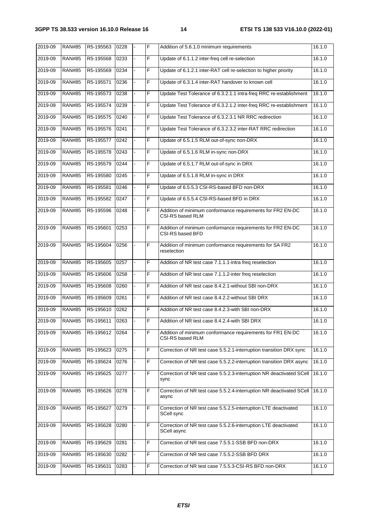| 2019-09 | <b>RAN#85</b> | R5-195563 | 0228 | F  | Addition of 5.6.1.0 minimum requirements                                              | 16.1.0 |
|---------|---------------|-----------|------|----|---------------------------------------------------------------------------------------|--------|
| 2019-09 | <b>RAN#85</b> | R5-195568 | 0233 | F  | Update of 6.1.1.2 inter-freq cell re-selection                                        | 16.1.0 |
| 2019-09 | <b>RAN#85</b> | R5-195569 | 0234 | F  | Update of 6.1.2.1 inter-RAT cell re-selection to higher priority                      | 16.1.0 |
| 2019-09 | <b>RAN#85</b> | R5-195571 | 0236 | F  | Update of 6.3.1.4 inter-RAT handover to known cell                                    | 16.1.0 |
| 2019-09 | <b>RAN#85</b> | R5-195573 | 0238 | F  | Update Test Tolerance of 6.3.2.1.1 intra-freq RRC re-establishment                    | 16.1.0 |
| 2019-09 | <b>RAN#85</b> | R5-195574 | 0239 | F  | Update Test Tolerance of 6.3.2.1.2 inter-freq RRC re-establishment                    | 16.1.0 |
| 2019-09 | <b>RAN#85</b> | R5-195575 | 0240 | F  | Update Test Tolerance of 6.3.2.3.1 NR RRC redirection                                 | 16.1.0 |
| 2019-09 | <b>RAN#85</b> | R5-195576 | 0241 | F  | Update Test Tolerance of 6.3.2.3.2 inter-RAT RRC redirection                          | 16.1.0 |
| 2019-09 | <b>RAN#85</b> | R5-195577 | 0242 | F  | Update of 6.5.1.5 RLM out-of-sync non-DRX                                             | 16.1.0 |
| 2019-09 | <b>RAN#85</b> | R5-195578 | 0243 | F  | Update of 6.5.1.6 RLM in-sync non-DRX                                                 | 16.1.0 |
| 2019-09 | <b>RAN#85</b> | R5-195579 | 0244 | F  | Update of 6.5.1.7 RLM out-of-sync in DRX                                              | 16.1.0 |
| 2019-09 | <b>RAN#85</b> | R5-195580 | 0245 | F  | Update of 6.5.1.8 RLM in-sync in DRX                                                  | 16.1.0 |
| 2019-09 | <b>RAN#85</b> | R5-195581 | 0246 | F  | Update of 6.5.5.3 CSI-RS-based BFD non-DRX                                            | 16.1.0 |
| 2019-09 | <b>RAN#85</b> | R5-195582 | 0247 | F  | Update of 6.5.5.4 CSI-RS-based BFD in DRX                                             | 16.1.0 |
| 2019-09 | <b>RAN#85</b> | R5-195596 | 0248 | F  | Addition of minimum conformance requirements for FR2 EN-DC<br><b>CSI-RS based RLM</b> | 16.1.0 |
| 2019-09 | <b>RAN#85</b> | R5-195601 | 0253 | F  | Addition of minimum conformance requirements for FR2 EN-DC<br>CSI-RS based BFD        | 16.1.0 |
| 2019-09 | <b>RAN#85</b> | R5-195604 | 0256 | F  | Addition of minimum conformance requirements for SA FR2<br>reselection                | 16.1.0 |
| 2019-09 | <b>RAN#85</b> | R5-195605 | 0257 | F  | Addition of NR test case 7.1.1.1-intra freq reselection                               | 16.1.0 |
| 2019-09 | <b>RAN#85</b> | R5-195606 | 0258 | F  | Addition of NR test case 7.1.1.2-inter freq reselection                               | 16.1.0 |
| 2019-09 | <b>RAN#85</b> | R5-195608 | 0260 | F  | Addition of NR test case 8.4.2.1-without SBI non-DRX                                  | 16.1.0 |
| 2019-09 | <b>RAN#85</b> | R5-195609 | 0261 | F  | Addition of NR test case 8.4.2.2-without SBI DRX                                      | 16.1.0 |
| 2019-09 | <b>RAN#85</b> | R5-195610 | 0262 | F  | Addition of NR test case 8.4.2.3-with SBI non-DRX                                     | 16.1.0 |
| 2019-09 | RAN#85        | R5-195611 | 0263 | IF | Addition of NR test case 8.4.2.4-with SBI DRX                                         | 16.1.0 |
| 2019-09 | <b>RAN#85</b> | R5-195612 | 0264 | F  | Addition of minimum conformance requirements for FR1 EN-DC<br><b>CSI-RS based RLM</b> | 16.1.0 |
| 2019-09 | <b>RAN#85</b> | R5-195623 | 0275 | F  | Correction of NR test case 5.5.2.1-interruption transition DRX sync                   | 16.1.0 |
| 2019-09 | <b>RAN#85</b> | R5-195624 | 0276 | F  | Correction of NR test case 5.5.2.2-interruption transition DRX async                  | 16.1.0 |
| 2019-09 | <b>RAN#85</b> | R5-195625 | 0277 | F  | Correction of NR test case 5.5.2.3-interruption NR deactivated SCell<br>sync          | 16.1.0 |
| 2019-09 | <b>RAN#85</b> | R5-195626 | 0278 | F  | Correction of NR test case 5.5.2.4-interruption NR deactivated SCell<br>async         | 16.1.0 |
| 2019-09 | <b>RAN#85</b> | R5-195627 | 0279 | F  | Correction of NR test case 5.5.2.5-interruption LTE deactivated<br>SCell sync         | 16.1.0 |
| 2019-09 | <b>RAN#85</b> | R5-195628 | 0280 | F  | Correction of NR test case 5.5.2.6-interruption LTE deactivated<br>SCell async        | 16.1.0 |
| 2019-09 | <b>RAN#85</b> | R5-195629 | 0281 | F  | Correction of NR test case 7.5.5.1-SSB BFD non-DRX                                    | 16.1.0 |
| 2019-09 | <b>RAN#85</b> | R5-195630 | 0282 | F  | Correction of NR test case 7.5.5.2-SSB BFD DRX                                        | 16.1.0 |
| 2019-09 | <b>RAN#85</b> | R5-195631 | 0283 | F  | Correction of NR test case 7.5.5.3-CSI-RS BFD non-DRX                                 | 16.1.0 |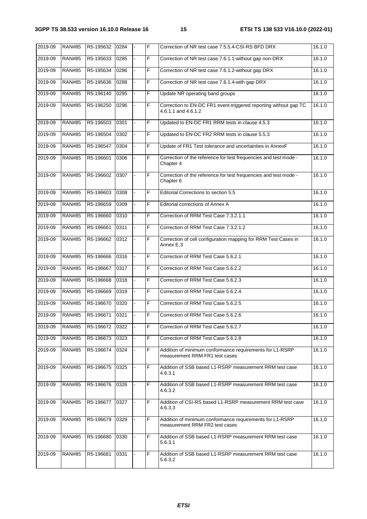| 2019-09 | <b>RAN#85</b> | R5-195632 | 0284 |                | F | Correction of NR test case 7.5.5.4-CSI-RS BFD DRX                                          | 16.1.0 |
|---------|---------------|-----------|------|----------------|---|--------------------------------------------------------------------------------------------|--------|
| 2019-09 | <b>RAN#85</b> | R5-195633 | 0285 |                | F | Correction of NR test case 7.6.1.1-without gap non-DRX                                     | 16.1.0 |
| 2019-09 | <b>RAN#85</b> | R5-195634 | 0286 |                | F | Correction of NR test case 7.6.1.2-without gap DRX                                         | 16.1.0 |
| 2019-09 | <b>RAN#85</b> | R5-195636 | 0288 |                | F | Correction of NR test case 7.6.1.4-with gap DRX                                            | 16.1.0 |
| 2019-09 | <b>RAN#85</b> | R5-196140 | 0295 |                | F | Update NR operating band groups                                                            | 16.1.0 |
| 2019-09 | <b>RAN#85</b> | R5-196250 | 0296 |                | F | Correction to EN-DC FR1 event-triggered reporting without gap TC<br>4.6.1.1 and 4.6.1.2    | 16.1.0 |
| 2019-09 | <b>RAN#85</b> | R5-196503 | 0301 |                | F | Updated to EN-DC FR1 RRM tests in clause 4.5.3                                             | 16.1.0 |
| 2019-09 | <b>RAN#85</b> | R5-196504 | 0302 |                | F | Updated to EN-DC FR2 RRM tests in clause 5.5.3                                             | 16.1.0 |
| 2019-09 | <b>RAN#85</b> | R5-196547 | 0304 |                | F | Update of FR1 Test tolerance and uncertainties in AnnexF                                   | 16.1.0 |
| 2019-09 | <b>RAN#85</b> | R5-196601 | 0306 |                | F | Correction of the reference for test frequencies and test mode -<br>Chapter 4              | 16.1.0 |
| 2019-09 | <b>RAN#85</b> | R5-196602 | 0307 |                | F | Correction of the reference for test frequencies and test mode -<br>Chapter 6              | 16.1.0 |
| 2019-09 | <b>RAN#85</b> | R5-196603 | 0308 | ÷.             | F | Editorial Corrections to section 5.5                                                       | 16.1.0 |
| 2019-09 | <b>RAN#85</b> | R5-196659 | 0309 |                | F | Editorial corrections of Annex A                                                           | 16.1.0 |
| 2019-09 | <b>RAN#85</b> | R5-196660 | 0310 |                | F | Correction of RRM Test Case 7.3.2.1.1                                                      | 16.1.0 |
| 2019-09 | <b>RAN#85</b> | R5-196661 | 0311 |                | F | Correction of RRM Test Case 7.3.2.1.2                                                      | 16.1.0 |
| 2019-09 | <b>RAN#85</b> | R5-196662 | 0312 |                | F | Correction of cell configuration mapping for RRM Test Cases in<br>Annex E.3                | 16.1.0 |
| 2019-09 | <b>RAN#85</b> | R5-196666 | 0316 |                | F | Correction of RRM Test Case 5.6.2.1                                                        | 16.1.0 |
| 2019-09 | <b>RAN#85</b> | R5-196667 | 0317 | $\blacksquare$ | F | Correction of RRM Test Case 5.6.2.2                                                        | 16.1.0 |
| 2019-09 | <b>RAN#85</b> | R5-196668 | 0318 |                | F | Correction of RRM Test Case 5.6.2.3                                                        | 16.1.0 |
| 2019-09 | <b>RAN#85</b> | R5-196669 | 0319 |                | F | Correction of RRM Test Case 5.6.2.4                                                        | 16.1.0 |
| 2019-09 | <b>RAN#85</b> | R5-196670 | 0320 | ÷.             | F | Correction of RRM Test Case 5.6.2.5                                                        | 16.1.0 |
| 2019-09 | <b>RAN#85</b> | R5-196671 | 0321 |                | F | Correction of RRM Test Case 5.6.2.6                                                        | 16.1.0 |
| 2019-09 | <b>RAN#85</b> | R5-196672 | 0322 |                | F | Correction of RRM Test Case 5.6.2.7                                                        | 16.1.0 |
| 2019-09 | <b>RAN#85</b> | R5-196673 | 0323 |                | F | Correction of RRM Test Case 5.6.2.8                                                        | 16.1.0 |
| 2019-09 | <b>RAN#85</b> | R5-196674 | 0324 |                | F | Addition of minimum conformance requirements for L1-RSRP<br>measurement RRM FR1 test cases | 16.1.0 |
| 2019-09 | <b>RAN#85</b> | R5-196675 | 0325 |                | F | Addition of SSB based L1-RSRP measurement RRM test case<br>4.6.3.1                         | 16.1.0 |
| 2019-09 | <b>RAN#85</b> | R5-196676 | 0326 |                | F | Addition of SSB based L1-RSRP measurement RRM test case<br>4.6.3.2                         | 16.1.0 |
| 2019-09 | <b>RAN#85</b> | R5-196677 | 0327 |                | F | Addition of CSI-RS based L1-RSRP measurement RRM test case<br>4.6.3.3                      | 16.1.0 |
| 2019-09 | <b>RAN#85</b> | R5-196679 | 0329 |                | F | Addition of minimum conformance requirements for L1-RSRP<br>measurement RRM FR2 test cases | 16.1.0 |
| 2019-09 | <b>RAN#85</b> | R5-196680 | 0330 |                | F | Addition of SSB based L1-RSRP measurement RRM test case<br>5.6.3.1                         | 16.1.0 |
| 2019-09 | <b>RAN#85</b> | R5-196681 | 0331 |                | F | Addition of SSB based L1-RSRP measurement RRM test case<br>5.6.3.2                         | 16.1.0 |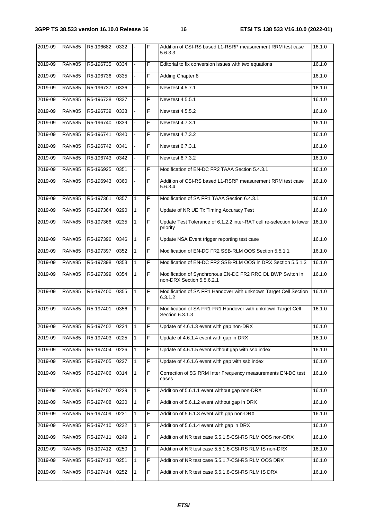| 2019-09 | <b>RAN#85</b> | R5-196682 | 0332 |              | F  | Addition of CSI-RS based L1-RSRP measurement RRM test case<br>5.6.3.3                   | 16.1.0 |
|---------|---------------|-----------|------|--------------|----|-----------------------------------------------------------------------------------------|--------|
| 2019-09 | <b>RAN#85</b> | R5-196735 | 0334 |              | F  | Editorial to fix conversion issues with two equations                                   | 16.1.0 |
| 2019-09 | <b>RAN#85</b> | R5-196736 | 0335 |              | F  | <b>Adding Chapter 8</b>                                                                 | 16.1.0 |
| 2019-09 | <b>RAN#85</b> | R5-196737 | 0336 |              | F  | New test 4.5.7.1                                                                        | 16.1.0 |
| 2019-09 | <b>RAN#85</b> | R5-196738 | 0337 |              | F  | New test 4.5.5.1                                                                        | 16.1.0 |
| 2019-09 | <b>RAN#85</b> | R5-196739 | 0338 |              | F  | New test 4.5.5.2                                                                        | 16.1.0 |
| 2019-09 | <b>RAN#85</b> | R5-196740 | 0339 |              | F  | New test 4.7.3.1                                                                        | 16.1.0 |
| 2019-09 | <b>RAN#85</b> | R5-196741 | 0340 |              | F. | New test 4.7.3.2                                                                        | 16.1.0 |
| 2019-09 | <b>RAN#85</b> | R5-196742 | 0341 |              | F  | New test 6.7.3.1                                                                        | 16.1.0 |
| 2019-09 | <b>RAN#85</b> | R5-196743 | 0342 |              | F  | New test 6.7.3.2                                                                        | 16.1.0 |
| 2019-09 | <b>RAN#85</b> | R5-196925 | 0351 |              | F  | Modification of EN-DC FR2 TAAA Section 5.4.3.1                                          | 16.1.0 |
| 2019-09 | <b>RAN#85</b> | R5-196943 | 0360 |              | F  | Addition of CSI-RS based L1-RSRP measurement RRM test case<br>5.6.3.4                   | 16.1.0 |
| 2019-09 | <b>RAN#85</b> | R5-197361 | 0357 | 1            | F  | Modification of SA FR1 TAAA Section 6.4.3.1                                             | 16.1.0 |
| 2019-09 | <b>RAN#85</b> | R5-197364 | 0290 | 1            | F  | Update of NR UE Tx Timing Accuracy Test                                                 | 16.1.0 |
| 2019-09 | <b>RAN#85</b> | R5-197366 | 0235 | $\mathbf{1}$ | F  | Update Test Tolerance of 6.1.2.2 inter-RAT cell re-selection to lower<br>priority       | 16.1.0 |
| 2019-09 | <b>RAN#85</b> | R5-197396 | 0346 | 1            | F  | Update NSA Event trigger reporting test case                                            | 16.1.0 |
| 2019-09 | <b>RAN#85</b> | R5-197397 | 0352 | $\mathbf{1}$ | F  | Modification of EN-DC FR2 SSB-RLM OOS Section 5.5.1.1                                   | 16.1.0 |
| 2019-09 | <b>RAN#85</b> | R5-197398 | 0353 | $\mathbf{1}$ | F  | Modification of EN-DC FR2 SSB-RLM OOS in DRX Section 5.5.1.3                            | 16.1.0 |
| 2019-09 | <b>RAN#85</b> | R5-197399 | 0354 | 1            | F  | Modification of Synchronous EN-DC FR2 RRC DL BWP Switch in<br>non-DRX Section 5.5.6.2.1 | 16.1.0 |
| 2019-09 | <b>RAN#85</b> | R5-197400 | 0355 | 1            | F  | Modification of SA FR1 Handover with unknown Target Cell Section<br>6.3.1.2             | 16.1.0 |
| 2019-09 | <b>RAN#85</b> | R5-197401 | 0356 | 1            | F  | Modification of SA FR1-FR1 Handover with unknown Target Cell<br>Section 6.3.1.3         | 16.1.0 |
| 2019-09 | <b>RAN#85</b> | R5-197402 | 0224 | $\mathbf{1}$ | F  | Update of 4.6.1.3 event with gap non-DRX                                                | 16.1.0 |
| 2019-09 | <b>RAN#85</b> | R5-197403 | 0225 | 1            | F  | Update of 4.6.1.4 event with gap in DRX                                                 | 16.1.0 |
| 2019-09 | <b>RAN#85</b> | R5-197404 | 0226 | 1            | F  | Update of 4.6.1.5 event without gap with ssb index                                      | 16.1.0 |
| 2019-09 | <b>RAN#85</b> | R5-197405 | 0227 | 1            | F  | Update of 4.6.1.6 event with gap with ssb index                                         | 16.1.0 |
| 2019-09 | <b>RAN#85</b> | R5-197406 | 0314 | 1            | F  | Correction of 5G RRM Inter Frequency measurements EN-DC test<br>cases                   | 16.1.0 |
| 2019-09 | <b>RAN#85</b> | R5-197407 | 0229 | 1            | F  | Addition of 5.6.1.1 event without gap non-DRX                                           | 16.1.0 |
| 2019-09 | <b>RAN#85</b> | R5-197408 | 0230 | 1            | F  | Addition of 5.6.1.2 event without gap in DRX                                            | 16.1.0 |
| 2019-09 | <b>RAN#85</b> | R5-197409 | 0231 | 1            | F  | Addition of 5.6.1.3 event with gap non-DRX                                              | 16.1.0 |
| 2019-09 | <b>RAN#85</b> | R5-197410 | 0232 | 1            | F  | Addition of 5.6.1.4 event with gap in DRX                                               | 16.1.0 |
| 2019-09 | <b>RAN#85</b> | R5-197411 | 0249 | 1            | F  | Addition of NR test case 5.5.1.5-CSI-RS RLM OOS non-DRX                                 | 16.1.0 |
| 2019-09 | <b>RAN#85</b> | R5-197412 | 0250 | 1            | F  | Addition of NR test case 5.5.1.6-CSI-RS RLM IS non-DRX                                  | 16.1.0 |
| 2019-09 | <b>RAN#85</b> | R5-197413 | 0251 | 1            | F  | Addition of NR test case 5.5.1.7-CSI-RS RLM OOS DRX                                     | 16.1.0 |
| 2019-09 | <b>RAN#85</b> | R5-197414 | 0252 | 1            | F  | Addition of NR test case 5.5.1.8-CSI-RS RLM IS DRX                                      | 16.1.0 |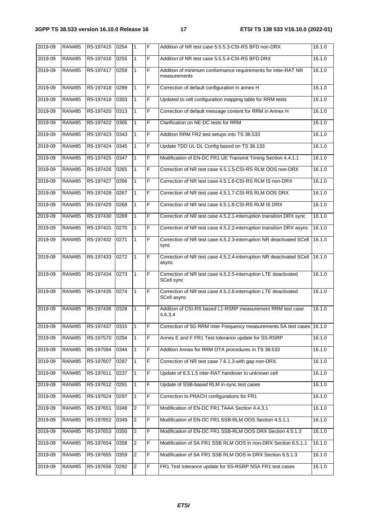| 2019-09 | <b>RAN#85</b> | R5-197415 | 0254 | 1                       | F              | Addition of NR test case 5.5.5.3-CSI-RS BFD non-DRX                            | 16.1.0 |
|---------|---------------|-----------|------|-------------------------|----------------|--------------------------------------------------------------------------------|--------|
| 2019-09 | <b>RAN#85</b> | R5-197416 | 0255 | 1                       | F              | Addition of NR test case 5.5.5.4-CSI-RS BFD DRX                                | 16.1.0 |
| 2019-09 | <b>RAN#85</b> | R5-197417 | 0259 | 1                       | F              | Addition of minimum conformance requirements for inter-RAT NR<br>measurements  | 16.1.0 |
| 2019-09 | <b>RAN#85</b> | R5-197418 | 0289 | 1                       | F              | Correction of default configuration in annex H                                 | 16.1.0 |
| 2019-09 | <b>RAN#85</b> | R5-197419 | 0303 | 1                       | F              | Updated to cell configuration mapping table for RRM tests                      | 16.1.0 |
| 2019-09 | <b>RAN#85</b> | R5-197420 | 0313 | 1                       | F              | Correction of default message content for RRM in Annex H                       | 16.1.0 |
| 2019-09 | <b>RAN#85</b> | R5-197422 | 0305 | 1                       | F              | Clarification on NE-DC tests for RRM                                           | 16.1.0 |
| 2019-09 | <b>RAN#85</b> | R5-197423 | 0343 | 1                       | F              | Addition RRM FR2 test setups into TS 38.533                                    | 16.1.0 |
| 2019-09 | <b>RAN#85</b> | R5-197424 | 0345 | $\mathbf{1}$            | F              | Update TDD UL-DL Config based on TS 38.133                                     | 16.1.0 |
| 2019-09 | <b>RAN#85</b> | R5-197425 | 0347 | 1                       | F              | Modification of EN-DC FR1 UE Transmit Timing Section 4.4.1.1                   | 16.1.0 |
| 2019-09 | <b>RAN#85</b> | R5-197426 | 0265 | $\mathbf{1}$            | F              | Correction of NR test case 4.5.1.5-CSI-RS RLM OOS non-DRX                      | 16.1.0 |
| 2019-09 | <b>RAN#85</b> | R5-197427 | 0266 | $\mathbf{1}$            | F              | Correction of NR test case 4.5.1.6-CSI-RS RLM IS non-DRX                       | 16.1.0 |
| 2019-09 | <b>RAN#85</b> | R5-197428 | 0267 | $\mathbf{1}$            | F              | Correction of NR test case 4.5.1.7-CSI-RS RLM OOS DRX                          | 16.1.0 |
| 2019-09 | <b>RAN#85</b> | R5-197429 | 0268 | $\mathbf{1}$            | F              | Correction of NR test case 4.5.1.8-CSI-RS RLM IS DRX                           | 16.1.0 |
| 2019-09 | <b>RAN#85</b> | R5-197430 | 0269 | 1                       | F              | Correction of NR test case 4.5.2.1-interruption transition DRX sync            | 16.1.0 |
| 2019-09 | <b>RAN#85</b> | R5-197431 | 0270 | $\mathbf{1}$            | F              | Correction of NR test case 4.5.2.2-interruption transition DRX async           | 16.1.0 |
| 2019-09 | <b>RAN#85</b> | R5-197432 | 0271 | 1                       | F              | Correction of NR test case 4.5.2.3-interruption NR deactivated SCell<br>sync   | 16.1.0 |
| 2019-09 | <b>RAN#85</b> | R5-197433 | 0272 | 1                       | F              | Correction of NR test case 4.5.2.4-interruption NR deactivated SCell<br>async  | 16.1.0 |
| 2019-09 | <b>RAN#85</b> | R5-197434 | 0273 | 1                       | F              | Correction of NR test case 4.5.2.5-interruption LTE deactivated<br>SCell sync  | 16.1.0 |
| 2019-09 | <b>RAN#85</b> | R5-197435 | 0274 | 1                       | F              | Correction of NR test case 4.5.2.6-interruption LTE deactivated<br>SCell async | 16.1.0 |
| 2019-09 | <b>RAN#85</b> | R5-197436 | 0328 | 1                       | F              | Addition of CSI-RS based L1-RSRP measurement RRM test case<br>4.6.3.4          | 16.1.0 |
| 2019-09 | <b>RAN#85</b> | R5-197437 | 0315 | 1                       | F              | Correction of 5G RRM Inter Frequency measurements SA test cases 16.1.0         |        |
| 2019-09 | <b>RAN#85</b> | R5-197570 | 0294 | 1                       | F              | Annex E and F FR1 Test tolerance update for SS-RSRP                            | 16.1.0 |
| 2019-09 | <b>RAN#85</b> | R5-197584 | 0344 | 1                       | F              | Addition Annex for RRM OTA procedures in TS 38.533                             | 16.1.0 |
| 2019-09 | <b>RAN#85</b> | R5-197607 | 0287 | 1                       | F              | Correction of NR test case 7.6.1.3-with gap non-DRX.                           | 16.1.0 |
| 2019-09 | <b>RAN#85</b> | R5-197611 | 0237 | 1                       | $\overline{F}$ | Update of 6.3.1.5 inter-RAT handover to unknown cell                           | 16.1.0 |
| 2019-09 | <b>RAN#85</b> | R5-197612 | 0291 | 1                       | $\overline{F}$ | Update of SSB-based RLM in-sync test cases                                     | 16.1.0 |
| 2019-09 | <b>RAN#85</b> | R5-197624 | 0297 | 1                       | F              | Correction to PRACH configurations for FR1                                     | 16.1.0 |
| 2019-09 | <b>RAN#85</b> | R5-197651 | 0348 | $\overline{2}$          | F              | Modification of EN-DC FR1 TAAA Section 4.4.3.1                                 | 16.1.0 |
| 2019-09 | <b>RAN#85</b> | R5-197652 | 0349 | $\overline{2}$          | F              | Modification of EN-DC FR1 SSB-RLM OOS Section 4.5.1.1                          | 16.1.0 |
| 2019-09 | <b>RAN#85</b> | R5-197653 | 0350 | $\overline{c}$          | F              | Modification of EN-DC FR1 SSB-RLM OOS DRX Section 4.5.1.3                      | 16.1.0 |
| 2019-09 | <b>RAN#85</b> | R5-197654 | 0358 | $\overline{2}$          | F              | Modification of SA FR1 SSB RLM OOS in non-DRX Section 6.5.1.1                  | 16.1.0 |
| 2019-09 | <b>RAN#85</b> | R5-197655 | 0359 | $\overline{c}$          | $\overline{F}$ | Modification of SA FR1 SSB RLM OOS in DRX Section 6.5.1.3                      | 16.1.0 |
| 2019-09 | <b>RAN#85</b> | R5-197656 | 0292 | $\overline{\mathbf{c}}$ | F              | FR1 Test tolerance update for SS-RSRP NSA FR1 test cases                       | 16.1.0 |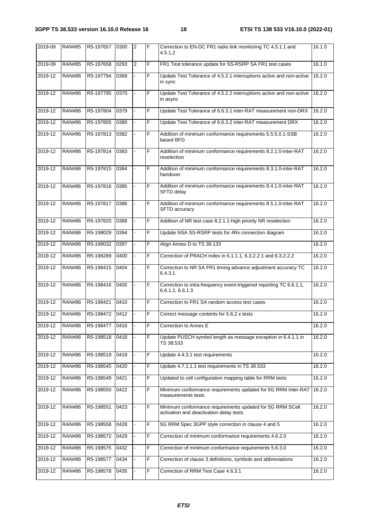| 2019-09 | <b>RAN#85</b> | R5-197657 | 0300 | <sup>2</sup>   | F | Correction to EN-DC FR1 radio link monitoring TC 4.5.1.1 and<br>4.5.1.2                              | 16.1.0 |
|---------|---------------|-----------|------|----------------|---|------------------------------------------------------------------------------------------------------|--------|
| 2019-09 | <b>RAN#85</b> | R5-197658 | 0293 | $\overline{2}$ | F | FR1 Test tolerance update for SS-RSRP SA FR1 test cases                                              | 16.1.0 |
| 2019-12 | <b>RAN#86</b> | R5-197794 | 0369 |                | F | Update Test Tolerance of 4.5.2.1 interruptions active and non-active<br>in sync                      | 16.2.0 |
| 2019-12 | <b>RAN#86</b> | R5-197795 | 0370 |                | F | Update Test Tolerance of 4.5.2.2 interruptions active and non-active<br>in async                     | 16.2.0 |
| 2019-12 | <b>RAN#86</b> | R5-197804 | 0379 |                | F | Update Test Tolerance of 6.6.3.1 inter-RAT measurement non-DRX                                       | 16.2.0 |
| 2019-12 | <b>RAN#86</b> | R5-197805 | 0380 |                | F | Update Test Tolerance of 6.6.3.2 inter-RAT measurement DRX                                           | 16.2.0 |
| 2019-12 | <b>RAN#86</b> | R5-197813 | 0382 |                | F | Addition of minimum conformance requirements 5.5.5.0.1-SSB<br>based BFD                              | 16.2.0 |
| 2019-12 | <b>RAN#86</b> | R5-197814 | 0383 |                | F | Addition of minimum conformance requirements 8.2.1.0-inter-RAT<br>reselection                        | 16.2.0 |
| 2019-12 | <b>RAN#86</b> | R5-197815 | 0384 |                | F | Addition of minimum conformance requirements 8.3.1.0-inter-RAT<br>handover                           | 16.2.0 |
| 2019-12 | <b>RAN#86</b> | R5-197816 | 0385 |                | F | Addition of minimum conformance requirements 8.4.1.0-inter-RAT<br><b>SFTD delay</b>                  | 16.2.0 |
| 2019-12 | <b>RAN#86</b> | R5-197817 | 0386 |                | F | Addition of minimum conformance requirements 8.5.1.0-inter-RAT<br>SFTD accuracy                      | 16.2.0 |
| 2019-12 | <b>RAN#86</b> | R5-197820 | 0389 |                | F | Addition of NR test case 8.2.1.1-high priority NR reselection                                        | 16.2.0 |
| 2019-12 | <b>RAN#86</b> | R5-198029 | 0394 |                | F | Update NSA SS-RSRP tests for 4Rx connection diagram                                                  | 16.2.0 |
| 2019-12 | <b>RAN#86</b> | R5-198032 | 0397 |                | F | Align Annex D to TS 38.133                                                                           | 16.2.0 |
| 2019-12 | <b>RAN#86</b> | R5-198289 | 0400 |                | F | Correction of PRACH index in 6.1.1.1, 6.3.2.2.1 and 6.3.2.2.2                                        | 16.2.0 |
| 2019-12 | <b>RAN#86</b> | R5-198415 | 0404 |                | F | Correction to NR SA FR1 timing advance adjustment accuracy TC<br>6.4.3.1                             | 16.2.0 |
| 2019-12 | <b>RAN#86</b> | R5-198416 | 0405 |                | F | Correction to intra-frequency event-triggered reporting TC 6.6.1.1,<br>6.6.1.2, 6.6.1.3              | 16.2.0 |
| 2019-12 | <b>RAN#86</b> | R5-198421 | 0410 |                | F | Correction to FR1 SA random access test cases                                                        | 16.2.0 |
| 2019-12 | <b>RAN#86</b> | R5-198472 | 0412 |                | F | Correct message contents for 5.6.2.x tests                                                           | 16.2.0 |
| 2019-12 | <b>RAN#86</b> | R5-198477 | 0416 |                | F | Correction to Annex E                                                                                | 16.2.0 |
| 2019-12 | <b>RAN#86</b> | R5-198518 | 0418 |                | F | Update PUSCH symbol length as message exception in 6.4.1.1 in<br>TS 38.533                           | 16.2.0 |
| 2019-12 | <b>RAN#86</b> | R5-198519 | 0419 |                | F | Update 4.4.3.1 test requirements                                                                     | 16.2.0 |
| 2019-12 | <b>RAN#86</b> | R5-198545 | 0420 |                | F | Update 4.7.1.1.1 test requirements in TS 38.533                                                      | 16.2.0 |
| 2019-12 | <b>RAN#86</b> | R5-198549 | 0421 |                | F | Updated to cell configuration mapping table for RRM tests                                            | 16.2.0 |
| 2019-12 | <b>RAN#86</b> | R5-198550 | 0422 |                | F | Minimum conformance requirements updated for 5G RRM Inter-RAT<br>measurements tests                  | 16.2.0 |
| 2019-12 | <b>RAN#86</b> | R5-198551 | 0423 |                | F | Minimum conformance requirements updated for 5G RRM SCell<br>activation and deactivation delay tests | 16.2.0 |
| 2019-12 | <b>RAN#86</b> | R5-198558 | 0428 |                | F | 5G RRM Spec 3GPP style correction in clause 4 and 5                                                  | 16.2.0 |
| 2019-12 | <b>RAN#86</b> | R5-198572 | 0429 |                | F | Correction of minimum conformance requirements 4.6.2.0                                               | 16.2.0 |
| 2019-12 | <b>RAN#86</b> | R5-198575 | 0432 |                | F | Correction of minimum conformance requirements 5.6.3.0                                               | 16.2.0 |
| 2019-12 | <b>RAN#86</b> | R5-198577 | 0434 |                | F | Correction of clause 3 definitions, symbols and abbreviations                                        | 16.2.0 |
| 2019-12 | <b>RAN#86</b> | R5-198578 | 0435 |                | F | Correction of RRM Test Case 4.6.3.1                                                                  | 16.2.0 |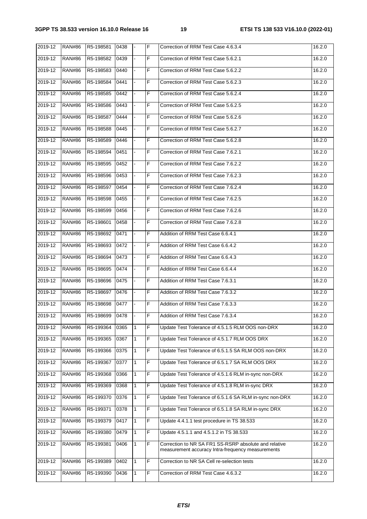| $2019 - 12$ | <b>RAN#86</b> | R5-198581 | 0438 | $\overline{a}$ | F | Correction of RRM Test Case 4.6.3.4                                                                        | 16.2.0 |
|-------------|---------------|-----------|------|----------------|---|------------------------------------------------------------------------------------------------------------|--------|
| 2019-12     | <b>RAN#86</b> | R5-198582 | 0439 |                | F | Correction of RRM Test Case 5.6.2.1                                                                        | 16.2.0 |
| 2019-12     | <b>RAN#86</b> | R5-198583 | 0440 |                | F | Correction of RRM Test Case 5.6.2.2                                                                        | 16.2.0 |
| 2019-12     | <b>RAN#86</b> | R5-198584 | 0441 | $\blacksquare$ | F | Correction of RRM Test Case 5.6.2.3                                                                        | 16.2.0 |
| 2019-12     | <b>RAN#86</b> | R5-198585 | 0442 |                | F | Correction of RRM Test Case 5.6.2.4                                                                        | 16.2.0 |
| 2019-12     | <b>RAN#86</b> | R5-198586 | 0443 |                | F | Correction of RRM Test Case 5.6.2.5                                                                        | 16.2.0 |
| 2019-12     | <b>RAN#86</b> | R5-198587 | 0444 |                | F | Correction of RRM Test Case 5.6.2.6                                                                        | 16.2.0 |
| 2019-12     | <b>RAN#86</b> | R5-198588 | 0445 |                | F | Correction of RRM Test Case 5.6.2.7                                                                        | 16.2.0 |
| 2019-12     | <b>RAN#86</b> | R5-198589 | 0446 |                | F | Correction of RRM Test Case 5.6.2.8                                                                        | 16.2.0 |
| 2019-12     | <b>RAN#86</b> | R5-198594 | 0451 | $\blacksquare$ | F | Correction of RRM Test Case 7.6.2.1                                                                        | 16.2.0 |
| 2019-12     | <b>RAN#86</b> | R5-198595 | 0452 |                | F | Correction of RRM Test Case 7.6.2.2                                                                        | 16.2.0 |
| 2019-12     | <b>RAN#86</b> | R5-198596 | 0453 |                | F | Correction of RRM Test Case 7.6.2.3                                                                        | 16.2.0 |
| 2019-12     | <b>RAN#86</b> | R5-198597 | 0454 | $\blacksquare$ | F | Correction of RRM Test Case 7.6.2.4                                                                        | 16.2.0 |
| 2019-12     | <b>RAN#86</b> | R5-198598 | 0455 |                | F | Correction of RRM Test Case 7.6.2.5                                                                        | 16.2.0 |
| 2019-12     | <b>RAN#86</b> | R5-198599 | 0456 |                | F | Correction of RRM Test Case 7.6.2.6                                                                        | 16.2.0 |
| $2019 - 12$ | <b>RAN#86</b> | R5-198601 | 0458 |                | F | Correction of RRM Test Case 7.6.2.8                                                                        | 16.2.0 |
| 2019-12     | <b>RAN#86</b> | R5-198692 | 0471 | $\omega$       | F | Addition of RRM Test Case 6.6.4.1                                                                          | 16.2.0 |
| 2019-12     | <b>RAN#86</b> | R5-198693 | 0472 |                | F | Addition of RRM Test Case 6.6.4.2                                                                          | 16.2.0 |
| 2019-12     | <b>RAN#86</b> | R5-198694 | 0473 |                | F | Addition of RRM Test Case 6.6.4.3                                                                          | 16.2.0 |
| 2019-12     | <b>RAN#86</b> | R5-198695 | 0474 | $\blacksquare$ | F | Addition of RRM Test Case 6.6.4.4                                                                          | 16.2.0 |
| 2019-12     | <b>RAN#86</b> | R5-198696 | 0475 |                | F | Addition of RRM Test Case 7.6.3.1                                                                          | 16.2.0 |
| 2019-12     | <b>RAN#86</b> | R5-198697 | 0476 |                | F | Addition of RRM Test Case 7.6.3.2                                                                          | 16.2.0 |
| 2019-12     | <b>RAN#86</b> | R5-198698 | 0477 | ÷.             | F | Addition of RRM Test Case 7.6.3.3                                                                          | 16.2.0 |
| $2019 - 12$ | <b>RAN#86</b> | R5-198699 | 0478 |                | F | Addition of RRM Test Case 7.6.3.4                                                                          | 16.2.0 |
| 2019-12     | <b>RAN#86</b> | R5-199364 | 0365 | $\mathbf{1}$   | F | Update Test Tolerance of 4.5.1.5 RLM OOS non-DRX                                                           | 16.2.0 |
| 2019-12     | <b>RAN#86</b> | R5-199365 | 0367 | 1              | F | Update Test Tolerance of 4.5.1.7 RLM OOS DRX                                                               | 16.2.0 |
| 2019-12     | <b>RAN#86</b> | R5-199366 | 0375 | 1              | F | Update Test Tolerance of 6.5.1.5 SA RLM OOS non-DRX                                                        | 16.2.0 |
| 2019-12     | <b>RAN#86</b> | R5-199367 | 0377 | 1              | F | Update Test Tolerance of 6.5.1.7 SA RLM OOS DRX                                                            | 16.2.0 |
| 2019-12     | <b>RAN#86</b> | R5-199368 | 0366 | $\mathbf{1}$   | F | Update Test Tolerance of 4.5.1.6 RLM in-sync non-DRX                                                       | 16.2.0 |
| 2019-12     | <b>RAN#86</b> | R5-199369 | 0368 | 1              | F | Update Test Tolerance of 4.5.1.8 RLM in-sync DRX                                                           | 16.2.0 |
| 2019-12     | <b>RAN#86</b> | R5-199370 | 0376 | 1              | F | Update Test Tolerance of 6.5.1.6 SA RLM in-sync non-DRX                                                    | 16.2.0 |
| 2019-12     | <b>RAN#86</b> | R5-199371 | 0378 | 1              | F | Update Test Tolerance of 6.5.1.8 SA RLM in-sync DRX                                                        | 16.2.0 |
| 2019-12     | <b>RAN#86</b> | R5-199379 | 0417 | 1              | F | Update 4.4.1.1 test procedure in TS 38.533                                                                 | 16.2.0 |
| 2019-12     | <b>RAN#86</b> | R5-199380 | 0479 | $\mathbf{1}$   | F | Update 4.5.1.1 and 4.5.1.2 in TS 38.533                                                                    | 16.2.0 |
| 2019-12     | <b>RAN#86</b> | R5-199381 | 0406 | 1              | F | Correction to NR SA FR1 SS-RSRP absolute and relative<br>measurement accuracy Intra-frequency measurements | 16.2.0 |
| 2019-12     | <b>RAN#86</b> | R5-199389 | 0402 | 1              | F | Correction to NR SA Cell re-selection tests                                                                | 16.2.0 |
| 2019-12     | <b>RAN#86</b> | R5-199390 | 0436 | 1              | F | Correction of RRM Test Case 4.6.3.2                                                                        | 16.2.0 |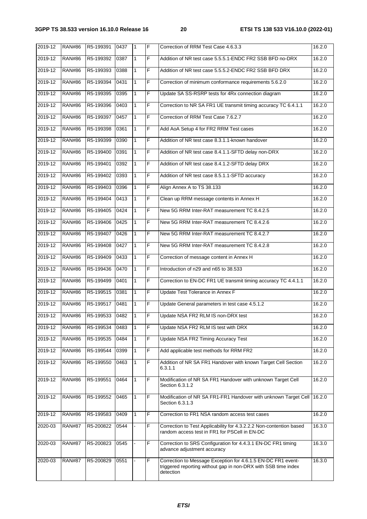| 2019-12 | <b>RAN#86</b> | R5-199391 | 0437 | $\mathbf{1}$ | F              | Correction of RRM Test Case 4.6.3.3                                                                                                         | 16.2.0 |
|---------|---------------|-----------|------|--------------|----------------|---------------------------------------------------------------------------------------------------------------------------------------------|--------|
| 2019-12 | <b>RAN#86</b> | R5-199392 | 0387 | $\mathbf{1}$ | F              | Addition of NR test case 5.5.5.1-ENDC FR2 SSB BFD no-DRX                                                                                    | 16.2.0 |
| 2019-12 | <b>RAN#86</b> | R5-199393 | 0388 | $\mathbf{1}$ | F              | Addition of NR test case 5.5.5.2-ENDC FR2 SSB BFD DRX                                                                                       | 16.2.0 |
| 2019-12 | <b>RAN#86</b> | R5-199394 | 0431 | 1            | F              | Correction of minimum conformance requirements 5.6.2.0                                                                                      | 16.2.0 |
| 2019-12 | <b>RAN#86</b> | R5-199395 | 0395 | $\mathbf{1}$ | F              | Update SA SS-RSRP tests for 4Rx connection diagram                                                                                          | 16.2.0 |
| 2019-12 | <b>RAN#86</b> | R5-199396 | 0403 | $\mathbf{1}$ | F              | Correction to NR SA FR1 UE transmit timing accuracy TC 6.4.1.1                                                                              | 16.2.0 |
| 2019-12 | <b>RAN#86</b> | R5-199397 | 0457 | $\mathbf{1}$ | F              | Correction of RRM Test Case 7.6.2.7                                                                                                         | 16.2.0 |
| 2019-12 | <b>RAN#86</b> | R5-199398 | 0361 | 1            | F              | Add AoA Setup 4 for FR2 RRM Test cases                                                                                                      | 16.2.0 |
| 2019-12 | <b>RAN#86</b> | R5-199399 | 0390 | $\mathbf{1}$ | $\overline{F}$ | Addition of NR test case 8.3.1.1-known handover                                                                                             | 16.2.0 |
| 2019-12 | <b>RAN#86</b> | R5-199400 | 0391 | $\mathbf{1}$ | F              | Addition of NR test case 8.4.1.1-SFTD delay non-DRX                                                                                         | 16.2.0 |
| 2019-12 | <b>RAN#86</b> | R5-199401 | 0392 | $\mathbf{1}$ | F              | Addition of NR test case 8.4.1.2-SFTD delay DRX                                                                                             | 16.2.0 |
| 2019-12 | <b>RAN#86</b> | R5-199402 | 0393 | $\mathbf{1}$ | F              | Addition of NR test case 8.5.1.1-SFTD accuracy                                                                                              | 16.2.0 |
| 2019-12 | <b>RAN#86</b> | R5-199403 | 0396 | $\mathbf{1}$ | F              | Align Annex A to TS 38.133                                                                                                                  | 16.2.0 |
| 2019-12 | <b>RAN#86</b> | R5-199404 | 0413 | $\mathbf{1}$ | F              | Clean up RRM message contents in Annex H                                                                                                    | 16.2.0 |
| 2019-12 | <b>RAN#86</b> | R5-199405 | 0424 | $\mathbf{1}$ | F              | New 5G RRM Inter-RAT measurement TC 8.4.2.5                                                                                                 | 16.2.0 |
| 2019-12 | <b>RAN#86</b> | R5-199406 | 0425 | 1            | F              | New 5G RRM Inter-RAT measurement TC 8.4.2.6                                                                                                 | 16.2.0 |
| 2019-12 | <b>RAN#86</b> | R5-199407 | 0426 | $\mathbf{1}$ | F              | New 5G RRM Inter-RAT measurement TC 8.4.2.7                                                                                                 | 16.2.0 |
| 2019-12 | <b>RAN#86</b> | R5-199408 | 0427 | $\mathbf{1}$ | F              | New 5G RRM Inter-RAT measurement TC 8.4.2.8                                                                                                 | 16.2.0 |
| 2019-12 | <b>RAN#86</b> | R5-199409 | 0433 | $\mathbf{1}$ | F              | Correction of message content in Annex H                                                                                                    | 16.2.0 |
| 2019-12 | <b>RAN#86</b> | R5-199436 | 0470 | $\mathbf{1}$ | F              | Introduction of n29 and n65 to 38.533                                                                                                       | 16.2.0 |
| 2019-12 | <b>RAN#86</b> | R5-199499 | 0401 | $\mathbf{1}$ | F              | Correction to EN-DC FR1 UE transmit timing accuracy TC 4.4.1.1                                                                              | 16.2.0 |
| 2019-12 | <b>RAN#86</b> | R5-199515 | 0381 | 1            | F              | Update Test Tolerance in Annex F                                                                                                            | 16.2.0 |
| 2019-12 | <b>RAN#86</b> | R5-199517 | 0481 | $\mathbf{1}$ | F              | Update General parameters in test case 4.5.1.2                                                                                              | 16.2.0 |
| 2019-12 | <b>RAN#86</b> | R5-199533 | 0482 | $\mathbf{1}$ | F              | Update NSA FR2 RLM IS non-DRX test                                                                                                          | 16.2.0 |
| 2019-12 | <b>RAN#86</b> | R5-199534 | 0483 | 1            | F              | Update NSA FR2 RLM IS test with DRX                                                                                                         | 16.2.0 |
| 2019-12 | <b>RAN#86</b> | R5-199535 | 0484 | 1            | F              | Update NSA FR2 Timing Accuracy Test                                                                                                         | 16.2.0 |
| 2019-12 | <b>RAN#86</b> | R5-199544 | 0399 | 1            | F              | Add applicable test methods for RRM FR2                                                                                                     | 16.2.0 |
| 2019-12 | <b>RAN#86</b> | R5-199550 | 0463 | 1            | F              | Addition of NR SA FR1 Handover with known Target Cell Section<br>6.3.1.1                                                                    | 16.2.0 |
| 2019-12 | <b>RAN#86</b> | R5-199551 | 0464 | 1            | F              | Modification of NR SA FR1 Handover with unknown Target Cell<br>Section 6.3.1.2                                                              | 16.2.0 |
| 2019-12 | <b>RAN#86</b> | R5-199552 | 0465 | 1            | F              | Modification of NR SA FR1-FR1 Handover with unknown Target Cell  <br>Section 6.3.1.3                                                        | 16.2.0 |
| 2019-12 | <b>RAN#86</b> | R5-199583 | 0409 | 1            | F              | Correction to FR1 NSA random access test cases                                                                                              | 16.2.0 |
| 2020-03 | <b>RAN#87</b> | R5-200822 | 0544 |              | F              | Correction to Test Applicability for 4.3.2.2.2 Non-contention based<br>random access test in FR1 for PSCell in EN-DC                        | 16.3.0 |
| 2020-03 | <b>RAN#87</b> | R5-200823 | 0545 |              | F              | Correction to SRS Configuration for 4.4.3.1 EN-DC FR1 timing<br>advance adjustment accuracy                                                 | 16.3.0 |
| 2020-03 | <b>RAN#87</b> | R5-200829 | 0551 |              | F              | Correction to Message Exception for 4.6.1.5 EN-DC FR1 event-<br>triggered reporting without gap in non-DRX with SSB time index<br>detection | 16.3.0 |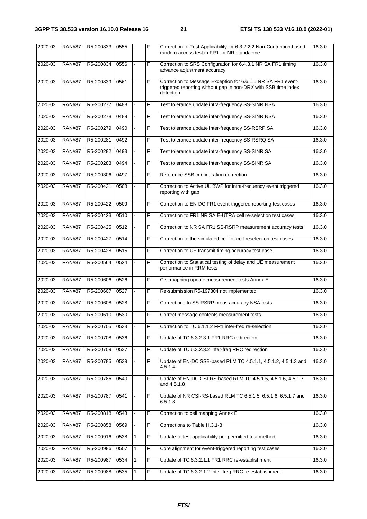| 2020-03 | <b>RAN#87</b> | R5-200833 | 0555 |   | F | Correction to Test Applicability for 6.3.2.2.2 Non-Contention based<br>random access test in FR1 for NR standalone                          | 16.3.0 |
|---------|---------------|-----------|------|---|---|---------------------------------------------------------------------------------------------------------------------------------------------|--------|
| 2020-03 | <b>RAN#87</b> | R5-200834 | 0556 |   | F | Correction to SRS Configuration for 6.4.3.1 NR SA FR1 timing<br>advance adjustment accuracy                                                 | 16.3.0 |
| 2020-03 | <b>RAN#87</b> | R5-200839 | 0561 |   | F | Correction to Message Exception for 6.6.1.5 NR SA FR1 event-<br>triggered reporting without gap in non-DRX with SSB time index<br>detection | 16.3.0 |
| 2020-03 | <b>RAN#87</b> | R5-200277 | 0488 |   | F | Test tolerance update intra-frequency SS-SINR NSA                                                                                           | 16.3.0 |
| 2020-03 | <b>RAN#87</b> | R5-200278 | 0489 |   | F | Test tolerance update inter-frequency SS-SINR NSA                                                                                           | 16.3.0 |
| 2020-03 | <b>RAN#87</b> | R5-200279 | 0490 |   | F | Test tolerance update inter-frequency SS-RSRP SA                                                                                            | 16.3.0 |
| 2020-03 | <b>RAN#87</b> | R5-200281 | 0492 |   | F | Test tolerance update inter-frequency SS-RSRQ SA                                                                                            | 16.3.0 |
| 2020-03 | <b>RAN#87</b> | R5-200282 | 0493 |   | F | Test tolerance update intra-frequency SS-SINR SA                                                                                            | 16.3.0 |
| 2020-03 | <b>RAN#87</b> | R5-200283 | 0494 |   | F | Test tolerance update inter-frequency SS-SINR SA                                                                                            | 16.3.0 |
| 2020-03 | <b>RAN#87</b> | R5-200306 | 0497 |   | F | Reference SSB configuration correction                                                                                                      | 16.3.0 |
| 2020-03 | <b>RAN#87</b> | R5-200421 | 0508 |   | F | Correction to Active UL BWP for intra-frequency event triggered<br>reporting with gap                                                       | 16.3.0 |
| 2020-03 | <b>RAN#87</b> | R5-200422 | 0509 |   | F | Correction to EN-DC FR1 event-triggered reporting test cases                                                                                | 16.3.0 |
| 2020-03 | <b>RAN#87</b> | R5-200423 | 0510 |   | F | Correction to FR1 NR SA E-UTRA cell re-selection test cases                                                                                 | 16.3.0 |
| 2020-03 | <b>RAN#87</b> | R5-200425 | 0512 |   | F | Correction to NR SA FR1 SS-RSRP measurement accuracy tests                                                                                  | 16.3.0 |
| 2020-03 | <b>RAN#87</b> | R5-200427 | 0514 |   | F | Correction to the simulated cell for cell-reselection test cases                                                                            | 16.3.0 |
| 2020-03 | <b>RAN#87</b> | R5-200428 | 0515 |   | F | Correction to UE transmit timing accuracy test case                                                                                         | 16.3.0 |
| 2020-03 | <b>RAN#87</b> | R5-200564 | 0524 |   | F | Correction to Statistical testing of delay and UE measurement<br>performance in RRM tests                                                   | 16.3.0 |
| 2020-03 | <b>RAN#87</b> | R5-200606 | 0526 |   | F | Cell mapping update measurement tests Annex E                                                                                               | 16.3.0 |
| 2020-03 | <b>RAN#87</b> | R5-200607 | 0527 |   | F | Re-submission R5-197804 not implemented                                                                                                     | 16.3.0 |
| 2020-03 | <b>RAN#87</b> | R5-200608 | 0528 |   | F | Corrections to SS-RSRP meas accuracy NSA tests                                                                                              | 16.3.0 |
| 2020-03 | <b>RAN#87</b> | R5-200610 | 0530 |   | F | Correct message contents measurement tests                                                                                                  | 16.3.0 |
| 2020-03 | <b>RAN#87</b> | R5-200705 | 0533 |   | F | Correction to TC 6.1.1.2 FR1 inter-freq re-selection                                                                                        | 16.3.0 |
| 2020-03 | <b>RAN#87</b> | R5-200708 | 0536 |   | F | Update of TC 6.3.2.3.1 FR1 RRC redirection                                                                                                  | 16.3.0 |
| 2020-03 | <b>RAN#87</b> | R5-200709 | 0537 |   | F | Update of TC 6.3.2.3.2 inter-freq RRC redirection                                                                                           | 16.3.0 |
| 2020-03 | <b>RAN#87</b> | R5-200785 | 0539 |   | F | Update of EN-DC SSB-based RLM TC 4.5.1.1, 4.5.1.2, 4.5.1.3 and<br>4.5.1.4                                                                   | 16.3.0 |
| 2020-03 | <b>RAN#87</b> | R5-200786 | 0540 |   | F | Update of EN-DC CSI-RS-based RLM TC 4.5.1.5, 4.5.1.6, 4.5.1.7<br>and 4.5.1.8                                                                | 16.3.0 |
| 2020-03 | <b>RAN#87</b> | R5-200787 | 0541 |   | F | Update of NR CSI-RS-based RLM TC 6.5.1.5, 6.5.1.6, 6.5.1.7 and<br>6.5.1.8                                                                   | 16.3.0 |
| 2020-03 | <b>RAN#87</b> | R5-200818 | 0543 |   | F | Correction to cell mapping Annex E                                                                                                          | 16.3.0 |
| 2020-03 | <b>RAN#87</b> | R5-200858 | 0569 |   | F | Corrections to Table H.3.1-8                                                                                                                | 16.3.0 |
| 2020-03 | <b>RAN#87</b> | R5-200916 | 0538 | 1 | F | Update to test applicability per permitted test method                                                                                      | 16.3.0 |
| 2020-03 | <b>RAN#87</b> | R5-200986 | 0507 | 1 | F | Core alignment for event-triggered reporting test cases                                                                                     | 16.3.0 |
| 2020-03 | <b>RAN#87</b> | R5-200987 | 0534 | 1 | F | Update of TC 6.3.2.1.1 FR1 RRC re-establishment                                                                                             | 16.3.0 |
| 2020-03 | <b>RAN#87</b> | R5-200988 | 0535 |   | F | Update of TC 6.3.2.1.2 inter-freq RRC re-establishment                                                                                      | 16.3.0 |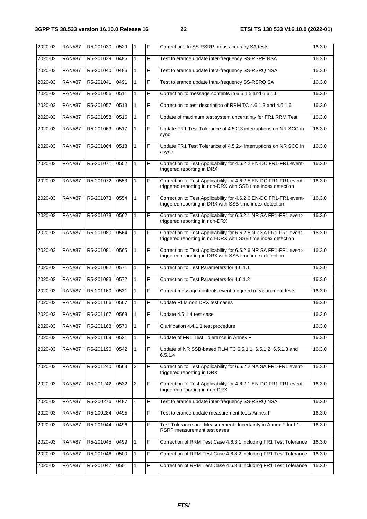| $2020 - 03$ | <b>RAN#87</b> | R5-201030 | 0529 | $\mathbf{1}$ | F | Corrections to SS-RSRP meas accuracy SA tests                                                                                     | 16.3.0 |
|-------------|---------------|-----------|------|--------------|---|-----------------------------------------------------------------------------------------------------------------------------------|--------|
| 2020-03     | <b>RAN#87</b> | R5-201039 | 0485 | $\mathbf{1}$ | F | Test tolerance update inter-frequency SS-RSRP NSA                                                                                 | 16.3.0 |
| 2020-03     | <b>RAN#87</b> | R5-201040 | 0486 | 1            | F | Test tolerance update intra-frequency SS-RSRQ NSA                                                                                 | 16.3.0 |
| 2020-03     | <b>RAN#87</b> | R5-201041 | 0491 | $\mathbf{1}$ | F | Test tolerance update intra-frequency SS-RSRQ SA                                                                                  | 16.3.0 |
| 2020-03     | <b>RAN#87</b> | R5-201056 | 0511 | $\mathbf{1}$ | F | Correction to message contents in 6.6.1.5 and 6.6.1.6                                                                             | 16.3.0 |
| 2020-03     | <b>RAN#87</b> | R5-201057 | 0513 | 1            | F | Correction to test description of RRM TC 4.6.1.3 and 4.6.1.6                                                                      | 16.3.0 |
| 2020-03     | <b>RAN#87</b> | R5-201058 | 0516 | 1            | F | Update of maximum test system uncertainty for FR1 RRM Test                                                                        | 16.3.0 |
| 2020-03     | <b>RAN#87</b> | R5-201063 | 0517 | $\mathbf{1}$ | F | Update FR1 Test Tolerance of 4.5.2.3 interruptions on NR SCC in<br>sync                                                           | 16.3.0 |
| 2020-03     | <b>RAN#87</b> | R5-201064 | 0518 | 1            | F | Update FR1 Test Tolerance of 4.5.2.4 interruptions on NR SCC in<br>async                                                          | 16.3.0 |
| 2020-03     | <b>RAN#87</b> | R5-201071 | 0552 | 1            | F | Correction to Test Applicability for 4.6.2.2 EN-DC FR1-FR1 event-<br>triggered reporting in DRX                                   | 16.3.0 |
| 2020-03     | <b>RAN#87</b> | R5-201072 | 0553 | 1            | F | Correction to Test Applicability for 4.6.2.5 EN-DC FR1-FR1 event-<br>triggered reporting in non-DRX with SSB time index detection | 16.3.0 |
| 2020-03     | <b>RAN#87</b> | R5-201073 | 0554 | 1            | F | Correction to Test Applicability for 4.6.2.6 EN-DC FR1-FR1 event-<br>triggered reporting in DRX with SSB time index detection     | 16.3.0 |
| 2020-03     | <b>RAN#87</b> | R5-201078 | 0562 | 1            | F | Correction to Test Applicability for 6.6.2.1 NR SA FR1-FR1 event-<br>triggered reporting in non-DRX                               | 16.3.0 |
| 2020-03     | <b>RAN#87</b> | R5-201080 | 0564 | 1            | F | Correction to Test Applicability for 6.6.2.5 NR SA FR1-FR1 event-<br>triggered reporting in non-DRX with SSB time index detection | 16.3.0 |
| 2020-03     | <b>RAN#87</b> | R5-201081 | 0565 | 1            | F | Correction to Test Applicability for 6.6.2.6 NR SA FR1-FR1 event-<br>triggered reporting in DRX with SSB time index detection     | 16.3.0 |
| 2020-03     | <b>RAN#87</b> | R5-201082 | 0571 | $\mathbf{1}$ | F | Correction to Test Parameters for 4.6.1.1                                                                                         | 16.3.0 |
| 2020-03     | <b>RAN#87</b> | R5-201083 | 0572 | 1            | F | Correction to Test Parameters for 4.6.1.2                                                                                         | 16.3.0 |
| 2020-03     | <b>RAN#87</b> | R5-201160 | 0531 | 1            | F | Correct message contents event triggered measurement tests                                                                        | 16.3.0 |
| 2020-03     | <b>RAN#87</b> | R5-201166 | 0567 | $\mathbf{1}$ | F | Update RLM non DRX test cases                                                                                                     | 16.3.0 |
| 2020-03     | <b>RAN#87</b> | R5-201167 | 0568 | 1            | F | Update 4.5.1.4 test case                                                                                                          | 16.3.0 |
| 2020-03     | <b>RAN#87</b> | R5-201168 | 0570 | 1            | F | Clarification 4.4.1.1 test procedure                                                                                              | 16.3.0 |
| 2020-03     | <b>RAN#87</b> | R5-201169 | 0521 | $\mathbf{1}$ | F | Update of FR1 Test Tolerance in Annex F                                                                                           | 16.3.0 |
| 2020-03     | <b>RAN#87</b> | R5-201190 | 0542 | $\mathbf{1}$ | F | Update of NR SSB-based RLM TC 6.5.1.1, 6.5.1.2, 6.5.1.3 and<br>6.5.1.4                                                            | 16.3.0 |
| 2020-03     | <b>RAN#87</b> | R5-201240 | 0563 | 2            | F | Correction to Test Applicability for 6.6.2.2 NA SA FR1-FR1 event-<br>triggered reporting in DRX                                   | 16.3.0 |
| 2020-03     | <b>RAN#87</b> | R5-201242 | 0532 | $\sqrt{2}$   | F | Correction to Test Applicability for 4.6.2.1 EN-DC FR1-FR1 event-<br>triggered reporting in non-DRX                               | 16.3.0 |
| 2020-03     | <b>RAN#87</b> | R5-200276 | 0487 |              | F | Test tolerance update inter-frequency SS-RSRQ NSA                                                                                 | 16.3.0 |
| 2020-03     | <b>RAN#87</b> | R5-200284 | 0495 |              | F | Test tolerance update measurement tests Annex F                                                                                   | 16.3.0 |
| 2020-03     | <b>RAN#87</b> | R5-201044 | 0496 |              | F | Test Tolerance and Measurement Uncertainty in Annex F for L1-<br>RSRP measurement test cases                                      | 16.3.0 |
| 2020-03     | <b>RAN#87</b> | R5-201045 | 0499 | 1            | F | Correction of RRM Test Case 4.6.3.1 including FR1 Test Tolerance                                                                  | 16.3.0 |
| 2020-03     | <b>RAN#87</b> | R5-201046 | 0500 | 1            | F | Correction of RRM Test Case 4.6.3.2 including FR1 Test Tolerance                                                                  | 16.3.0 |
| 2020-03     | <b>RAN#87</b> | R5-201047 | 0501 | 1            | F | Correction of RRM Test Case 4.6.3.3 including FR1 Test Tolerance                                                                  | 16.3.0 |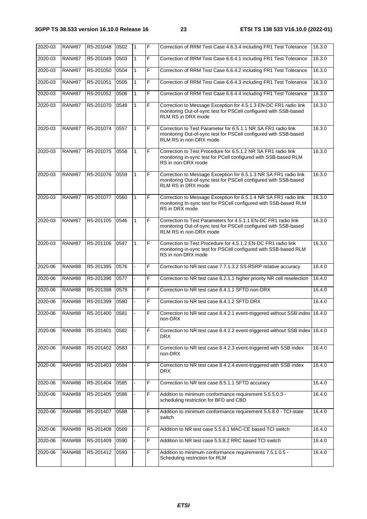| 2020-03 | <b>RAN#87</b> | R5-201048 | 0502 | 1            | F  | Correction of RRM Test Case 4.6.3.4 including FR1 Test Tolerance                                                                                             | 16.3.0 |
|---------|---------------|-----------|------|--------------|----|--------------------------------------------------------------------------------------------------------------------------------------------------------------|--------|
| 2020-03 | <b>RAN#87</b> | R5-201049 | 0503 | 1            | F  | Correction of RRM Test Case 6.6.4.1 including FR1 Test Tolerance                                                                                             | 16.3.0 |
| 2020-03 | <b>RAN#87</b> | R5-201050 | 0504 | 1            | F  | Correction of RRM Test Case 6.6.4.2 including FR1 Test Tolerance                                                                                             | 16.3.0 |
| 2020-03 | <b>RAN#87</b> | R5-201051 | 0505 | $\mathbf{1}$ | F  | Correction of RRM Test Case 6.6.4.3 including FR1 Test Tolerance                                                                                             | 16.3.0 |
| 2020-03 | <b>RAN#87</b> | R5-201052 | 0506 | $\mathbf{1}$ | F  | Correction of RRM Test Case 6.6.4.4 including FR1 Test Tolerance                                                                                             | 16.3.0 |
| 2020-03 | <b>RAN#87</b> | R5-201070 | 0548 | $\mathbf{1}$ | F  | Correction to Message Exception for 4.5.1.3 EN-DC FR1 radio link<br>monitoring Out-of-sync test for PSCell configured with SSB-based<br>RLM RS in DRX mode   | 16.3.0 |
| 2020-03 | <b>RAN#87</b> | R5-201074 | 0557 | 1            | F  | Correction to Test Parameter for 6.5.1.1 NR SA FR1 radio link<br>monitoring Out-of-sync test for PSCell configured with SSB-based<br>RLM RS in non-DRX mode  | 16.3.0 |
| 2020-03 | <b>RAN#87</b> | R5-201075 | 0558 | $\mathbf{1}$ | F  | Correction to Test Procedure for 6.5.1.2 NR SA FR1 radio link<br>monitoring in-sync test for PCell configured with SSB-based RLM<br>RS in non-DRX mode       | 16.3.0 |
| 2020-03 | <b>RAN#87</b> | R5-201076 | 0559 | $\mathbf{1}$ | F  | Correction to Message Exception for 6.5.1.3 NR SA FR1 radio link<br>monitoring Out-of-sync test for PSCell configured with SSB-based<br>RLM RS in DRX mode   | 16.3.0 |
| 2020-03 | <b>RAN#87</b> | R5-201077 | 0560 | $\mathbf{1}$ | F  | Correction to Message Exception for 6.5.1.4 NR SA FR1 radio link<br>monitoring In-sync test for PSCell configured with SSB-based RLM<br>RS in DRX mode       | 16.3.0 |
| 2020-03 | <b>RAN#87</b> | R5-201105 | 0546 | 1            | F  | Correction to Test Parameters for 4.5.1.1 EN-DC FR1 radio link<br>monitoring Out-of-sync test for PSCell configured with SSB-based<br>RLM RS in non-DRX mode | 16.3.0 |
| 2020-03 | <b>RAN#87</b> | R5-201106 | 0547 | 1            | F  | Correction to Test Procedure for 4.5.1.2 EN-DC FR1 radio link<br>monitoring in-sync test for PSCell configured with SSB-based RLM<br>RS in non-DRX mode      | 16.3.0 |
| 2020-06 | <b>RAN#88</b> | R5-201395 | 0576 |              | F  | Correction to NR test case 7.7.1.3.2 SS-RSRP relative accuracy                                                                                               | 16.4.0 |
| 2020-06 | <b>RAN#88</b> | R5-201396 | 0577 |              | F. | Correction to NR test case 8.2.1.1 higher priority NR cell reselection                                                                                       | 16.4.0 |
| 2020-06 | <b>RAN#88</b> | R5-201398 | 0579 |              | F  | Correction to NR test case 8.4.1.1 SFTD non-DRX                                                                                                              | 16.4.0 |
| 2020-06 | <b>RAN#88</b> | R5-201399 | 0580 |              | F  | Correction to NR test case 8.4.1.2 SFTD DRX                                                                                                                  | 16.4.0 |
| 2020-06 | <b>RAN#88</b> | R5-201400 | 0581 |              | F  | Correction to NR test case 8.4.2.1 event-triggered without SSB index 16.4.0<br>non-DRX                                                                       |        |
| 2020-06 | <b>RAN#88</b> | R5-201401 | 0582 |              | F  | Correction to NR test case 8.4.2.2 event-triggered without SSB index 16.4.0<br>DRX.                                                                          |        |
| 2020-06 | <b>RAN#88</b> | R5-201402 | 0583 |              | F  | Correction to NR test case 8.4.2.3 event-triggered with SSB index<br>non-DRX                                                                                 | 16.4.0 |
| 2020-06 | <b>RAN#88</b> | R5-201403 | 0584 |              | F  | Correction to NR test case 8.4.2.4 event-triggered with SSB index<br>DRX.                                                                                    | 16.4.0 |
| 2020-06 | <b>RAN#88</b> | R5-201404 | 0585 |              | F  | Correction to NR test case 8.5.1.1 SFTD accuracy                                                                                                             | 16.4.0 |
| 2020-06 | <b>RAN#88</b> | R5-201405 | 0586 |              | F  | Addition to minimum conformance requirement 5.5.5.0.3 -<br>scheduling restriction for BFD and CBD                                                            | 16.4.0 |
| 2020-06 | <b>RAN#88</b> | R5-201407 | 0588 |              | F  | Addition to minimum conformance requirement 5.5.8.0 - TCI-state<br>switch                                                                                    | 16.4.0 |
| 2020-06 | <b>RAN#88</b> | R5-201408 | 0589 |              | F  | Addition to NR test case 5.5.8.1 MAC-CE based TCI switch                                                                                                     | 16.4.0 |
| 2020-06 | <b>RAN#88</b> | R5-201409 | 0590 |              | F  | Addition to NR test case 5.5.8.2 RRC based TCI switch                                                                                                        | 16.4.0 |
| 2020-06 | <b>RAN#88</b> | R5-201412 | 0593 |              | F  | Addition to minimum conformance requirements 7.5.1.0.5 -<br>Scheduling restriction for RLM                                                                   | 16.4.0 |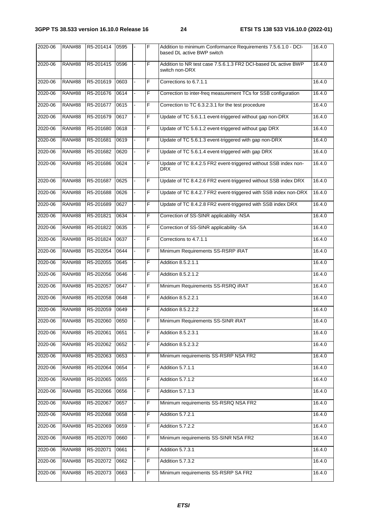| 2020-06 | <b>RAN#88</b> | R5-201414 | 0595 |    | F              | Addition to minimum Conformance Requirements 7.5.6.1.0 - DCI-<br>based DL active BWP switch | 16.4.0 |
|---------|---------------|-----------|------|----|----------------|---------------------------------------------------------------------------------------------|--------|
| 2020-06 | <b>RAN#88</b> | R5-201415 | 0596 |    | F              | Addition to NR test case 7.5.6.1.3 FR2 DCI-based DL active BWP<br>switch non-DRX            | 16.4.0 |
| 2020-06 | <b>RAN#88</b> | R5-201619 | 0603 |    | F              | Corrections to 6.7.1.1                                                                      | 16.4.0 |
| 2020-06 | <b>RAN#88</b> | R5-201676 | 0614 |    | F              | Correction to inter-freq measurement TCs for SSB configuration                              | 16.4.0 |
| 2020-06 | <b>RAN#88</b> | R5-201677 | 0615 |    | F              | Correction to TC 6.3.2.3.1 for the test procedure                                           | 16.4.0 |
| 2020-06 | <b>RAN#88</b> | R5-201679 | 0617 |    | F              | Update of TC 5.6.1.1 event-triggered without gap non-DRX                                    | 16.4.0 |
| 2020-06 | <b>RAN#88</b> | R5-201680 | 0618 |    | F              | Update of TC 5.6.1.2 event-triggered without gap DRX                                        | 16.4.0 |
| 2020-06 | <b>RAN#88</b> | R5-201681 | 0619 |    | F              | Update of TC 5.6.1.3 event-triggered with gap non-DRX                                       | 16.4.0 |
| 2020-06 | <b>RAN#88</b> | R5-201682 | 0620 |    | F              | Update of TC 5.6.1.4 event-triggered with gap DRX                                           | 16.4.0 |
| 2020-06 | <b>RAN#88</b> | R5-201686 | 0624 |    | $\overline{F}$ | Update of TC 8.4.2.5 FR2 event-triggered without SSB index non-<br><b>DRX</b>               | 16.4.0 |
| 2020-06 | <b>RAN#88</b> | R5-201687 | 0625 |    | F              | Update of TC 8.4.2.6 FR2 event-triggered without SSB index DRX                              | 16.4.0 |
| 2020-06 | <b>RAN#88</b> | R5-201688 | 0626 |    | F              | Update of TC 8.4.2.7 FR2 event-triggered with SSB index non-DRX                             | 16.4.0 |
| 2020-06 | <b>RAN#88</b> | R5-201689 | 0627 | ÷. | F              | Update of TC 8.4.2.8 FR2 event-triggered with SSB index DRX                                 | 16.4.0 |
| 2020-06 | <b>RAN#88</b> | R5-201821 | 0634 |    | F              | Correction of SS-SINR applicability -NSA                                                    | 16.4.0 |
| 2020-06 | <b>RAN#88</b> | R5-201822 | 0635 |    | F              | Correction of SS-SINR applicability -SA                                                     | 16.4.0 |
| 2020-06 | <b>RAN#88</b> | R5-201824 | 0637 |    | F              | Corrections to 4.7.1.1                                                                      | 16.4.0 |
| 2020-06 | <b>RAN#88</b> | R5-202054 | 0644 |    | F              | Minimum Requirements SS-RSRP iRAT                                                           | 16.4.0 |
| 2020-06 | <b>RAN#88</b> | R5-202055 | 0645 |    | F              | Addition 8.5.2.1.1                                                                          | 16.4.0 |
| 2020-06 | <b>RAN#88</b> | R5-202056 | 0646 |    | F              | Addition 8.5.2.1.2                                                                          | 16.4.0 |
| 2020-06 | <b>RAN#88</b> | R5-202057 | 0647 |    | F              | Minimum Requirements SS-RSRQ iRAT                                                           | 16.4.0 |
| 2020-06 | <b>RAN#88</b> | R5-202058 | 0648 |    | F              | Addition 8.5.2.2.1                                                                          | 16.4.0 |
| 2020-06 | <b>RAN#88</b> | R5-202059 | 0649 |    | F              | Addition 8.5.2.2.2                                                                          | 16.4.0 |
| 2020-06 | <b>RAN#88</b> | R5-202060 | 0650 |    | IF             | Minimum Requirements SS-SINR iRAT                                                           | 16.4.0 |
| 2020-06 | <b>RAN#88</b> | R5-202061 | 0651 |    | F              | Addition 8.5.2.3.1                                                                          | 16.4.0 |
| 2020-06 | <b>RAN#88</b> | R5-202062 | 0652 | ÷. | F              | Addition 8.5.2.3.2                                                                          | 16.4.0 |
| 2020-06 | <b>RAN#88</b> | R5-202063 | 0653 |    | F              | Minimum requirements SS-RSRP NSA FR2                                                        | 16.4.0 |
| 2020-06 | <b>RAN#88</b> | R5-202064 | 0654 |    | F              | Addition 5.7.1.1                                                                            | 16.4.0 |
| 2020-06 | <b>RAN#88</b> | R5-202065 | 0655 |    | F              | Addition 5.7.1.2                                                                            | 16.4.0 |
| 2020-06 | <b>RAN#88</b> | R5-202066 | 0656 |    | F              | Addition 5.7.1.3                                                                            | 16.4.0 |
| 2020-06 | <b>RAN#88</b> | R5-202067 | 0657 |    | F              | Minimum requirements SS-RSRQ NSA FR2                                                        | 16.4.0 |
| 2020-06 | <b>RAN#88</b> | R5-202068 | 0658 |    | F              | Addition 5.7.2.1                                                                            | 16.4.0 |
| 2020-06 | <b>RAN#88</b> | R5-202069 | 0659 |    | F              | Addition 5.7.2.2                                                                            | 16.4.0 |
| 2020-06 | <b>RAN#88</b> | R5-202070 | 0660 |    | F              | Minimum requirements SS-SINR NSA FR2                                                        | 16.4.0 |
| 2020-06 | <b>RAN#88</b> | R5-202071 | 0661 | ÷. | F              | Addition 5.7.3.1                                                                            | 16.4.0 |
| 2020-06 | <b>RAN#88</b> | R5-202072 | 0662 |    | F              | Addition 5.7.3.2                                                                            | 16.4.0 |
| 2020-06 | <b>RAN#88</b> | R5-202073 | 0663 |    | F              | Minimum requirements SS-RSRP SA FR2                                                         | 16.4.0 |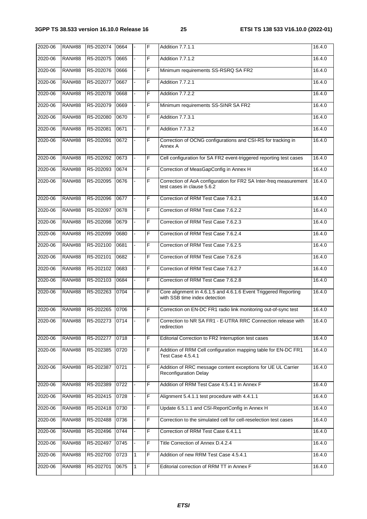| 2020-06 | <b>RAN#88</b> | R5-202074 | 0664 |                | F | Addition 7.7.1.1                                                                                 | 16.4.0 |
|---------|---------------|-----------|------|----------------|---|--------------------------------------------------------------------------------------------------|--------|
| 2020-06 | <b>RAN#88</b> | R5-202075 | 0665 |                | F | Addition 7.7.1.2                                                                                 | 16.4.0 |
| 2020-06 | <b>RAN#88</b> | R5-202076 | 0666 |                | F | Minimum requirements SS-RSRQ SA FR2                                                              | 16.4.0 |
| 2020-06 | <b>RAN#88</b> | R5-202077 | 0667 |                | F | Addition 7.7.2.1                                                                                 | 16.4.0 |
| 2020-06 | <b>RAN#88</b> | R5-202078 | 0668 |                | F | Addition 7.7.2.2                                                                                 | 16.4.0 |
| 2020-06 | <b>RAN#88</b> | R5-202079 | 0669 |                | F | Minimum requirements SS-SINR SA FR2                                                              | 16.4.0 |
| 2020-06 | <b>RAN#88</b> | R5-202080 | 0670 |                | F | Addition 7.7.3.1                                                                                 | 16.4.0 |
| 2020-06 | <b>RAN#88</b> | R5-202081 | 0671 |                | F | Addition 7.7.3.2                                                                                 | 16.4.0 |
| 2020-06 | <b>RAN#88</b> | R5-202091 | 0672 |                | F | Correction of OCNG configurations and CSI-RS for tracking in<br>Annex A                          | 16.4.0 |
| 2020-06 | <b>RAN#88</b> | R5-202092 | 0673 |                | F | Cell configuration for SA FR2 event-triggered reporting test cases                               | 16.4.0 |
| 2020-06 | <b>RAN#88</b> | R5-202093 | 0674 |                | F | Correction of MeasGapConfig in Annex H                                                           | 16.4.0 |
| 2020-06 | <b>RAN#88</b> | R5-202095 | 0676 |                | F | Correction of AoA configuration for FR2 SA Inter-freq measurement<br>test cases in clause 5.6.2  | 16.4.0 |
| 2020-06 | <b>RAN#88</b> | R5-202096 | 0677 | ä,             | F | Correction of RRM Test Case 7.6.2.1                                                              | 16.4.0 |
| 2020-06 | <b>RAN#88</b> | R5-202097 | 0678 |                | F | Correction of RRM Test Case 7.6.2.2                                                              | 16.4.0 |
| 2020-06 | <b>RAN#88</b> | R5-202098 | 0679 |                | F | Correction of RRM Test Case 7.6.2.3                                                              | 16.4.0 |
| 2020-06 | <b>RAN#88</b> | R5-202099 | 0680 |                | F | Correction of RRM Test Case 7.6.2.4                                                              | 16.4.0 |
| 2020-06 | <b>RAN#88</b> | R5-202100 | 0681 | $\blacksquare$ | F | Correction of RRM Test Case 7.6.2.5                                                              | 16.4.0 |
| 2020-06 | <b>RAN#88</b> | R5-202101 | 0682 |                | F | Correction of RRM Test Case 7.6.2.6                                                              | 16.4.0 |
| 2020-06 | <b>RAN#88</b> | R5-202102 | 0683 |                | F | Correction of RRM Test Case 7.6.2.7                                                              | 16.4.0 |
| 2020-06 | <b>RAN#88</b> | R5-202103 | 0684 |                | F | Correction of RRM Test Case 7.6.2.8                                                              | 16.4.0 |
| 2020-06 | <b>RAN#88</b> | R5-202263 | 0704 |                | F | Core alignment in 4.6.1.5 and 4.6.1.6 Event Triggered Reporting<br>with SSB time index detection | 16.4.0 |
| 2020-06 | <b>RAN#88</b> | R5-202265 | 0706 |                | F | Correction on EN-DC FR1 radio link monitoring out-of-sync test                                   | 16.4.0 |
| 2020-06 | <b>RAN#88</b> | R5-202273 | 0714 |                | F | Correction to NR SA FR1 - E-UTRA RRC Connection release with<br>redirection                      | 16.4.0 |
| 2020-06 | <b>RAN#88</b> | R5-202277 | 0718 |                | F | Editorial Correction to FR2 Interruption test cases                                              | 16.4.0 |
| 2020-06 | <b>RAN#88</b> | R5-202385 | 0720 |                | F | Addition of RRM Cell configuration mapping table for EN-DC FR1<br>Test Case 4.5.4.1              | 16.4.0 |
| 2020-06 | <b>RAN#88</b> | R5-202387 | 0721 |                | F | Addition of RRC message content exceptions for UE UL Carrier<br><b>Reconfiguration Delay</b>     | 16.4.0 |
| 2020-06 | <b>RAN#88</b> | R5-202389 | 0722 |                | F | Addition of RRM Test Case 4.5.4.1 in Annex F                                                     | 16.4.0 |
| 2020-06 | <b>RAN#88</b> | R5-202415 | 0728 |                | F | Alignment 5.4.1.1 test procedure with 4.4.1.1                                                    | 16.4.0 |
| 2020-06 | <b>RAN#88</b> | R5-202418 | 0730 |                | F | Update 6.5.1.1 and CSI-ReportConfig in Annex H                                                   | 16.4.0 |
| 2020-06 | <b>RAN#88</b> | R5-202488 | 0736 |                | F | Correction to the simulated cell for cell-reselection test cases                                 | 16.4.0 |
| 2020-06 | <b>RAN#88</b> | R5-202496 | 0744 |                | F | Correction of RRM Test Case 6.4.1.1                                                              | 16.4.0 |
| 2020-06 | <b>RAN#88</b> | R5-202497 | 0745 |                | F | Title Correction of Annex D.4.2.4                                                                | 16.4.0 |
| 2020-06 | <b>RAN#88</b> | R5-202700 | 0723 | 1              | F | Addition of new RRM Test Case 4.5.4.1                                                            | 16.4.0 |
| 2020-06 | <b>RAN#88</b> | R5-202701 | 0675 | 1              | F | Editorial correction of RRM TT in Annex F                                                        | 16.4.0 |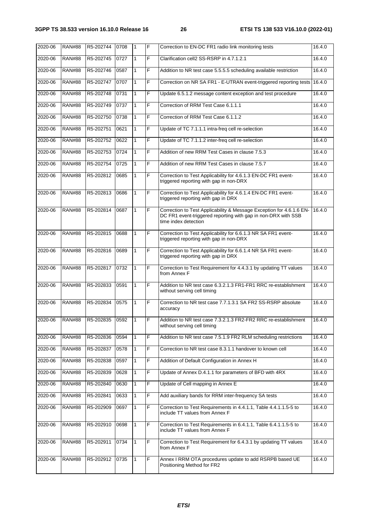| 2020-06 | <b>RAN#88</b> | R5-202744 | 0708 | 1            | F  | Correction to EN-DC FR1 radio link monitoring tests                                                                                                           | 16.4.0 |
|---------|---------------|-----------|------|--------------|----|---------------------------------------------------------------------------------------------------------------------------------------------------------------|--------|
| 2020-06 | <b>RAN#88</b> | R5-202745 | 0727 | $\mathbf{1}$ | F  | Clarification cell2 SS-RSRP in 4.7.1.2.1                                                                                                                      | 16.4.0 |
| 2020-06 | <b>RAN#88</b> | R5-202746 | 0587 | $\mathbf{1}$ | F  | Addition to NR test case 5.5.5.5 scheduling available restriction                                                                                             | 16.4.0 |
| 2020-06 | <b>RAN#88</b> | R5-202747 | 0707 | 1            | F  | Correction on NR SA FR1 - E-UTRAN event-triggered reporting tests                                                                                             | 16.4.0 |
| 2020-06 | <b>RAN#88</b> | R5-202748 | 0731 | 1            | F  | Update 6.5.1.2 message content exception and test procedure                                                                                                   | 16.4.0 |
| 2020-06 | <b>RAN#88</b> | R5-202749 | 0737 | $\mathbf{1}$ | F  | Correction of RRM Test Case 6.1.1.1                                                                                                                           | 16.4.0 |
| 2020-06 | <b>RAN#88</b> | R5-202750 | 0738 | 1            | F  | Correction of RRM Test Case 6.1.1.2                                                                                                                           | 16.4.0 |
| 2020-06 | <b>RAN#88</b> | R5-202751 | 0621 | $\mathbf{1}$ | F  | Update of TC 7.1.1.1 intra-freq cell re-selection                                                                                                             | 16.4.0 |
| 2020-06 | <b>RAN#88</b> | R5-202752 | 0622 | $\mathbf{1}$ | F  | Update of TC 7.1.1.2 inter-freq cell re-selection                                                                                                             | 16.4.0 |
| 2020-06 | <b>RAN#88</b> | R5-202753 | 0724 | $\mathbf{1}$ | F  | Addition of new RRM Test Cases in clause 7.5.3                                                                                                                | 16.4.0 |
| 2020-06 | <b>RAN#88</b> | R5-202754 | 0725 |              | F  | Addition of new RRM Test Cases in clause 7.5.7                                                                                                                | 16.4.0 |
| 2020-06 | <b>RAN#88</b> | R5-202812 | 0685 | 1            | F  | Correction to Test Applicability for 4.6.1.3 EN-DC FR1 event-<br>triggered reporting with gap in non-DRX                                                      | 16.4.0 |
| 2020-06 | <b>RAN#88</b> | R5-202813 | 0686 | 1            | F  | Correction to Test Applicability for 4.6.1.4 EN-DC FR1 event-<br>triggered reporting with gap in DRX                                                          | 16.4.0 |
| 2020-06 | <b>RAN#88</b> | R5-202814 | 0687 | 1            | F  | Correction to Test Applicability & Message Exception for 4.6.1.6 EN-<br>DC FR1 event-triggered reporting with gap in non-DRX with SSB<br>time index detection | 16.4.0 |
| 2020-06 | <b>RAN#88</b> | R5-202815 | 0688 | $\mathbf{1}$ | F  | Correction to Test Applicability for 6.6.1.3 NR SA FR1 event-<br>triggered reporting with gap in non-DRX                                                      | 16.4.0 |
| 2020-06 | <b>RAN#88</b> | R5-202816 | 0689 | 1            | F  | Correction to Test Applicability for 6.6.1.4 NR SA FR1 event-<br>triggered reporting with gap in DRX                                                          | 16.4.0 |
| 2020-06 | <b>RAN#88</b> | R5-202817 | 0732 | 1            | F  | Correction to Test Requirement for 4.4.3.1 by updating TT values<br>from Annex F                                                                              | 16.4.0 |
| 2020-06 | <b>RAN#88</b> | R5-202833 | 0591 | 1            | F  | Addition to NR test case 6.3.2.1.3 FR1-FR1 RRC re-establishment<br>without serving cell timing                                                                | 16.4.0 |
| 2020-06 | <b>RAN#88</b> | R5-202834 | 0575 | 1            | F  | Correction to NR test case 7.7.1.3.1 SA FR2 SS-RSRP absolute<br>accuracy                                                                                      | 16.4.0 |
| 2020-06 | RAN#88        | R5-202835 | 0592 | 1            | ΙF | Addition to NR test case 7.3.2.1.3 FR2-FR2 RRC re-establishment<br>without serving cell timing                                                                | 16.4.0 |
| 2020-06 | <b>RAN#88</b> | R5-202836 | 0594 | 1            | F  | Addition to NR test case 7.5.1.9 FR2 RLM scheduling restrictions                                                                                              | 16.4.0 |
| 2020-06 | <b>RAN#88</b> | R5-202837 | 0578 | $\mathbf{1}$ | F  | Correction to NR test case 8.3.1.1 handover to known cell                                                                                                     | 16.4.0 |
| 2020-06 | <b>RAN#88</b> | R5-202838 | 0597 | 1            | F  | Addition of Default Configuration in Annex H                                                                                                                  | 16.4.0 |
| 2020-06 | <b>RAN#88</b> | R5-202839 | 0628 | 1            | F  | Update of Annex D.4.1.1 for parameters of BFD with 4RX                                                                                                        | 16.4.0 |
| 2020-06 | <b>RAN#88</b> | R5-202840 | 0630 | 1            | F  | Update of Cell mapping in Annex E                                                                                                                             | 16.4.0 |
| 2020-06 | <b>RAN#88</b> | R5-202841 | 0633 | $\mathbf{1}$ | F  | Add auxiliary bands for RRM inter-frequency SA tests                                                                                                          | 16.4.0 |
| 2020-06 | <b>RAN#88</b> | R5-202909 | 0697 | $\mathbf{1}$ | F  | Correction to Test Requirements in 4.4.1.1, Table 4.4.1.1.5-5 to<br>include TT values from Annex F                                                            | 16.4.0 |
| 2020-06 | <b>RAN#88</b> | R5-202910 | 0698 | 1            | F  | Correction to Test Requirements in 6.4.1.1, Table 6.4.1.1.5-5 to<br>include TT values from Annex F                                                            | 16.4.0 |
| 2020-06 | <b>RAN#88</b> | R5-202911 | 0734 | 1            | F  | Correction to Test Requirement for 6.4.3.1 by updating TT values<br>from Annex F                                                                              | 16.4.0 |
| 2020-06 | <b>RAN#88</b> | R5-202912 | 0735 | 1            | F  | Annex I RRM OTA procedures update to add RSRPB based UE<br>Positioning Method for FR2                                                                         | 16.4.0 |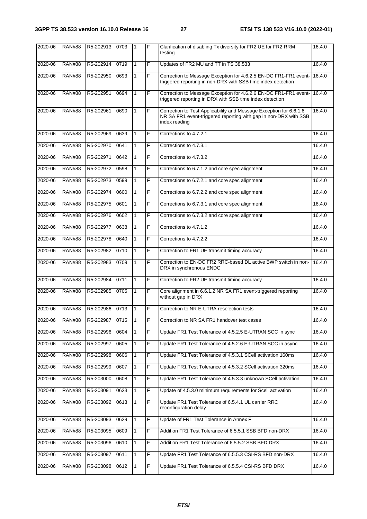| $2020 - 06$ | <b>RAN#88</b> | R5-202913      | 0703 | $\mathbf{1}$ | F | Clarification of disabling Tx diversity for FR2 UE for FR2 RRM<br>testing                                                                               | 16.4.0 |
|-------------|---------------|----------------|------|--------------|---|---------------------------------------------------------------------------------------------------------------------------------------------------------|--------|
| 2020-06     | <b>RAN#88</b> | R5-202914      | 0719 | $\mathbf{1}$ | F | Updates of FR2 MU and TT in TS 38.533                                                                                                                   | 16.4.0 |
| 2020-06     | <b>RAN#88</b> | R5-202950      | 0693 | $\mathbf{1}$ | F | Correction to Message Exception for 4.6.2.5 EN-DC FR1-FR1 event-<br>triggered reporting in non-DRX with SSB time index detection                        | 16.4.0 |
| 2020-06     | <b>RAN#88</b> | R5-202951      | 0694 | $\mathbf{1}$ | F | Correction to Message Exception for 4.6.2.6 EN-DC FR1-FR1 event-<br>triggered reporting in DRX with SSB time index detection                            | 16.4.0 |
| 2020-06     | <b>RAN#88</b> | R5-202961      | 0690 | 1            | F | Correction to Test Applicability and Message Exception for 6.6.1.6<br>NR SA FR1 event-triggered reporting with gap in non-DRX with SSB<br>index reading | 16.4.0 |
| 2020-06     | <b>RAN#88</b> | R5-202969      | 0639 | $\mathbf{1}$ | F | Corrections to 4.7.2.1                                                                                                                                  | 16.4.0 |
| 2020-06     | <b>RAN#88</b> | R5-202970      | 0641 | $\mathbf{1}$ | F | Corrections to 4.7.3.1                                                                                                                                  | 16.4.0 |
| 2020-06     | <b>RAN#88</b> | R5-202971      | 0642 | 1            | F | Corrections to 4.7.3.2                                                                                                                                  | 16.4.0 |
| 2020-06     | <b>RAN#88</b> | R5-202972      | 0598 | 1            | F | Corrections to 6.7.1.2 and core spec alignment                                                                                                          | 16.4.0 |
| 2020-06     | <b>RAN#88</b> | R5-202973      | 0599 | $\mathbf{1}$ | F | Corrections to 6.7.2.1 and core spec alignment                                                                                                          | 16.4.0 |
| 2020-06     | <b>RAN#88</b> | R5-202974      | 0600 | 1            | F | Corrections to 6.7.2.2 and core spec alignment                                                                                                          | 16.4.0 |
| 2020-06     | <b>RAN#88</b> | R5-202975      | 0601 | $\mathbf{1}$ | F | Corrections to 6.7.3.1 and core spec alignment                                                                                                          | 16.4.0 |
| 2020-06     | <b>RAN#88</b> | R5-202976      | 0602 | $\mathbf{1}$ | F | Corrections to 6.7.3.2 and core spec alignment                                                                                                          | 16.4.0 |
| 2020-06     | <b>RAN#88</b> | R5-202977      | 0638 | $\mathbf{1}$ | F | Corrections to 4.7.1.2                                                                                                                                  | 16.4.0 |
| 2020-06     | <b>RAN#88</b> | R5-202978      | 0640 | $\mathbf{1}$ | F | Corrections to 4.7.2.2                                                                                                                                  | 16.4.0 |
| 2020-06     | <b>RAN#88</b> | R5-202982      | 0710 | $\mathbf{1}$ | F | Correction to FR1 UE transmit timing accuracy                                                                                                           | 16.4.0 |
| 2020-06     | <b>RAN#88</b> | R5-202983      | 0709 | 1            | F | Correction to EN-DC FR2 RRC-based DL active BWP switch in non-<br>DRX in synchronous ENDC                                                               | 16.4.0 |
| 2020-06     | <b>RAN#88</b> | R5-202984      | 0711 | 1            | F | Correction to FR2 UE transmit timing accuracy                                                                                                           | 16.4.0 |
| 2020-06     | <b>RAN#88</b> | R5-202985      | 0705 | 1            | F | Core alignment in 6.6.1.2 NR SA FR1 event-triggered reporting<br>without gap in DRX                                                                     | 16.4.0 |
| 2020-06     | <b>RAN#88</b> | R5-202986      | 0713 | $\mathbf{1}$ | F | Correction to NR E-UTRA reselection tests                                                                                                               | 16.4.0 |
| 2020-06     | <b>RAN#88</b> | R5-202987 0715 |      |              | F | Correction to NR SA FR1 handover test cases                                                                                                             | 16.4.0 |
| 2020-06     | <b>RAN#88</b> | R5-202996      | 0604 | 1            | F | Update FR1 Test Tolerance of 4.5.2.5 E-UTRAN SCC in sync                                                                                                | 16.4.0 |
| 2020-06     | <b>RAN#88</b> | R5-202997      | 0605 | $\mathbf{1}$ | F | Update FR1 Test Tolerance of 4.5.2.6 E-UTRAN SCC in async                                                                                               | 16.4.0 |
| 2020-06     | <b>RAN#88</b> | R5-202998      | 0606 | 1            | F | Update FR1 Test Tolerance of 4.5.3.1 SCell activation 160ms                                                                                             | 16.4.0 |
| 2020-06     | <b>RAN#88</b> | R5-202999      | 0607 | $\mathbf{1}$ | F | Update FR1 Test Tolerance of 4.5.3.2 SCell activation 320ms                                                                                             | 16.4.0 |
| 2020-06     | <b>RAN#88</b> | R5-203000      | 0608 | 1            | F | Update FR1 Test Tolerance of 4.5.3.3 unknown SCell activation                                                                                           | 16.4.0 |
| 2020-06     | <b>RAN#88</b> | R5-203091      | 0623 | 1            | F | Update of 4.5.3.0 minimum requirements for Scell activation                                                                                             | 16.4.0 |
| 2020-06     | <b>RAN#88</b> | R5-203092      | 0613 | 1            | F | Update FR1 Test Tolerance of 6.5.4.1 UL carrier RRC<br>reconfiguration delay                                                                            | 16.4.0 |
| 2020-06     | <b>RAN#88</b> | R5-203093      | 0629 | 1            | F | Update of FR1 Test Tolerance in Annex F                                                                                                                 | 16.4.0 |
| 2020-06     | <b>RAN#88</b> | R5-203095      | 0609 | 1            | F | Addition FR1 Test Tolerance of 6.5.5.1 SSB BFD non-DRX                                                                                                  | 16.4.0 |
| 2020-06     | <b>RAN#88</b> | R5-203096      | 0610 | 1            | F | Addition FR1 Test Tolerance of 6.5.5.2 SSB BFD DRX                                                                                                      | 16.4.0 |
| 2020-06     | <b>RAN#88</b> | R5-203097      | 0611 | 1            | F | Update FR1 Test Tolerance of 6.5.5.3 CSI-RS BFD non-DRX                                                                                                 | 16.4.0 |
| 2020-06     | <b>RAN#88</b> | R5-203098      | 0612 | $\mathbf{1}$ | F | Update FR1 Test Tolerance of 6.5.5.4 CSI-RS BFD DRX                                                                                                     | 16.4.0 |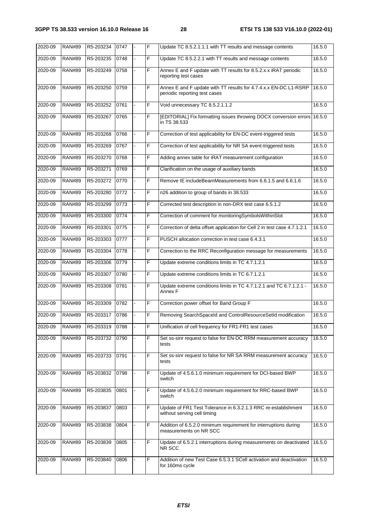| $2020 - 09$ | <b>RAN#89</b> | R5-203234 | 0747 |    | F | Update TC 8.5.2.1.1.1 with TT results and message contents                                        | 16.5.0 |
|-------------|---------------|-----------|------|----|---|---------------------------------------------------------------------------------------------------|--------|
| 2020-09     | <b>RAN#89</b> | R5-203235 | 0748 |    | F | Update TC 8.5.2.2.1 with TT results and message contents                                          | 16.5.0 |
| 2020-09     | <b>RAN#89</b> | R5-203249 | 0758 |    | F | Annex E and F update with TT results for 8.5.2.x.x iRAT periodic<br>reporting test cases          | 16.5.0 |
| 2020-09     | <b>RAN#89</b> | R5-203250 | 0759 |    | F | Annex E and F update with TT results for 4.7.4.x.x EN-DC L1-RSRP<br>periodic reporting test cases | 16.5.0 |
| 2020-09     | <b>RAN#89</b> | R5-203252 | 0761 |    | F | Void unnecessary TC 8.5.2.1.1.2                                                                   | 16.5.0 |
| 2020-09     | <b>RAN#89</b> | R5-203267 | 0765 |    | F | [EDITORIAL] Fix formatting issues throwing DOCX conversion errors<br>in TS 38.533                 | 16.5.0 |
| 2020-09     | <b>RAN#89</b> | R5-203268 | 0766 |    | F | Correction of test applicability for EN-DC event-triggered tests                                  | 16.5.0 |
| 2020-09     | <b>RAN#89</b> | R5-203269 | 0767 |    | F | Correction of test applicability for NR SA event-triggered tests                                  | 16.5.0 |
| 2020-09     | <b>RAN#89</b> | R5-203270 | 0768 |    | F | Adding annex table for iRAT measurement configuration                                             | 16.5.0 |
| 2020-09     | <b>RAN#89</b> | R5-203271 | 0769 |    | F | Clarification on the usage of auxiliary bands                                                     | 16.5.0 |
| 2020-09     | <b>RAN#89</b> | R5-203272 | 0770 |    | F | Remove IE includeBeamMeasurements from 6.6.1.5 and 6.6.1.6                                        | 16.5.0 |
| 2020-09     | <b>RAN#89</b> | R5-203280 | 0772 |    | F | n26 addition to group of bands in 38.533                                                          | 16.5.0 |
| 2020-09     | <b>RAN#89</b> | R5-203299 | 0773 |    | F | Corrected test description in non-DRX test case 6.5.1.2                                           | 16.5.0 |
| 2020-09     | <b>RAN#89</b> | R5-203300 | 0774 |    | F | Correction of comment for monitoringSymbolsWithinSlot                                             | 16.5.0 |
| 2020-09     | <b>RAN#89</b> | R5-203301 | 0775 |    | F | Correction of delta offset application for Cell 2 in test case 4.7.1.2.1                          | 16.5.0 |
| 2020-09     | <b>RAN#89</b> | R5-203303 | 0777 |    | F | PUSCH allocation correction in test case 6.4.3.1                                                  | 16.5.0 |
| 2020-09     | <b>RAN#89</b> | R5-203304 | 0778 |    | F | Correction to the RRC Reconfiguration message for measurements                                    | 16.5.0 |
| 2020-09     | <b>RAN#89</b> | R5-203306 | 0779 |    | F | Update extreme conditions limits in TC 4.7.1.2.1                                                  | 16.5.0 |
| 2020-09     | <b>RAN#89</b> | R5-203307 | 0780 |    | F | Update extreme conditions limits in TC 6.7.1.2.1                                                  | 16.5.0 |
| 2020-09     | <b>RAN#89</b> | R5-203308 | 0781 |    | F | Update extreme conditions limits in TC 4.7.1.2.1 and TC 6.7.1.2.1 -<br>Annex F                    | 16.5.0 |
| 2020-09     | <b>RAN#89</b> | R5-203309 | 0782 |    | F | Correction power offset for Band Group F                                                          | 16.5.0 |
| 2020-09     | <b>RAN#89</b> | R5-203317 | 0786 |    | F | Removing SearchSpaceId and ControlResourceSetId modification                                      | 16.5.0 |
| 2020-09     | <b>RAN#89</b> | R5-203319 | 0788 |    | F | Unification of cell frequency for FR1-FR1 test cases                                              | 16.5.0 |
| 2020-09     | <b>RAN#89</b> | R5-203732 | 0790 |    | F | Set ss-sinr request to false for EN-DC RRM measurement accuracy<br>tests                          | 16.5.0 |
| 2020-09     | <b>RAN#89</b> | R5-203733 | 0791 | ä, | F | Set ss-sinr request to false for NR SA RRM measurement accuracy<br>tests                          | 16.5.0 |
| 2020-09     | <b>RAN#89</b> | R5-203832 | 0798 |    | F | Update of 4.5.6.1.0 minimum requirement for DCI-based BWP<br>switch                               | 16.5.0 |
| 2020-09     | <b>RAN#89</b> | R5-203835 | 0801 |    | F | Update of 4.5.6.2.0 minimum requirement for RRC-based BWP<br>switch                               | 16.5.0 |
| 2020-09     | <b>RAN#89</b> | R5-203837 | 0803 |    | F | Update of FR1 Test Tolerance in 6.3.2.1.3 RRC re-establishment<br>without serving cell timing     | 16.5.0 |
| 2020-09     | <b>RAN#89</b> | R5-203838 | 0804 |    | F | Addition of 6.5.2.0 minimum requirement for interruptions during<br>measurements on NR SCC        | 16.5.0 |
| 2020-09     | <b>RAN#89</b> | R5-203839 | 0805 |    | F | Update of 6.5.2.1 interruptions during measurements on deactivated<br>NR SCC                      | 16.5.0 |
| 2020-09     | <b>RAN#89</b> | R5-203840 | 0806 |    | F | Addition of new Test Case 6.5.3.1 SCell activation and deactivation<br>for 160ms cycle            | 16.5.0 |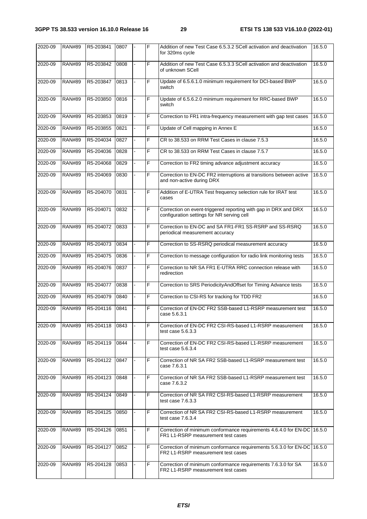| 2020-09 | <b>RAN#89</b> | R5-203841 | 0807 | F | Addition of new Test Case 6.5.3.2 SCell activation and deactivation<br>for 320ms cycle                        | 16.5.0 |
|---------|---------------|-----------|------|---|---------------------------------------------------------------------------------------------------------------|--------|
| 2020-09 | <b>RAN#89</b> | R5-203842 | 0808 | F | Addition of new Test Case 6.5.3.3 SCell activation and deactivation<br>of unknown SCell                       | 16.5.0 |
| 2020-09 | <b>RAN#89</b> | R5-203847 | 0813 | F | Update of 6.5.6.1.0 minimum requirement for DCI-based BWP<br>switch                                           | 16.5.0 |
| 2020-09 | <b>RAN#89</b> | R5-203850 | 0816 | F | Update of 6.5.6.2.0 minimum requirement for RRC-based BWP<br>switch                                           | 16.5.0 |
| 2020-09 | <b>RAN#89</b> | R5-203853 | 0819 | F | Correction to FR1 intra-frequency measurement with gap test cases                                             | 16.5.0 |
| 2020-09 | <b>RAN#89</b> | R5-203855 | 0821 | F | Update of Cell mapping in Annex E                                                                             | 16.5.0 |
| 2020-09 | <b>RAN#89</b> | R5-204034 | 0827 | F | CR to 38.533 on RRM Test Cases in clause 7.5.3                                                                | 16.5.0 |
| 2020-09 | <b>RAN#89</b> | R5-204036 | 0828 | F | CR to 38.533 on RRM Test Cases in clause 7.5.7                                                                | 16.5.0 |
| 2020-09 | <b>RAN#89</b> | R5-204068 | 0829 | F | Correction to FR2 timing advance adjustment accuracy                                                          | 16.5.0 |
| 2020-09 | <b>RAN#89</b> | R5-204069 | 0830 | F | Correction to EN-DC FR2 interruptions at transitions between active<br>and non-active during DRX              | 16.5.0 |
| 2020-09 | <b>RAN#89</b> | R5-204070 | 0831 | F | Addition of E-UTRA Test frequency selection rule for IRAT test<br>cases                                       | 16.5.0 |
| 2020-09 | <b>RAN#89</b> | R5-204071 | 0832 | F | Correction on event-triggered reporting with gap in DRX and DRX<br>configuration settings for NR serving cell | 16.5.0 |
| 2020-09 | <b>RAN#89</b> | R5-204072 | 0833 | F | Correction to EN-DC and SA FR1-FR1 SS-RSRP and SS-RSRQ<br>periodical measurement accuracy                     | 16.5.0 |
| 2020-09 | <b>RAN#89</b> | R5-204073 | 0834 | F | Correction to SS-RSRQ periodical measurement accuracy                                                         | 16.5.0 |
| 2020-09 | <b>RAN#89</b> | R5-204075 | 0836 | F | Correction to message configuration for radio link monitoring tests                                           | 16.5.0 |
| 2020-09 | <b>RAN#89</b> | R5-204076 | 0837 | F | Correction to NR SA FR1 E-UTRA RRC connection release with<br>redirection                                     | 16.5.0 |
| 2020-09 | <b>RAN#89</b> | R5-204077 | 0838 | F | Correction to SRS PeriodicityAndOffset for Timing Advance tests                                               | 16.5.0 |
| 2020-09 | <b>RAN#89</b> | R5-204079 | 0840 | F | Correction to CSI-RS for tracking for TDD FR2                                                                 | 16.5.0 |
| 2020-09 | <b>RAN#89</b> | R5-204116 | 0841 | F | Correction of EN-DC FR2 SSB-based L1-RSRP measurement test<br>case 5.6.3.1                                    | 16.5.0 |
| 2020-09 | <b>RAN#89</b> | R5-204118 | 0843 | F | Correction of EN-DC FR2 CSI-RS-based L1-RSRP measurement<br>test case 5.6.3.3                                 | 16.5.0 |
| 2020-09 | <b>RAN#89</b> | R5-204119 | 0844 | F | Correction of EN-DC FR2 CSI-RS-based L1-RSRP measurement<br>test case $5.6.3.4$                               | 16.5.0 |
| 2020-09 | <b>RAN#89</b> | R5-204122 | 0847 | F | Correction of NR SA FR2 SSB-based L1-RSRP measurement test<br>case 7.6.3.1                                    | 16.5.0 |
| 2020-09 | <b>RAN#89</b> | R5-204123 | 0848 | F | Correction of NR SA FR2 SSB-based L1-RSRP measurement test<br>case 7.6.3.2                                    | 16.5.0 |
| 2020-09 | <b>RAN#89</b> | R5-204124 | 0849 | F | Correction of NR SA FR2 CSI-RS-based L1-RSRP measurement<br>test case 7.6.3.3                                 | 16.5.0 |
| 2020-09 | <b>RAN#89</b> | R5-204125 | 0850 | F | Correction of NR SA FR2 CSI-RS-based L1-RSRP measurement<br>test case 7.6.3.4                                 | 16.5.0 |
| 2020-09 | <b>RAN#89</b> | R5-204126 | 0851 | F | Correction of minimum conformance requirements 4.6.4.0 for EN-DC 16.5.0<br>FR1 L1-RSRP measurement test cases |        |
| 2020-09 | <b>RAN#89</b> | R5-204127 | 0852 | F | Correction of minimum conformance requirements 5.6.3.0 for EN-DC<br>FR2 L1-RSRP measurement test cases        | 16.5.0 |
| 2020-09 | <b>RAN#89</b> | R5-204128 | 0853 | F | Correction of minimum conformance requirements 7.6.3.0 for SA<br>FR2 L1-RSRP measurement test cases           | 16.5.0 |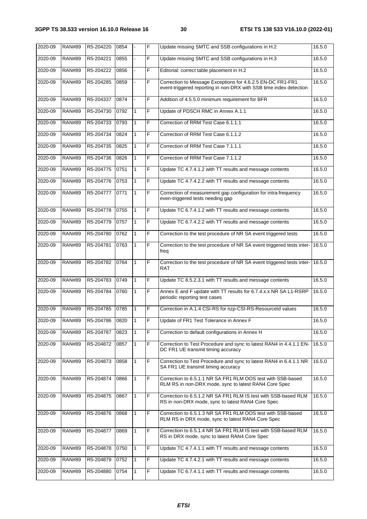| 2020-09 | <b>RAN#89</b> | R5-204220 | 0854 |              | F | Update missing SMTC and SSB configurations in H.2                                                                                | 16.5.0 |
|---------|---------------|-----------|------|--------------|---|----------------------------------------------------------------------------------------------------------------------------------|--------|
| 2020-09 | <b>RAN#89</b> | R5-204221 | 0855 |              | F | Update missing SMTC and SSB configurations in H.3                                                                                | 16.5.0 |
| 2020-09 | <b>RAN#89</b> | R5-204222 | 0856 |              | F | Editorial: correct table placement in H.2                                                                                        | 16.5.0 |
| 2020-09 | <b>RAN#89</b> | R5-204285 | 0859 |              | F | Correction to Message Exceptions for 4.6.2.5 EN-DC FR1-FR1<br>event-triggered reporting in non-DRX with SSB time index detection | 16.5.0 |
| 2020-09 | <b>RAN#89</b> | R5-204337 | 0874 |              | F | Addition of 4.5.5.0 minimum requirement for BFR                                                                                  | 16.5.0 |
| 2020-09 | <b>RAN#89</b> | R5-204730 | 0792 | 1            | F | Update of PDSCH RMC in Annex A.1.1                                                                                               | 16.5.0 |
| 2020-09 | <b>RAN#89</b> | R5-204733 | 0793 | $\mathbf{1}$ | F | Correction of RRM Test Case 6.1.1.1                                                                                              | 16.5.0 |
| 2020-09 | <b>RAN#89</b> | R5-204734 | 0824 | 1            | F | Correction of RRM Test Case 6.1.1.2                                                                                              | 16.5.0 |
| 2020-09 | <b>RAN#89</b> | R5-204735 | 0825 | 1            | F | Correction of RRM Test Case 7.1.1.1                                                                                              | 16.5.0 |
| 2020-09 | <b>RAN#89</b> | R5-204736 | 0826 | 1            | F | Correction of RRM Test Case 7.1.1.2                                                                                              | 16.5.0 |
| 2020-09 | <b>RAN#89</b> | R5-204775 | 0751 | 1            | F | Update TC 4.7.4.1.2 with TT results and message contents                                                                         | 16.5.0 |
| 2020-09 | <b>RAN#89</b> | R5-204776 | 0753 | 1            | F | Update TC 4.7.4.2.2 with TT results and message contents                                                                         | 16.5.0 |
| 2020-09 | <b>RAN#89</b> | R5-204777 | 0771 | $\mathbf{1}$ | F | Correction of measurement gap configuration for intra-frequency<br>even-triggered tests needing gap                              | 16.5.0 |
| 2020-09 | <b>RAN#89</b> | R5-204778 | 0755 | 1            | F | Update TC 6.7.4.1.2 with TT results and message contents                                                                         | 16.5.0 |
| 2020-09 | <b>RAN#89</b> | R5-204779 | 0757 | 1            | F | Update TC 6.7.4.2.2 with TT results and message contents                                                                         | 16.5.0 |
| 2020-09 | <b>RAN#89</b> | R5-204780 | 0762 | 1            | F | Correction to the test procedure of NR SA event triggered tests                                                                  | 16.5.0 |
| 2020-09 | <b>RAN#89</b> | R5-204781 | 0763 | 1            | F | Correction to the test procedure of NR SA event triggered tests inter-<br>freq                                                   | 16.5.0 |
| 2020-09 | <b>RAN#89</b> | R5-204782 | 0764 | 1            | F | Correction to the test procedure of NR SA event triggered tests inter-<br>RAT                                                    | 16.5.0 |
| 2020-09 | <b>RAN#89</b> | R5-204783 | 0749 | 1            | F | Update TC 8.5.2.3.1 with TT results and message contents                                                                         | 16.5.0 |
| 2020-09 | <b>RAN#89</b> | R5-204784 | 0760 | 1            | F | Annex E and F update with TT results for 6.7.4.x.x NR SA L1-RSRP<br>periodic reporting test cases                                | 16.5.0 |
| 2020-09 | <b>RAN#89</b> | R5-204785 | 0785 | 1            | F | Correction in A.1.4 CSI-RS for nzp-CSI-RS-Resourceld values                                                                      | 16.5.0 |
| 2020-09 | <b>RAN#89</b> | R5-204786 | 0820 | ∣1           | F | Update of FR1 Test Tolerance in Annex F                                                                                          | 16.5.0 |
| 2020-09 | <b>RAN#89</b> | R5-204787 | 0823 | 1            | F | Correction to default configurations in Annex H                                                                                  | 16.5.0 |
| 2020-09 | <b>RAN#89</b> | R5-204872 | 0857 | 1            | F | Correction to Test Procedure and sync to latest RAN4 in 4.4.1.1 EN-<br>DC FR1 UE transmit timing accuracy                        | 16.5.0 |
| 2020-09 | <b>RAN#89</b> | R5-204873 | 0858 | 1            | F | Correction to Test Procedure and sync to latest RAN4 in 6.4.1.1 NR<br>SA FR1 UE transmit timing accuracy                         | 16.5.0 |
| 2020-09 | <b>RAN#89</b> | R5-204874 | 0866 | $\mathbf{1}$ | F | Correction to 6.5.1.1 NR SA FR1 RLM OOS test with SSB-based<br>RLM RS in non-DRX mode, sync to latest RAN4 Core Spec             | 16.5.0 |
| 2020-09 | <b>RAN#89</b> | R5-204875 | 0867 | $\mathbf{1}$ | F | Correction to 6.5.1.2 NR SA FR1 RLM IS test with SSB-based RLM<br>RS in non-DRX mode, sync to latest RAN4 Core Spec              | 16.5.0 |
| 2020-09 | <b>RAN#89</b> | R5-204876 | 0868 | 1            | F | Correction to 6.5.1.3 NR SA FR1 RLM OOS test with SSB-based<br>RLM RS in DRX mode, sync to latest RAN4 Core Spec                 | 16.5.0 |
| 2020-09 | <b>RAN#89</b> | R5-204877 | 0869 | 1            | F | Correction to 6.5.1.4 NR SA FR1 RLM IS test with SSB-based RLM<br>RS in DRX mode, sync to latest RAN4 Core Spec                  | 16.5.0 |
| 2020-09 | <b>RAN#89</b> | R5-204878 | 0750 | $\mathbf{1}$ | F | Update TC 4.7.4.1.1 with TT results and message contents                                                                         | 16.5.0 |
| 2020-09 | <b>RAN#89</b> | R5-204879 | 0752 | $\mathbf{1}$ | F | Update TC 4.7.4.2.1 with TT results and message contents                                                                         | 16.5.0 |
| 2020-09 | <b>RAN#89</b> | R5-204880 | 0754 | 1            | F | Update TC 6.7.4.1.1 with TT results and message contents                                                                         | 16.5.0 |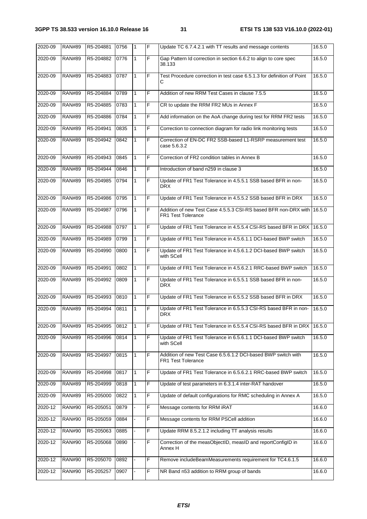| 2020-09 | <b>RAN#89</b> | R5-204881 | 0756 | $\mathbf{1}$ | F              | Update TC 6.7.4.2.1 with TT results and message contents                                     | 16.5.0 |
|---------|---------------|-----------|------|--------------|----------------|----------------------------------------------------------------------------------------------|--------|
| 2020-09 | <b>RAN#89</b> | R5-204882 | 0776 | $\mathbf{1}$ | F              | Gap Pattern Id correction in section 6.6.2 to align to core spec<br>38.133                   | 16.5.0 |
| 2020-09 | <b>RAN#89</b> | R5-204883 | 0787 | 1            | F              | Test Procedure correction in test case 6.5.1.3 for definition of Point<br>С                  | 16.5.0 |
| 2020-09 | <b>RAN#89</b> | R5-204884 | 0789 | $\mathbf{1}$ | F              | Addition of new RRM Test Cases in clause 7.5.5                                               | 16.5.0 |
| 2020-09 | <b>RAN#89</b> | R5-204885 | 0783 | $\mathbf{1}$ | F              | CR to update the RRM FR2 MUs in Annex F                                                      | 16.5.0 |
| 2020-09 | <b>RAN#89</b> | R5-204886 | 0784 | 1            | F              | Add information on the AoA change during test for RRM FR2 tests                              | 16.5.0 |
| 2020-09 | <b>RAN#89</b> | R5-204941 | 0835 | $\mathbf{1}$ | F              | Correction to connection diagram for radio link monitoring tests                             | 16.5.0 |
| 2020-09 | <b>RAN#89</b> | R5-204942 | 0842 | 1            | F              | Correction of EN-DC FR2 SSB-based L1-RSRP measurement test<br>case 5.6.3.2                   | 16.5.0 |
| 2020-09 | <b>RAN#89</b> | R5-204943 | 0845 | 1            | F              | Correction of FR2 condition tables in Annex B                                                | 16.5.0 |
| 2020-09 | <b>RAN#89</b> | R5-204944 | 0846 | $\mathbf{1}$ | F              | Introduction of band n259 in clause 3                                                        | 16.5.0 |
| 2020-09 | <b>RAN#89</b> | R5-204985 | 0794 | 1            | F              | Update of FR1 Test Tolerance in 4.5.5.1 SSB based BFR in non-<br>DRX.                        | 16.5.0 |
| 2020-09 | <b>RAN#89</b> | R5-204986 | 0795 | 1            | F              | Update of FR1 Test Tolerance in 4.5.5.2 SSB based BFR in DRX                                 | 16.5.0 |
| 2020-09 | <b>RAN#89</b> | R5-204987 | 0796 | $\mathbf{1}$ | F              | Addition of new Test Case 4.5.5.3 CSI-RS based BFR non-DRX with<br><b>FR1 Test Tolerance</b> | 16.5.0 |
| 2020-09 | <b>RAN#89</b> | R5-204988 | 0797 | $\mathbf{1}$ | F              | Update of FR1 Test Tolerance in 4.5.5.4 CSI-RS based BFR in DRX 16.5.0                       |        |
| 2020-09 | <b>RAN#89</b> | R5-204989 | 0799 | 1            | F              | Update of FR1 Test Tolerance in 4.5.6.1.1 DCI-based BWP switch                               | 16.5.0 |
| 2020-09 | <b>RAN#89</b> | R5-204990 | 0800 | $\mathbf{1}$ | F              | Update of FR1 Test Tolerance in 4.5.6.1.2 DCI-based BWP switch<br>with SCell                 | 16.5.0 |
| 2020-09 | <b>RAN#89</b> | R5-204991 | 0802 | 1            | F              | Update of FR1 Test Tolerance in 4.5.6.2.1 RRC-based BWP switch                               | 16.5.0 |
| 2020-09 | <b>RAN#89</b> | R5-204992 | 0809 | 1            | F              | Update of FR1 Test Tolerance in 6.5.5.1 SSB based BFR in non-<br>DRX.                        | 16.5.0 |
| 2020-09 | <b>RAN#89</b> | R5-204993 | 0810 | $\mathbf{1}$ | F              | Update of FR1 Test Tolerance in 6.5.5.2 SSB based BFR in DRX                                 | 16.5.0 |
| 2020-09 | <b>RAN#89</b> | R5-204994 | 0811 | 1            | F              | Update of FR1 Test Tolerance in 6.5.5.3 CSI-RS based BFR in non-<br>DRX.                     | 16.5.0 |
| 2020-09 | <b>RAN#89</b> | R5-204995 | 0812 | $\mathbf{1}$ | F              | Update of FR1 Test Tolerance in 6.5.5.4 CSI-RS based BFR in DRX                              | 16.5.0 |
| 2020-09 | <b>RAN#89</b> | R5-204996 | 0814 | $\mathbf{1}$ | $\overline{F}$ | Update of FR1 Test Tolerance in 6.5.6.1.1 DCI-based BWP switch<br>with SCell                 | 16.5.0 |
| 2020-09 | <b>RAN#89</b> | R5-204997 | 0815 | 1            | F              | Addition of new Test Case 6.5.6.1.2 DCI-based BWP switch with<br>FR1 Test Tolerance          | 16.5.0 |
| 2020-09 | <b>RAN#89</b> | R5-204998 | 0817 | $\mathbf{1}$ | F              | Update of FR1 Test Tolerance in 6.5.6.2.1 RRC-based BWP switch                               | 16.5.0 |
| 2020-09 | <b>RAN#89</b> | R5-204999 | 0818 | 1            | F              | Update of test parameters in 6.3.1.4 inter-RAT handover                                      | 16.5.0 |
| 2020-09 | <b>RAN#89</b> | R5-205000 | 0822 | 1            | F              | Update of default configurations for RMC scheduling in Annex A                               | 16.5.0 |
| 2020-12 | <b>RAN#90</b> | R5-205051 | 0879 |              | F              | Message contents for RRM iRAT                                                                | 16.6.0 |
| 2020-12 | <b>RAN#90</b> | R5-205059 | 0884 |              | F              | Message contents for RRM PSCell addition                                                     | 16.6.0 |
| 2020-12 | <b>RAN#90</b> | R5-205063 | 0885 |              | F              | Update RRM 8.5.2.1.2 including TT analysis results                                           | 16.6.0 |
| 2020-12 | <b>RAN#90</b> | R5-205068 | 0890 |              | F              | Correction of the measObjectID, measID and reportConfigID in<br>Annex H                      | 16.6.0 |
| 2020-12 | <b>RAN#90</b> | R5-205070 | 0892 |              | F              | Remove includeBeamMeasurements requirement for TC4.6.1.5                                     | 16.6.0 |
| 2020-12 | <b>RAN#90</b> | R5-205257 | 0907 |              | F              | NR Band n53 addition to RRM group of bands                                                   | 16.6.0 |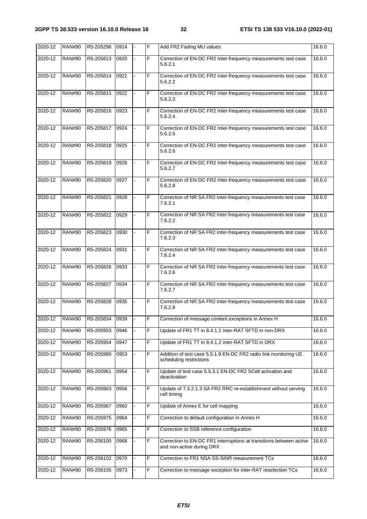| $2020 - 12$ | <b>RAN#90</b> | R5-205296      | 0914 | F  | Add FR2 Fading MU values                                                                         | 16.6.0 |
|-------------|---------------|----------------|------|----|--------------------------------------------------------------------------------------------------|--------|
| 2020-12     | <b>RAN#90</b> | R5-205813      | 0920 | F  | Correction of EN-DC FR2 Inter-frequency measurements test case<br>5.6.2.1                        | 16.6.0 |
| 2020-12     | <b>RAN#90</b> | R5-205814      | 0921 | F  | Correction of EN-DC FR2 Inter-frequency measurements test case<br>5.6.2.2                        | 16.6.0 |
| 2020-12     | <b>RAN#90</b> | R5-205815      | 0922 | F  | Correction of EN-DC FR2 Inter-frequency measurements test case<br>5.6.2.3                        | 16.6.0 |
| 2020-12     | <b>RAN#90</b> | R5-205816      | 0923 | F  | Correction of EN-DC FR2 Inter-frequency measurements test case<br>5.6.2.4                        | 16.6.0 |
| 2020-12     | <b>RAN#90</b> | R5-205817      | 0924 | F  | Correction of EN-DC FR2 Inter-frequency measurements test case<br>5.6.2.5                        | 16.6.0 |
| 2020-12     | <b>RAN#90</b> | R5-205818      | 0925 | F  | Correction of EN-DC FR2 Inter-frequency measurements test case<br>5.6.2.6                        | 16.6.0 |
| 2020-12     | <b>RAN#90</b> | R5-205819      | 0926 | F  | Correction of EN-DC FR2 Inter-frequency measurements test case<br>5.6.2.7                        | 16.6.0 |
| 2020-12     | <b>RAN#90</b> | R5-205820      | 0927 | F  | Correction of EN-DC FR2 Inter-frequency measurements test case<br>5.6.2.8                        | 16.6.0 |
| 2020-12     | <b>RAN#90</b> | R5-205821      | 0928 | F  | Correction of NR SA FR2 Inter-frequency measurements test case<br>7.6.2.1                        | 16.6.0 |
| 2020-12     | <b>RAN#90</b> | R5-205822      | 0929 | F  | Correction of NR SA FR2 Inter-frequency measurements test case<br>7.6.2.2                        | 16.6.0 |
| 2020-12     | <b>RAN#90</b> | R5-205823      | 0930 | F  | Correction of NR SA FR2 Inter-frequency measurements test case<br>7.6.2.3                        | 16.6.0 |
| 2020-12     | <b>RAN#90</b> | R5-205824      | 0931 | F  | Correction of NR SA FR2 Inter-frequency measurements test case<br>7.6.2.4                        | 16.6.0 |
| 2020-12     | <b>RAN#90</b> | R5-205826      | 0933 | F  | Correction of NR SA FR2 Inter-frequency measurements test case<br>7.6.2.6                        | 16.6.0 |
| 2020-12     | <b>RAN#90</b> | R5-205827      | 0934 | F  | Correction of NR SA FR2 Inter-frequency measurements test case<br>7.6.2.7                        | 16.6.0 |
| 2020-12     | <b>RAN#90</b> | R5-205828      | 0935 | F  | Correction of NR SA FR2 Inter-frequency measurements test case<br>7.6.2.8                        | 16.6.0 |
| 2020-12     | <b>RAN#90</b> | R5-205834 0939 |      | F  | Correction of message content exceptions in Annex H                                              | 16.6.0 |
| 2020-12     | <b>RAN#90</b> | R5-205953      | 0946 | F  | Update of FR1 TT in 8.4.1.1 inter-RAT SFTD in non-DRX                                            | 16.6.0 |
| 2020-12     | <b>RAN#90</b> | R5-205954      | 0947 | F  | Update of FR1 TT in 8.4.1.2 inter-RAT SFTD in DRX                                                | 16.6.0 |
| 2020-12     | <b>RAN#90</b> | R5-205960      | 0953 | F  | Addition of test case 5.5.1.9 EN-DC FR2 radio link monitoring UE<br>scheduling restrictions      | 16.6.0 |
| 2020-12     | <b>RAN#90</b> | R5-205961      | 0954 | F  | Update of test case 5.5.3.1 EN-DC FR2 SCell activation and<br>deactivation                       | 16.6.0 |
| 2020-12     | <b>RAN#90</b> | R5-205963      | 0956 | F  | Update of 7.3.2.1.3 SA FR2 RRC re-establishment without serving<br>cell timing                   | 16.6.0 |
| 2020-12     | <b>RAN#90</b> | R5-205967      | 0960 | F  | Update of Annex E for cell mapping                                                               | 16.6.0 |
| 2020-12     | <b>RAN#90</b> | R5-205975      | 0964 | F  | Correction to default configuration in Annex H                                                   | 16.6.0 |
| 2020-12     | <b>RAN#90</b> | R5-205976      | 0965 | F  | Correction to SSB reference configuration                                                        | 16.6.0 |
| 2020-12     | <b>RAN#90</b> | R5-206100      | 0968 | F. | Correction to EN-DC FR1 interruptions at transitions between active<br>and non-active during DRX | 16.6.0 |
| 2020-12     | <b>RAN#90</b> | R5-206102      | 0970 | F  | Correction to FR1 NSA SS-SINR measurement TCs                                                    | 16.6.0 |
| 2020-12     | <b>RAN#90</b> | R5-206105      | 0973 | F  | Correction to message exception for inter-RAT reselection TCs                                    | 16.6.0 |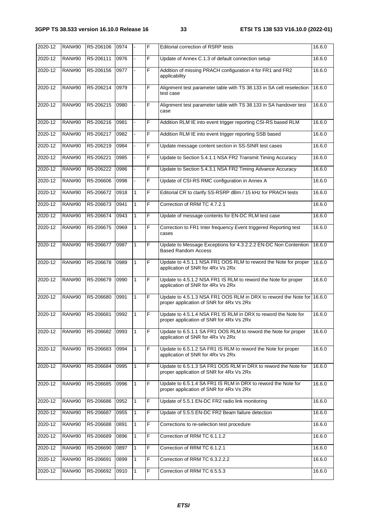| 2020-12 | <b>RAN#90</b> | R5-206106 | 0974 |              | F | <b>Editorial correction of RSRP tests</b>                                                                          | 16.6.0 |
|---------|---------------|-----------|------|--------------|---|--------------------------------------------------------------------------------------------------------------------|--------|
| 2020-12 | <b>RAN#90</b> | R5-206111 | 0976 |              | F | Update of Annex C.1.3 of default connection setup                                                                  | 16.6.0 |
| 2020-12 | <b>RAN#90</b> | R5-206156 | 0977 |              | F | Addition of missing PRACH configuration 4 for FR1 and FR2<br>applicability                                         | 16.6.0 |
| 2020-12 | <b>RAN#90</b> | R5-206214 | 0979 |              | F | Alignment test parameter table with TS 38.133 in SA cell reselection<br>test case                                  | 16.6.0 |
| 2020-12 | <b>RAN#90</b> | R5-206215 | 0980 |              | F | Alignment test parameter table with TS 38.133 in SA handover test<br>case                                          | 16.6.0 |
| 2020-12 | <b>RAN#90</b> | R5-206216 | 0981 |              | F | Addition RLM IE into event trigger reporting CSI-RS based RLM                                                      | 16.6.0 |
| 2020-12 | <b>RAN#90</b> | R5-206217 | 0982 |              | F | Addition RLM IE into event trigger reporting SSB based                                                             | 16.6.0 |
| 2020-12 | <b>RAN#90</b> | R5-206219 | 0984 |              | F | Update message content section in SS-SINR test cases                                                               | 16.6.0 |
| 2020-12 | <b>RAN#90</b> | R5-206221 | 0985 |              | F | Update to Section 5.4.1.1 NSA FR2 Transmit Timing Accuracy                                                         | 16.6.0 |
| 2020-12 | <b>RAN#90</b> | R5-206222 | 0986 |              | F | Update to Section 5.4.3.1 NSA FR2 Timing Advance Accuracy                                                          | 16.6.0 |
| 2020-12 | <b>RAN#90</b> | R5-206606 | 0998 |              | F | Update of CSI-RS RMC configuration in Annex A                                                                      | 16.6.0 |
| 2020-12 | <b>RAN#90</b> | R5-206672 | 0918 | 1            | F | Editorial CR to clarify SS-RSRP dBm / 15 kHz for PRACH tests                                                       | 16.6.0 |
| 2020-12 | <b>RAN#90</b> | R5-206673 | 0941 | 1            | F | Correction of RRM TC 4.7.2.1                                                                                       | 16.6.0 |
| 2020-12 | <b>RAN#90</b> | R5-206674 | 0943 | 1            | F | Update of message contents for EN-DC RLM test case                                                                 | 16.6.0 |
| 2020-12 | <b>RAN#90</b> | R5-206675 | 0969 | $\mathbf{1}$ | F | Correction to FR1 Inter frequency Event triggered Reporting test<br>cases                                          | 16.6.0 |
| 2020-12 | <b>RAN#90</b> | R5-206677 | 0987 | 1            | F | Update to Message Exceptions for 4.3.2.2.2 EN-DC Non Contention<br><b>Based Random Access</b>                      | 16.6.0 |
| 2020-12 | <b>RAN#90</b> | R5-206678 | 0989 | 1            | F | Update to 4.5.1.1 NSA FR1 OOS RLM to reword the Note for proper<br>application of SNR for 4Rx Vs 2Rx               | 16.6.0 |
| 2020-12 | <b>RAN#90</b> | R5-206679 | 0990 | 1            | F | Update to 4.5.1.2 NSA FR1 IS RLM to reword the Note for proper<br>application of SNR for 4Rx Vs 2Rx                | 16.6.0 |
| 2020-12 | <b>RAN#90</b> | R5-206680 | 0991 | $\mathbf{1}$ | F | Update to 4.5.1.3 NSA FR1 OOS RLM in DRX to reword the Note for 16.6.0<br>proper application of SNR for 4Rx Vs 2Rx |        |
| 2020-12 | <b>RAN#90</b> | R5-206681 | 0992 | 1            | F | Update to 4.5.1.4 NSA FR1 IS RLM in DRX to reword the Note for<br>proper application of SNR for 4Rx Vs 2Rx         | 16.6.0 |
| 2020-12 | <b>RAN#90</b> | R5-206682 | 0993 | $\mathbf{1}$ | F | Update to 6.5.1.1 SA FR1 OOS RLM to reword the Note for proper<br>application of SNR for 4Rx Vs 2Rx                | 16.6.0 |
| 2020-12 | <b>RAN#90</b> | R5-206683 | 0994 | $\mathbf{1}$ | F | Update to 6.5.1.2 SA FR1 IS RLM to reword the Note for proper<br>application of SNR for 4Rx Vs 2Rx                 | 16.6.0 |
| 2020-12 | <b>RAN#90</b> | R5-206684 | 0995 | 1            | F | Update to 6.5.1.3 SA FR1 OOS RLM in DRX to reword the Note for<br>proper application of SNR for 4Rx Vs 2Rx         | 16.6.0 |
| 2020-12 | <b>RAN#90</b> | R5-206685 | 0996 | 1            | F | Update to 6.5.1.4 SA FR1 IS RLM in DRX to reword the Note for<br>proper application of SNR for 4Rx Vs 2Rx          | 16.6.0 |
| 2020-12 | <b>RAN#90</b> | R5-206686 | 0952 | $\mathbf{1}$ | F | Update of 5.5.1 EN-DC FR2 radio link monitoring                                                                    | 16.6.0 |
| 2020-12 | <b>RAN#90</b> | R5-206687 | 0955 | 1            | F | Update of 5.5.5 EN-DC FR2 Beam failure detection                                                                   | 16.6.0 |
| 2020-12 | <b>RAN#90</b> | R5-206688 | 0891 | $\mathbf{1}$ | F | Corrections to re-selection test procedure                                                                         | 16.6.0 |
| 2020-12 | <b>RAN#90</b> | R5-206689 | 0896 | $\mathbf{1}$ | F | Correction of RRM TC 6.1.1.2                                                                                       | 16.6.0 |
| 2020-12 | <b>RAN#90</b> | R5-206690 | 0897 | $\mathbf{1}$ | F | Correction of RRM TC 6.1.2.1                                                                                       | 16.6.0 |
| 2020-12 | <b>RAN#90</b> | R5-206691 | 0899 | 1            | F | Correction of RRM TC 6.3.2.2.2                                                                                     | 16.6.0 |
| 2020-12 | <b>RAN#90</b> | R5-206692 | 0910 | 1            | F | Correction of RRM TC 6.5.5.3                                                                                       | 16.6.0 |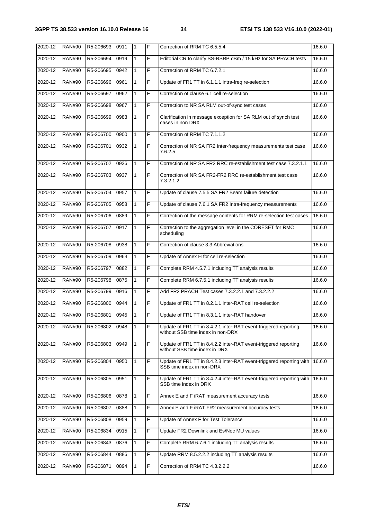| 2020-12 | <b>RAN#90</b> | R5-206693 | 0911 | $\mathbf{1}$ | F              | Correction of RRM TC 6.5.5.4                                                                         | 16.6.0 |
|---------|---------------|-----------|------|--------------|----------------|------------------------------------------------------------------------------------------------------|--------|
| 2020-12 | <b>RAN#90</b> | R5-206694 | 0919 | $\mathbf{1}$ | F              | Editorial CR to clarify SS-RSRP dBm / 15 kHz for SA PRACH tests                                      | 16.6.0 |
| 2020-12 | <b>RAN#90</b> | R5-206695 | 0942 | $\mathbf{1}$ | F              | Correction of RRM TC 6.7.2.1                                                                         | 16.6.0 |
| 2020-12 | <b>RAN#90</b> | R5-206696 | 0961 | $\mathbf{1}$ | F              | Update of FR1 TT in 6.1.1.1 intra-freq re-selection                                                  | 16.6.0 |
| 2020-12 | <b>RAN#90</b> | R5-206697 | 0962 | $\mathbf{1}$ | $\overline{F}$ | Correction of clause 6.1 cell re-selection                                                           | 16.6.0 |
| 2020-12 | <b>RAN#90</b> | R5-206698 | 0967 | $\mathbf{1}$ | F              | Correction to NR SA RLM out-of-sync test cases                                                       | 16.6.0 |
| 2020-12 | <b>RAN#90</b> | R5-206699 | 0983 | 1            | F              | Clarification in message exception for SA RLM out of synch test<br>cases in non DRX                  | 16.6.0 |
| 2020-12 | <b>RAN#90</b> | R5-206700 | 0900 | $\mathbf{1}$ | F              | Correction of RRM TC 7.1.1.2                                                                         | 16.6.0 |
| 2020-12 | <b>RAN#90</b> | R5-206701 | 0932 | $\mathbf{1}$ | F              | Correction of NR SA FR2 Inter-frequency measurements test case<br>7.6.2.5                            | 16.6.0 |
| 2020-12 | <b>RAN#90</b> | R5-206702 | 0936 | $\mathbf{1}$ | F.             | Correction of NR SA FR2 RRC re-establishment test case 7.3.2.1.1                                     | 16.6.0 |
| 2020-12 | <b>RAN#90</b> | R5-206703 | 0937 | $\mathbf{1}$ | F              | Correction of NR SA FR2-FR2 RRC re-establishment test case<br>7.3.2.1.2                              | 16.6.0 |
| 2020-12 | <b>RAN#90</b> | R5-206704 | 0957 | $\mathbf{1}$ | F              | Update of clause 7.5.5 SA FR2 Beam failure detection                                                 | 16.6.0 |
| 2020-12 | <b>RAN#90</b> | R5-206705 | 0958 | $\mathbf{1}$ | F.             | Update of clause 7.6.1 SA FR2 Intra-frequency measurements                                           | 16.6.0 |
| 2020-12 | <b>RAN#90</b> | R5-206706 | 0889 | $\mathbf{1}$ | F              | Correction of the message contents for RRM re-selection test cases                                   | 16.6.0 |
| 2020-12 | <b>RAN#90</b> | R5-206707 | 0917 | $\mathbf{1}$ | F              | Correction to the aggregation level in the CORESET for RMC<br>scheduling                             | 16.6.0 |
| 2020-12 | <b>RAN#90</b> | R5-206708 | 0938 | $\mathbf{1}$ | F.             | Correction of clause 3.3 Abbreviations                                                               | 16.6.0 |
| 2020-12 | <b>RAN#90</b> | R5-206709 | 0963 | $\mathbf{1}$ | F              | Update of Annex H for cell re-selection                                                              | 16.6.0 |
| 2020-12 | <b>RAN#90</b> | R5-206797 | 0882 | $\mathbf{1}$ | F              | Complete RRM 4.5.7.1 including TT analysis results                                                   | 16.6.0 |
| 2020-12 | <b>RAN#90</b> | R5-206798 | 0875 | $\mathbf{1}$ | F.             | Complete RRM 6.7.5.1 including TT analysis results                                                   | 16.6.0 |
| 2020-12 | <b>RAN#90</b> | R5-206799 | 0916 | $\mathbf{1}$ | F              | Add FR2 PRACH Test cases 7.3.2.2.1 and 7.3.2.2.2                                                     | 16.6.0 |
| 2020-12 | <b>RAN#90</b> | R5-206800 | 0944 | 1            | F              | Update of FR1 TT in 8.2.1.1 inter-RAT cell re-selection                                              | 16.6.0 |
| 2020-12 | <b>RAN#90</b> | R5-206801 | 0945 | $\mathbf{1}$ | F              | Update of FR1 TT in 8.3.1.1 inter-RAT handover                                                       | 16.6.0 |
| 2020-12 | <b>RAN#90</b> | R5-206802 | 0948 | $\mathbf{1}$ | F              | Update of FR1 TT in 8.4.2.1 inter-RAT event-triggered reporting<br>without SSB time index in non-DRX | 16.6.0 |
| 2020-12 | <b>RAN#90</b> | R5-206803 | 0949 | 1            | F              | Update of FR1 TT in 8.4.2.2 inter-RAT event-triggered reporting<br>without SSB time index in DRX     | 16.6.0 |
| 2020-12 | <b>RAN#90</b> | R5-206804 | 0950 | $\mathbf{1}$ | F              | Update of FR1 TT in 8.4.2.3 inter-RAT event-triggered reporting with<br>SSB time index in non-DRX    | 16.6.0 |
| 2020-12 | <b>RAN#90</b> | R5-206805 | 0951 | 1            | F              | Update of FR1 TT in 8.4.2.4 inter-RAT event-triggered reporting with<br>SSB time index in DRX        | 16.6.0 |
| 2020-12 | <b>RAN#90</b> | R5-206806 | 0878 | $\mathbf{1}$ | F              | Annex E and F iRAT measurement accuracy tests                                                        | 16.6.0 |
| 2020-12 | <b>RAN#90</b> | R5-206807 | 0888 | $\mathbf{1}$ | F              | Annex E and F iRAT FR2 measurement accuracy tests                                                    | 16.6.0 |
| 2020-12 | <b>RAN#90</b> | R5-206808 | 0959 | 1            | F              | Update of Annex F for Test Tolerance                                                                 | 16.6.0 |
| 2020-12 | <b>RAN#90</b> | R5-206834 | 0915 | 1            | F              | Update FR2 Downlink and Es/Noc MU values                                                             | 16.6.0 |
| 2020-12 | <b>RAN#90</b> | R5-206843 | 0876 | 1            | F              | Complete RRM 6.7.6.1 including TT analysis results                                                   | 16.6.0 |
| 2020-12 | <b>RAN#90</b> | R5-206844 | 0886 | 1            | F              | Update RRM 8.5.2.2.2 including TT analysis results                                                   | 16.6.0 |
| 2020-12 | <b>RAN#90</b> | R5-206871 | 0894 | 1            | F              | Correction of RRM TC 4.3.2.2.2                                                                       | 16.6.0 |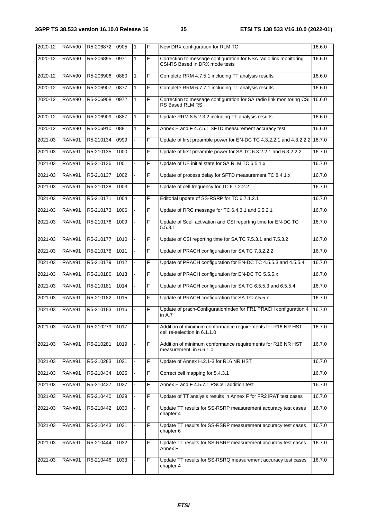| 2020-12 | <b>RAN#90</b> | R5-206872 | 0905 | $\mathbf{1}$ | F | New DRX configuration for RLM TC                                                                    | 16.6.0 |
|---------|---------------|-----------|------|--------------|---|-----------------------------------------------------------------------------------------------------|--------|
| 2020-12 | <b>RAN#90</b> | R5-206895 | 0971 | 1            | F | Correction to message configuration for NSA radio link monitoring<br>CSI-RS Based in DRX mode tests | 16.6.0 |
| 2020-12 | <b>RAN#90</b> | R5-206906 | 0880 | 1            | F | Complete RRM 4.7.5.1 including TT analysis results                                                  | 16.6.0 |
| 2020-12 | <b>RAN#90</b> | R5-206907 | 0877 | $\mathbf{1}$ | F | Complete RRM 6.7.7.1 including TT analysis results                                                  | 16.6.0 |
| 2020-12 | <b>RAN#90</b> | R5-206908 | 0972 | 1            | F | Correction to message configuration for SA radio link monitoring CSI<br>RS Based RLM RS             | 16.6.0 |
| 2020-12 | <b>RAN#90</b> | R5-206909 | 0887 | 1            | F | Update RRM 8.5.2.3.2 including TT analysis results                                                  | 16.6.0 |
| 2020-12 | <b>RAN#90</b> | R5-206910 | 0881 | 1            | F | Annex E and F 4.7.5.1 SFTD measurement accuracy test                                                | 16.6.0 |
| 2021-03 | <b>RAN#91</b> | R5-210134 | 0999 |              | F | Update of first preamble power for EN-DC TC 4.3.2.2.1 and 4.3.2.2.2 16.7.0                          |        |
| 2021-03 | <b>RAN#91</b> | R5-210135 | 1000 |              | F | Update of first preamble power for SA TC 6.3.2.2.1 and 6.3.2.2.2                                    | 16.7.0 |
| 2021-03 | <b>RAN#91</b> | R5-210136 | 1001 |              | F | Update of UE initial state for SA RLM TC 6.5.1.x                                                    | 16.7.0 |
| 2021-03 | <b>RAN#91</b> | R5-210137 | 1002 |              | F | Update of process delay for SFTD measurement TC 8.4.1.x                                             | 16.7.0 |
| 2021-03 | <b>RAN#91</b> | R5-210138 | 1003 |              | F | Update of cell frequency for TC 6.7.2.2.2                                                           | 16.7.0 |
| 2021-03 | <b>RAN#91</b> | R5-210171 | 1004 |              | F | Editorial update of SS-RSRP for TC 6.7.1.2.1                                                        | 16.7.0 |
| 2021-03 | <b>RAN#91</b> | R5-210173 | 1006 |              | F | Update of RRC message for TC 6.4.3.1 and 6.5.2.1                                                    | 16.7.0 |
| 2021-03 | <b>RAN#91</b> | R5-210176 | 1009 |              | F | Update of Scell activation and CSI reporting time for EN-DC TC<br>5.5.3.1                           | 16.7.0 |
| 2021-03 | <b>RAN#91</b> | R5-210177 | 1010 |              | F | Update of CSI reporting time for SA TC 7.5.3.1 and 7.5.3.2                                          | 16.7.0 |
| 2021-03 | <b>RAN#91</b> | R5-210178 | 1011 |              | F | Update of PRACH configuration for SA TC 7.3.2.2.2                                                   | 16.7.0 |
| 2021-03 | <b>RAN#91</b> | R5-210179 | 1012 |              | F | Update of PRACH configuration for EN-DC TC 4.5.5.3 and 4.5.5.4                                      | 16.7.0 |
| 2021-03 | <b>RAN#91</b> | R5-210180 | 1013 |              | F | Update of PRACH configuration for EN-DC TC 5.5.5.x                                                  | 16.7.0 |
| 2021-03 | <b>RAN#91</b> | R5-210181 | 1014 |              | F | Update of PRACH configuration for SA TC 6.5.5.3 and 6.5.5.4                                         | 16.7.0 |
| 2021-03 | <b>RAN#91</b> | R5-210182 | 1015 |              | F | Update of PRACH configuration for SA TC 7.5.5.x                                                     | 16.7.0 |
| 2021-03 | <b>RAN#91</b> | R5-210183 | 1016 |              | F | Update of prach-ConfigurationIndex for FR1 PRACH configuration 4<br>in A.7                          | 16.7.0 |
| 2021-03 | <b>RAN#91</b> | R5-210279 | 1017 |              | F | Addition of minimum conformance requirements for R16 NR HST<br>cell re-selection in 6.1.1.0         | 16.7.0 |
| 2021-03 | <b>RAN#91</b> | R5-210281 | 1019 |              | F | Addition of minimum conformance requirements for R16 NR HST<br>measurement in 6.6.1.0               | 16.7.0 |
| 2021-03 | <b>RAN#91</b> | R5-210283 | 1021 |              | F | Update of Annex H.2.1-3 for R16 NR HST                                                              | 16.7.0 |
| 2021-03 | <b>RAN#91</b> | R5-210434 | 1025 |              | F | Correct cell mapping for 5.4.3.1                                                                    | 16.7.0 |
| 2021-03 | <b>RAN#91</b> | R5-210437 | 1027 |              | F | Annex E and F 4.5.7.1 PSCell addition test                                                          | 16.7.0 |
| 2021-03 | <b>RAN#91</b> | R5-210440 | 1029 |              | F | Update of TT analysis results in Annex F for FR2 iRAT test cases                                    | 16.7.0 |
| 2021-03 | <b>RAN#91</b> | R5-210442 | 1030 |              | F | Update TT results for SS-RSRP measurement accuracy test cases<br>chapter 4                          | 16.7.0 |
| 2021-03 | <b>RAN#91</b> | R5-210443 | 1031 |              | F | Update TT results for SS-RSRP measurement accuracy test cases<br>chapter 6                          | 16.7.0 |
| 2021-03 | <b>RAN#91</b> | R5-210444 | 1032 |              | F | Update TT results for SS-RSRP measurement accuracy test cases<br>Annex F                            | 16.7.0 |
| 2021-03 | <b>RAN#91</b> | R5-210446 | 1033 |              | F | Update TT results for SS-RSRQ measurement accuracy test cases<br>chapter 4                          | 16.7.0 |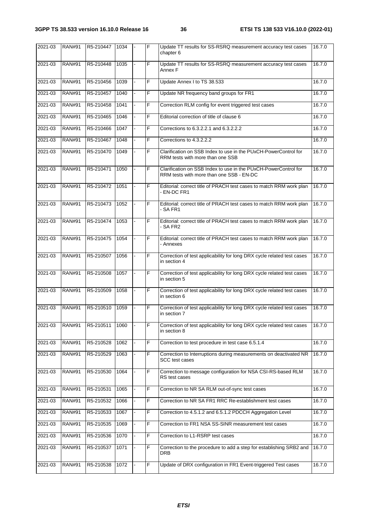| 2021-03 | <b>RAN#91</b> | R5-210447 | 1034 | F              | Update TT results for SS-RSRQ measurement accuracy test cases<br>chapter 6                                  | 16.7.0 |
|---------|---------------|-----------|------|----------------|-------------------------------------------------------------------------------------------------------------|--------|
| 2021-03 | <b>RAN#91</b> | R5-210448 | 1035 | F              | Update TT results for SS-RSRQ measurement accuracy test cases<br>Annex F                                    | 16.7.0 |
| 2021-03 | <b>RAN#91</b> | R5-210456 | 1039 | F              | Update Annex I to TS 38.533                                                                                 | 16.7.0 |
| 2021-03 | <b>RAN#91</b> | R5-210457 | 1040 | F              | Update NR frequency band groups for FR1                                                                     | 16.7.0 |
| 2021-03 | <b>RAN#91</b> | R5-210458 | 1041 | F              | Correction RLM config for event triggered test cases                                                        | 16.7.0 |
| 2021-03 | <b>RAN#91</b> | R5-210465 | 1046 | F              | Editorial correction of title of clause 6                                                                   | 16.7.0 |
| 2021-03 | <b>RAN#91</b> | R5-210466 | 1047 | F              | Corrections to 6.3.2.2.1 and 6.3.2.2.2                                                                      | 16.7.0 |
| 2021-03 | <b>RAN#91</b> | R5-210467 | 1048 | F              | Corrections to 4.3.2.2.2                                                                                    | 16.7.0 |
| 2021-03 | <b>RAN#91</b> | R5-210470 | 1049 | F              | Clarification on SSB Index to use in the PUxCH-PowerControl for<br>RRM tests with more than one SSB         | 16.7.0 |
| 2021-03 | <b>RAN#91</b> | R5-210471 | 1050 | F              | Clarification on SSB Index to use in the PUxCH-PowerControl for<br>RRM tests with more than one SSB - EN-DC | 16.7.0 |
| 2021-03 | <b>RAN#91</b> | R5-210472 | 1051 | $\overline{F}$ | Editorial: correct title of PRACH test cases to match RRM work plan<br>- EN-DC FR1                          | 16.7.0 |
| 2021-03 | <b>RAN#91</b> | R5-210473 | 1052 | F              | Editorial: correct title of PRACH test cases to match RRM work plan<br>- SA FR1                             | 16.7.0 |
| 2021-03 | <b>RAN#91</b> | R5-210474 | 1053 | F              | Editorial: correct title of PRACH test cases to match RRM work plan<br>- SA FR2                             | 16.7.0 |
| 2021-03 | <b>RAN#91</b> | R5-210475 | 1054 | F              | Editorial: correct title of PRACH test cases to match RRM work plan<br>- Annexes                            | 16.7.0 |
| 2021-03 | <b>RAN#91</b> | R5-210507 | 1056 | F              | Correction of test applicability for long DRX cycle related test cases<br>in section 4                      | 16.7.0 |
| 2021-03 | <b>RAN#91</b> | R5-210508 | 1057 | F              | Correction of test applicability for long DRX cycle related test cases<br>in section 5                      | 16.7.0 |
| 2021-03 | <b>RAN#91</b> | R5-210509 | 1058 | F              | Correction of test applicability for long DRX cycle related test cases<br>in section 6                      | 16.7.0 |
| 2021-03 | <b>RAN#91</b> | R5-210510 | 1059 | F              | Correction of test applicability for long DRX cycle related test cases<br>in section 7                      | 16.7.0 |
| 2021-03 | <b>RAN#91</b> | R5-210511 | 1060 | F              | Correction of test applicability for long DRX cycle related test cases<br>in section 8                      | 16.7.0 |
| 2021-03 | <b>RAN#91</b> | R5-210528 | 1062 | F              | Correction to test procedure in test case 6.5.1.4                                                           | 16.7.0 |
| 2021-03 | <b>RAN#91</b> | R5-210529 | 1063 | F              | Correction to Interruptions during measurements on deactivated NR<br>SCC test cases                         | 16.7.0 |
| 2021-03 | <b>RAN#91</b> | R5-210530 | 1064 | F              | Correction to message configuration for NSA CSI-RS-based RLM<br>RS test cases                               | 16.7.0 |
| 2021-03 | <b>RAN#91</b> | R5-210531 | 1065 | F              | Correction to NR SA RLM out-of-sync test cases                                                              | 16.7.0 |
| 2021-03 | <b>RAN#91</b> | R5-210532 | 1066 | F              | Correction to NR SA FR1 RRC Re-establishment test cases                                                     | 16.7.0 |
| 2021-03 | <b>RAN#91</b> | R5-210533 | 1067 | F              | Correction to 4.5.1.2 and 6.5.1.2 PDCCH Aggregation Level                                                   | 16.7.0 |
| 2021-03 | <b>RAN#91</b> | R5-210535 | 1069 | F              | Correction to FR1 NSA SS-SINR measurement test cases                                                        | 16.7.0 |
| 2021-03 | <b>RAN#91</b> | R5-210536 | 1070 | F              | Correction to L1-RSRP test cases                                                                            | 16.7.0 |
| 2021-03 | <b>RAN#91</b> | R5-210537 | 1071 | F              | Correction to the procedure to add a step for establishing SRB2 and<br>DRB                                  | 16.7.0 |
| 2021-03 | <b>RAN#91</b> | R5-210538 | 1072 | F              | Update of DRX configuration in FR1 Event-triggered Test cases                                               | 16.7.0 |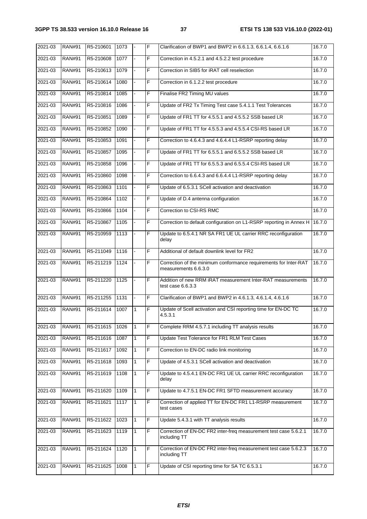| 2021-03 | <b>RAN#91</b> | R5-210601 | 1073 |              | F | Clarification of BWP1 and BWP2 in 6.6.1.3, 6.6.1.4, 6.6.1.6                              | 16.7.0 |
|---------|---------------|-----------|------|--------------|---|------------------------------------------------------------------------------------------|--------|
| 2021-03 | <b>RAN#91</b> | R5-210608 | 1077 |              | F | Correction in 4.5.2.1 and 4.5.2.2 test procedure                                         | 16.7.0 |
| 2021-03 | <b>RAN#91</b> | R5-210613 | 1079 |              | F | Correction in SIB5 for iRAT cell reselection                                             | 16.7.0 |
| 2021-03 | <b>RAN#91</b> | R5-210614 | 1080 |              | F | Correction in 6.1.2.2 test procedure                                                     | 16.7.0 |
| 2021-03 | <b>RAN#91</b> | R5-210814 | 1085 |              | F | Finalise FR2 Timing MU values                                                            | 16.7.0 |
| 2021-03 | <b>RAN#91</b> | R5-210816 | 1086 |              | F | Update of FR2 Tx Timing Test case 5.4.1.1 Test Tolerances                                | 16.7.0 |
| 2021-03 | <b>RAN#91</b> | R5-210851 | 1089 |              | F | Update of FR1 TT for 4.5.5.1 and 4.5.5.2 SSB based LR                                    | 16.7.0 |
| 2021-03 | <b>RAN#91</b> | R5-210852 | 1090 |              | F | Update of FR1 TT for 4.5.5.3 and 4.5.5.4 CSI-RS based LR                                 | 16.7.0 |
| 2021-03 | <b>RAN#91</b> | R5-210853 | 1091 |              | F | Correction to 4.6.4.3 and 4.6.4.4 L1-RSRP reporting delay                                | 16.7.0 |
| 2021-03 | <b>RAN#91</b> | R5-210857 | 1095 |              | F | Update of FR1 TT for 6.5.5.1 and 6.5.5.2 SSB based LR                                    | 16.7.0 |
| 2021-03 | <b>RAN#91</b> | R5-210858 | 1096 |              | F | Update of FR1 TT for 6.5.5.3 and 6.5.5.4 CSI-RS based LR                                 | 16.7.0 |
| 2021-03 | <b>RAN#91</b> | R5-210860 | 1098 |              | F | Correction to 6.6.4.3 and 6.6.4.4 L1-RSRP reporting delay                                | 16.7.0 |
| 2021-03 | <b>RAN#91</b> | R5-210863 | 1101 |              | F | Update of 6.5.3.1 SCell activation and deactivation                                      | 16.7.0 |
| 2021-03 | <b>RAN#91</b> | R5-210864 | 1102 |              | F | Update of D.4 antenna configuration                                                      | 16.7.0 |
| 2021-03 | <b>RAN#91</b> | R5-210866 | 1104 |              | F | Correction to CSI-RS RMC                                                                 | 16.7.0 |
| 2021-03 | <b>RAN#91</b> | R5-210867 | 1105 |              | F | Correction to default configuration on L1-RSRP reporting in Annex H                      | 16.7.0 |
| 2021-03 | <b>RAN#91</b> | R5-210959 | 1113 |              | F | Update to 6.5.4.1 NR SA FR1 UE UL carrier RRC reconfiguration<br>delay                   | 16.7.0 |
| 2021-03 | <b>RAN#91</b> | R5-211049 | 1116 |              | F | Additional of default downlink level for FR2                                             | 16.7.0 |
| 2021-03 | <b>RAN#91</b> | R5-211219 | 1124 |              | F | Correction of the minimum conformance requirements for Inter-RAT<br>measurements 6.6.3.0 | 16.7.0 |
| 2021-03 | <b>RAN#91</b> | R5-211220 | 1125 |              | F | Addition of new RRM iRAT measurement Inter-RAT measurements<br>test case 6.6.3.3         | 16.7.0 |
| 2021-03 | <b>RAN#91</b> | R5-211255 | 1131 |              | F | Clarification of BWP1 and BWP2 in 4.6.1.3, 4.6.1.4, 4.6.1.6                              | 16.7.0 |
| 2021-03 | <b>RAN#91</b> | R5-211614 | 1007 | 1            | F | Update of Scell activation and CSI reporting time for EN-DC TC<br>4.5.3.1                | 16.7.0 |
| 2021-03 | <b>RAN#91</b> | R5-211615 | 1026 | $\mathbf{1}$ | F | Complete RRM 4.5.7.1 including TT analysis results                                       | 16.7.0 |
| 2021-03 | <b>RAN#91</b> | R5-211616 | 1087 | $\mathbf{1}$ | F | Update Test Tolerance for FR1 RLM Test Cases                                             | 16.7.0 |
| 2021-03 | <b>RAN#91</b> | R5-211617 | 1092 | $\mathbf{1}$ | F | Correction to EN-DC radio link monitoring                                                | 16.7.0 |
| 2021-03 | <b>RAN#91</b> | R5-211618 | 1093 | 1            | F | Update of 4.5.3.1 SCell activation and deactivation                                      | 16.7.0 |
| 2021-03 | <b>RAN#91</b> | R5-211619 | 1108 | 1            | F | Update to 4.5.4.1 EN-DC FR1 UE UL carrier RRC reconfiguration<br>delay                   | 16.7.0 |
| 2021-03 | <b>RAN#91</b> | R5-211620 | 1109 | $\mathbf{1}$ | F | Update to 4.7.5.1 EN-DC FR1 SFTD measurement accuracy                                    | 16.7.0 |
| 2021-03 | <b>RAN#91</b> | R5-211621 | 1117 | 1            | F | Correction of applied TT for EN-DC FR1 L1-RSRP measurement<br>test cases                 | 16.7.0 |
| 2021-03 | <b>RAN#91</b> | R5-211622 | 1023 | 1            | F | Update 5.4.3.1 with TT analysis results                                                  | 16.7.0 |
| 2021-03 | <b>RAN#91</b> | R5-211623 | 1119 | 1            | F | Correction of EN-DC FR2 inter-freq measurement test case 5.6.2.1<br>including TT         | 16.7.0 |
| 2021-03 | <b>RAN#91</b> | R5-211624 | 1120 | $\mathbf{1}$ | F | Correction of EN-DC FR2 inter-freq measurement test case 5.6.2.3<br>including TT         | 16.7.0 |
| 2021-03 | <b>RAN#91</b> | R5-211625 | 1008 | 1            | F | Update of CSI reporting time for SA TC 6.5.3.1                                           | 16.7.0 |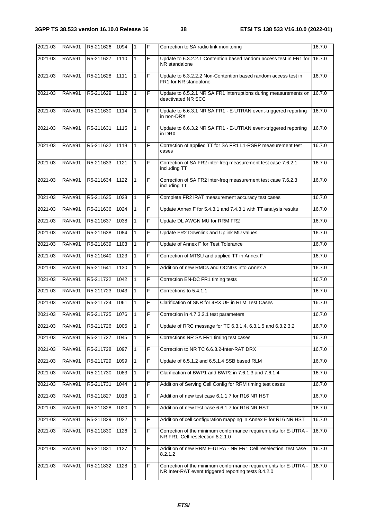| 2021-03 | <b>RAN#91</b> | R5-211626 | 1094   | $\mathbf{1}$ | F              | Correction to SA radio link monitoring                                                                                  | 16.7.0 |
|---------|---------------|-----------|--------|--------------|----------------|-------------------------------------------------------------------------------------------------------------------------|--------|
| 2021-03 | <b>RAN#91</b> | R5-211627 | 1110   | $\mathbf{1}$ | F              | Update to 6.3.2.2.1 Contention based random access test in FR1 for<br>NR standalone                                     | 16.7.0 |
| 2021-03 | <b>RAN#91</b> | R5-211628 | 1111   | 1            | $\overline{F}$ | Update to 6.3.2.2.2 Non-Contention based random access test in<br>FR1 for NR standalone                                 | 16.7.0 |
| 2021-03 | <b>RAN#91</b> | R5-211629 | 1112   | $\mathbf{1}$ | F              | Update to 6.5.2.1 NR SA FR1 interruptions during measurements on<br>deactivated NR SCC                                  | 16.7.0 |
| 2021-03 | <b>RAN#91</b> | R5-211630 | 1114   | $\mathbf{1}$ | F              | Update to 6.6.3.1 NR SA FR1 - E-UTRAN event-triggered reporting<br>in non-DRX                                           | 16.7.0 |
| 2021-03 | <b>RAN#91</b> | R5-211631 | 1115   | 1            | F              | Update to 6.6.3.2 NR SA FR1 - E-UTRAN event-triggered reporting<br>in DRX                                               | 16.7.0 |
| 2021-03 | <b>RAN#91</b> | R5-211632 | 1118   | 1            | $\overline{F}$ | Correction of applied TT for SA FR1 L1-RSRP measurement test<br>cases                                                   | 16.7.0 |
| 2021-03 | <b>RAN#91</b> | R5-211633 | 1121   | $\mathbf{1}$ | F              | Correction of SA FR2 inter-freq measurement test case 7.6.2.1<br>including TT                                           | 16.7.0 |
| 2021-03 | <b>RAN#91</b> | R5-211634 | 1122   | $\mathbf{1}$ | $\overline{F}$ | Correction of SA FR2 inter-freq measurement test case 7.6.2.3<br>including TT                                           | 16.7.0 |
| 2021-03 | <b>RAN#91</b> | R5-211635 | 1028   | 1            | F              | Complete FR2 iRAT measurement accuracy test cases                                                                       | 16.7.0 |
| 2021-03 | <b>RAN#91</b> | R5-211636 | 1024   | 1            | F              | Update Annex F for 5.4.3.1 and 7.4.3.1 with TT analysis results                                                         | 16.7.0 |
| 2021-03 | <b>RAN#91</b> | R5-211637 | 1038   | $\mathbf{1}$ | F              | Update DL AWGN MU for RRM FR2                                                                                           | 16.7.0 |
| 2021-03 | <b>RAN#91</b> | R5-211638 | 1084   | 1            | F              | Update FR2 Downlink and Uplink MU values                                                                                | 16.7.0 |
| 2021-03 | <b>RAN#91</b> | R5-211639 | 1103   | $\mathbf{1}$ | F              | Update of Annex F for Test Tolerance                                                                                    | 16.7.0 |
| 2021-03 | <b>RAN#91</b> | R5-211640 | 1123   | $\mathbf{1}$ | F              | Correction of MTSU and applied TT in Annex F                                                                            | 16.7.0 |
| 2021-03 | <b>RAN#91</b> | R5-211641 | 1130   | 1            | F              | Addition of new RMCs and OCNGs into Annex A                                                                             | 16.7.0 |
| 2021-03 | <b>RAN#91</b> | R5-211722 | 1042   | 1            | F              | Correction EN-DC FR1 timing tests                                                                                       | 16.7.0 |
| 2021-03 | <b>RAN#91</b> | R5-211723 | 1043   | $\mathbf{1}$ | F              | Corrections to 5.4.1.1                                                                                                  | 16.7.0 |
| 2021-03 | <b>RAN#91</b> | R5-211724 | 1061   | $\mathbf{1}$ | F              | Clarification of SNR for 4RX UE in RLM Test Cases                                                                       | 16.7.0 |
| 2021-03 | <b>RAN#91</b> | R5-211725 | 1076   | $\mathbf{1}$ | F              | Correction in 4.7.3.2.1 test parameters                                                                                 | 16.7.0 |
| 2021-03 | <b>RAN#91</b> | R5-211726 | 1005   | 1            | F              | Update of RRC message for TC 6.3.1.4, 6.3.1.5 and 6.3.2.3.2                                                             | 16.7.0 |
| 2021-03 | <b>RAN#91</b> | R5-211727 | $1045$ | $\mathbf{1}$ | F              | Corrections NR SA FR1 timing test cases                                                                                 | 16.7.0 |
| 2021-03 | <b>RAN#91</b> | R5-211728 | 1097   | $\mathbf{1}$ | F              | Correction to NR TC 6.6.3.2-Inter-RAT DRX                                                                               | 16.7.0 |
| 2021-03 | <b>RAN#91</b> | R5-211729 | 1099   | 1            | F              | Update of 6.5.1.2 and 6.5.1.4 SSB based RLM                                                                             | 16.7.0 |
| 2021-03 | <b>RAN#91</b> | R5-211730 | 1083   | 1            | F              | Clarification of BWP1 and BWP2 in 7.6.1.3 and 7.6.1.4                                                                   | 16.7.0 |
| 2021-03 | <b>RAN#91</b> | R5-211731 | 1044   | 1            | F              | Addition of Serving Cell Config for RRM timing test cases                                                               | 16.7.0 |
| 2021-03 | <b>RAN#91</b> | R5-211827 | 1018   | $\mathbf{1}$ | F              | Addition of new test case 6.1.1.7 for R16 NR HST                                                                        | 16.7.0 |
| 2021-03 | <b>RAN#91</b> | R5-211828 | 1020   | $\mathbf{1}$ | F              | Addition of new test case 6.6.1.7 for R16 NR HST                                                                        | 16.7.0 |
| 2021-03 | <b>RAN#91</b> | R5-211829 | 1022   | 1            | F              | Addition of cell configuration mapping in Annex E for R16 NR HST                                                        | 16.7.0 |
| 2021-03 | <b>RAN#91</b> | R5-211830 | 1126   | 1            | F              | Correction of the minimum conformance requirements for E-UTRA -<br>NR FR1 Cell reselection 8.2.1.0                      | 16.7.0 |
| 2021-03 | <b>RAN#91</b> | R5-211831 | 1127   | $\mathbf{1}$ | F              | Addition of new RRM E-UTRA - NR FR1 Cell reselection test case<br>8.2.1.2                                               | 16.7.0 |
| 2021-03 | <b>RAN#91</b> | R5-211832 | 1128   | 1            | F              | Correction of the minimum conformance requirements for E-UTRA -<br>NR Inter-RAT event triggered reporting tests 8.4.2.0 | 16.7.0 |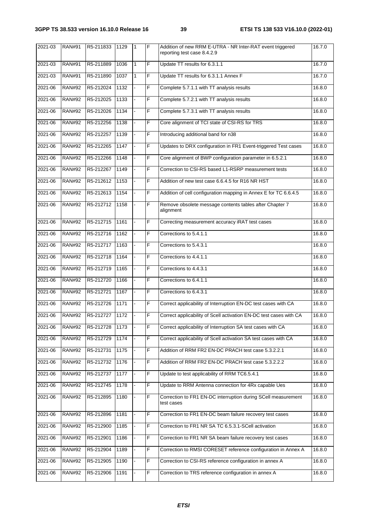| 2021-03 | <b>RAN#91</b> | R5-211833      | 1129 | 1            | F              | Addition of new RRM E-UTRA - NR Inter-RAT event triggered<br>reporting test case 8.4.2.9 | 16.7.0 |
|---------|---------------|----------------|------|--------------|----------------|------------------------------------------------------------------------------------------|--------|
| 2021-03 | <b>RAN#91</b> | R5-211889      | 1036 | $\mathbf{1}$ | F              | Update TT results for 6.3.1.1                                                            | 16.7.0 |
| 2021-03 | <b>RAN#91</b> | R5-211890      | 1037 | $\mathbf{1}$ | F              | Update TT results for 6.3.1.1 Annex F                                                    | 16.7.0 |
| 2021-06 | <b>RAN#92</b> | R5-212024      | 1132 |              | F              | Complete 5.7.1.1 with TT analysis results                                                | 16.8.0 |
| 2021-06 | <b>RAN#92</b> | R5-212025      | 1133 |              | F              | Complete 5.7.2.1 with TT analysis results                                                | 16.8.0 |
| 2021-06 | <b>RAN#92</b> | R5-212026      | 1134 |              | F              | Complete 5.7.3.1 with TT analysis results                                                | 16.8.0 |
| 2021-06 | <b>RAN#92</b> | R5-212256      | 1138 |              | F              | Core alignment of TCI state of CSI-RS for TRS                                            | 16.8.0 |
| 2021-06 | <b>RAN#92</b> | R5-212257      | 1139 |              | F              | Introducing additional band for n38                                                      | 16.8.0 |
| 2021-06 | <b>RAN#92</b> | R5-212265      | 1147 |              | F              | Updates to DRX configuration in FR1 Event-triggered Test cases                           | 16.8.0 |
| 2021-06 | <b>RAN#92</b> | R5-212266      | 1148 |              | F              | Core alignment of BWP configuration parameter in 6.5.2.1                                 | 16.8.0 |
| 2021-06 | <b>RAN#92</b> | R5-212267      | 1149 |              | F              | Correction to CSI-RS based L1-RSRP measurement tests                                     | 16.8.0 |
| 2021-06 | <b>RAN#92</b> | R5-212612      | 1153 |              | F              | Addition of new test case 6.6.4.5 for R16 NR HST                                         | 16.8.0 |
| 2021-06 | <b>RAN#92</b> | R5-212613      | 1154 |              | F              | Addition of cell configuration mapping in Annex E for TC 6.6.4.5                         | 16.8.0 |
| 2021-06 | <b>RAN#92</b> | R5-212712      | 1158 |              | F              | Remove obsolete message contents tables after Chapter 7<br>alignment                     | 16.8.0 |
| 2021-06 | <b>RAN#92</b> | R5-212715      | 1161 |              | F              | Correcting measurement accuracy iRAT test cases                                          | 16.8.0 |
| 2021-06 | <b>RAN#92</b> | R5-212716      | 1162 |              | F              | Corrections to 5.4.1.1                                                                   | 16.8.0 |
| 2021-06 | <b>RAN#92</b> | R5-212717      | 1163 |              | F              | Corrections to 5.4.3.1                                                                   | 16.8.0 |
| 2021-06 | <b>RAN#92</b> | R5-212718      | 1164 |              | F              | Corrections to 4.4.1.1                                                                   | 16.8.0 |
| 2021-06 | <b>RAN#92</b> | R5-212719      | 1165 |              | F              | Corrections to 4.4.3.1                                                                   | 16.8.0 |
| 2021-06 | <b>RAN#92</b> | R5-212720      | 1166 |              | F              | Corrections to 6.4.1.1                                                                   | 16.8.0 |
| 2021-06 | <b>RAN#92</b> | R5-212721      | 1167 |              | F              | Corrections to 6.4.3.1                                                                   | 16.8.0 |
| 2021-06 | <b>RAN#92</b> | R5-212726      | 1171 |              | F              | Correct applicability of Interruption EN-DC test cases with CA                           | 16.8.0 |
| 2021-06 | <b>RAN#92</b> | R5-212727 1172 |      |              | F              | Correct applicability of Scell activation EN-DC test cases with CA                       | 16.8.0 |
| 2021-06 | <b>RAN#92</b> | R5-212728      | 1173 |              | F              | Correct applicability of Interruption SA test cases with CA                              | 16.8.0 |
| 2021-06 | <b>RAN#92</b> | R5-212729      | 1174 |              | F              | Correct applicability of Scell activation SA test cases with CA                          | 16.8.0 |
| 2021-06 | <b>RAN#92</b> | R5-212731      | 1175 |              | F              | Addition of RRM FR2 EN-DC PRACH test case 5.3.2.2.1                                      | 16.8.0 |
| 2021-06 | <b>RAN#92</b> | R5-212732      | 1176 |              | F              | Addition of RRM FR2 EN-DC PRACH test case 5.3.2.2.2                                      | 16.8.0 |
| 2021-06 | <b>RAN#92</b> | R5-212737      | 1177 |              | F              | Update to test applicability of RRM TC6.5.4.1                                            | 16.8.0 |
| 2021-06 | <b>RAN#92</b> | R5-212745      | 1178 |              | F              | Update to RRM Antenna connection for 4Rx capable Ues                                     | 16.8.0 |
| 2021-06 | <b>RAN#92</b> | R5-212895      | 1180 |              | F              | Correction to FR1 EN-DC interruption during SCell measurement<br>test cases              | 16.8.0 |
| 2021-06 | <b>RAN#92</b> | R5-212896      | 1181 |              | F              | Correction to FR1 EN-DC beam failure recovery test cases                                 | 16.8.0 |
| 2021-06 | <b>RAN#92</b> | R5-212900      | 1185 |              | F              | Correction to FR1 NR SA TC 6.5.3.1-SCell activation                                      | 16.8.0 |
| 2021-06 | <b>RAN#92</b> | R5-212901      | 1186 |              | F              | Correction to FR1 NR SA beam failure recovery test cases                                 | 16.8.0 |
| 2021-06 | <b>RAN#92</b> | R5-212904      | 1189 |              | F              | Correction to RMSI CORESET reference configuration in Annex A                            | 16.8.0 |
| 2021-06 | <b>RAN#92</b> | R5-212905      | 1190 |              | F              | Correction to CSI-RS reference configuration in annex A                                  | 16.8.0 |
| 2021-06 | <b>RAN#92</b> | R5-212906      | 1191 |              | $\overline{F}$ | Correction to TRS reference configuration in annex A                                     | 16.8.0 |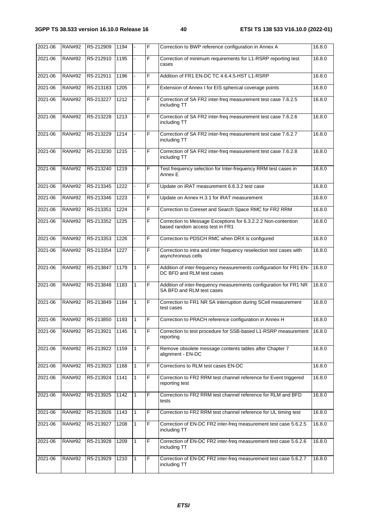| 2021-06 | <b>RAN#92</b> | R5-212909 | 1194 |   | F | Correction to BWP reference configuration in Annex A                                             | 16.8.0 |
|---------|---------------|-----------|------|---|---|--------------------------------------------------------------------------------------------------|--------|
| 2021-06 | <b>RAN#92</b> | R5-212910 | 1195 |   | F | Correction of minimum requirements for L1-RSRP reporting test<br>cases                           | 16.8.0 |
| 2021-06 | <b>RAN#92</b> | R5-212911 | 1196 |   | F | Addition of FR1 EN-DC TC 4.6.4.5-HST L1-RSRP                                                     | 16.8.0 |
| 2021-06 | <b>RAN#92</b> | R5-213183 | 1205 |   | F | Extension of Annex I for EIS spherical coverage points                                           | 16.8.0 |
| 2021-06 | <b>RAN#92</b> | R5-213227 | 1212 |   | F | Correction of SA FR2 inter-freq measurement test case 7.6.2.5<br>including TT                    | 16.8.0 |
| 2021-06 | <b>RAN#92</b> | R5-213228 | 1213 |   | F | Correction of SA FR2 inter-freq measurement test case 7.6.2.6<br>including TT                    | 16.8.0 |
| 2021-06 | <b>RAN#92</b> | R5-213229 | 1214 |   | F | Correction of SA FR2 inter-freq measurement test case 7.6.2.7<br>including TT                    | 16.8.0 |
| 2021-06 | <b>RAN#92</b> | R5-213230 | 1215 |   | F | Correction of SA FR2 inter-freq measurement test case 7.6.2.8<br>including TT                    | 16.8.0 |
| 2021-06 | <b>RAN#92</b> | R5-213240 | 1219 |   | F | Test frequency selection for Inter-frequency RRM test cases in<br>Annex E                        | 16.8.0 |
| 2021-06 | <b>RAN#92</b> | R5-213345 | 1222 |   | F | Update on iRAT measurement 6.6.3.2 test case                                                     | 16.8.0 |
| 2021-06 | <b>RAN#92</b> | R5-213346 | 1223 |   | F | Update on Annex H.3.1 for iRAT measurement                                                       | 16.8.0 |
| 2021-06 | <b>RAN#92</b> | R5-213351 | 1224 |   | F | Correction to Coreset and Search Space RMC for FR2 RRM                                           | 16.8.0 |
| 2021-06 | <b>RAN#92</b> | R5-213352 | 1225 |   | F | Correction to Message Exceptions for 6.3.2.2.2 Non-contention<br>based random access test in FR1 | 16.8.0 |
| 2021-06 | <b>RAN#92</b> | R5-213353 | 1226 |   | F | Correction to PDSCH RMC when DRX is configured                                                   | 16.8.0 |
| 2021-06 | <b>RAN#92</b> | R5-213354 | 1227 |   | F | Correction to intra and inter frequency reselection test cases with<br>asynchronous cells        | 16.8.0 |
| 2021-06 | <b>RAN#92</b> | R5-213847 | 1179 | 1 | F | Addition of inter-frequency measurements configuration for FR1 EN-<br>DC BFD and RLM test cases  | 16.8.0 |
| 2021-06 | <b>RAN#92</b> | R5-213848 | 1183 | 1 | F | Addition of inter-frequency measurements configuration for FR1 NR<br>SA BFD and RLM test cases   | 16.8.0 |
| 2021-06 | <b>RAN#92</b> | R5-213849 | 1184 | 1 | F | Correction to FR1 NR SA interruption during SCell measurement<br>test cases                      | 16.8.0 |
| 2021-06 | RAN#92        | R5-213850 | 1193 |   | F | Correction to PRACH reference configuration in Annex H                                           | 16.8.0 |
| 2021-06 | <b>RAN#92</b> | R5-213921 | 1145 | 1 | F | Correction to test procedure for SSB-based L1-RSRP measurement<br>reporting                      | 16.8.0 |
| 2021-06 | <b>RAN#92</b> | R5-213922 | 1159 | 1 | F | Remove obsolete message contents tables after Chapter 7<br>alignment - EN-DC                     | 16.8.0 |
| 2021-06 | <b>RAN#92</b> | R5-213923 | 1168 | 1 | F | Corrections to RLM test cases EN-DC                                                              | 16.8.0 |
| 2021-06 | <b>RAN#92</b> | R5-213924 | 1141 | 1 | F | Correction to FR2 RRM test channel reference for Event triggered<br>reporting test               | 16.8.0 |
| 2021-06 | <b>RAN#92</b> | R5-213925 | 1142 | 1 | F | Correction to FR2 RRM test channel reference for RLM and BFD<br>tests                            | 16.8.0 |
| 2021-06 | <b>RAN#92</b> | R5-213926 | 1143 | 1 | F | Correction to FR2 RRM test channel reference for UL timing test                                  | 16.8.0 |
| 2021-06 | <b>RAN#92</b> | R5-213927 | 1208 | 1 | F | Correction of EN-DC FR2 inter-freq measurement test case 5.6.2.5<br>including TT                 | 16.8.0 |
| 2021-06 | <b>RAN#92</b> | R5-213928 | 1209 | 1 | F | Correction of EN-DC FR2 inter-freq measurement test case 5.6.2.6<br>including TT                 | 16.8.0 |
| 2021-06 | <b>RAN#92</b> | R5-213929 | 1210 | 1 | F | Correction of EN-DC FR2 inter-freq measurement test case 5.6.2.7<br>including TT                 | 16.8.0 |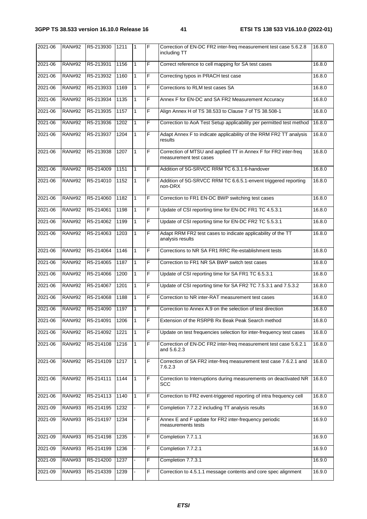| 2021-06 | <b>RAN#92</b> | R5-213930 | 1211 | 1            | F | Correction of EN-DC FR2 inter-freq measurement test case 5.6.2.8<br>including TT          | 16.8.0 |
|---------|---------------|-----------|------|--------------|---|-------------------------------------------------------------------------------------------|--------|
| 2021-06 | <b>RAN#92</b> | R5-213931 | 1156 | $\mathbf{1}$ | F | Correct reference to cell mapping for SA test cases                                       | 16.8.0 |
| 2021-06 | <b>RAN#92</b> | R5-213932 | 1160 | 1            | F | Correcting typos in PRACH test case                                                       | 16.8.0 |
| 2021-06 | <b>RAN#92</b> | R5-213933 | 1169 | 1            | F | Corrections to RLM test cases SA                                                          | 16.8.0 |
| 2021-06 | <b>RAN#92</b> | R5-213934 | 1135 | 1            | F | Annex F for EN-DC and SA FR2 Measurement Accuracy                                         | 16.8.0 |
| 2021-06 | <b>RAN#92</b> | R5-213935 | 1157 | $\mathbf{1}$ | F | Align Annex H of TS 38.533 to Clause 7 of TS 38.508-1                                     | 16.8.0 |
| 2021-06 | <b>RAN#92</b> | R5-213936 | 1202 | $\mathbf{1}$ | F | Correction to AoA Test Setup applicability per permitted test method                      | 16.8.0 |
| 2021-06 | <b>RAN#92</b> | R5-213937 | 1204 | 1            | F | Adapt Annex F to indicate applicability of the RRM FR2 TT analysis<br>results             | 16.8.0 |
| 2021-06 | <b>RAN#92</b> | R5-213938 | 1207 | $\mathbf{1}$ | F | Correction of MTSU and applied TT in Annex F for FR2 inter-freq<br>measurement test cases | 16.8.0 |
| 2021-06 | <b>RAN#92</b> | R5-214009 | 1151 | 1            | F | Addition of 5G-SRVCC RRM TC 6.3.1.6-handover                                              | 16.8.0 |
| 2021-06 | <b>RAN#92</b> | R5-214010 | 1152 | $\mathbf{1}$ | F | Addition of 5G-SRVCC RRM TC 6.6.5.1-envent triggered reporting<br>non-DRX                 | 16.8.0 |
| 2021-06 | <b>RAN#92</b> | R5-214060 | 1182 | 1            | F | Correction to FR1 EN-DC BWP switching test cases                                          | 16.8.0 |
| 2021-06 | <b>RAN#92</b> | R5-214061 | 1198 | 1            | F | Update of CSI reporting time for EN-DC FR1 TC 4.5.3.1                                     | 16.8.0 |
| 2021-06 | <b>RAN#92</b> | R5-214062 | 1199 | $\mathbf{1}$ | F | Update of CSI reporting time for EN-DC FR2 TC 5.5.3.1                                     | 16.8.0 |
| 2021-06 | <b>RAN#92</b> | R5-214063 | 1203 | $\mathbf{1}$ | F | Adapt RRM FR2 test cases to indicate applicability of the TT<br>analysis results          | 16.8.0 |
| 2021-06 | <b>RAN#92</b> | R5-214064 | 1146 | 1            | F | Corrections to NR SA FR1 RRC Re-establishment tests                                       | 16.8.0 |
| 2021-06 | <b>RAN#92</b> | R5-214065 | 1187 | 1            | F | Correction to FR1 NR SA BWP switch test cases                                             | 16.8.0 |
| 2021-06 | <b>RAN#92</b> | R5-214066 | 1200 | 1            | F | Update of CSI reporting time for SA FR1 TC 6.5.3.1                                        | 16.8.0 |
| 2021-06 | <b>RAN#92</b> | R5-214067 | 1201 | $\mathbf{1}$ | F | Update of CSI reporting time for SA FR2 TC 7.5.3.1 and 7.5.3.2                            | 16.8.0 |
| 2021-06 | <b>RAN#92</b> | R5-214068 | 1188 | 1            | F | Correction to NR inter-RAT measurement test cases                                         | 16.8.0 |
| 2021-06 | <b>RAN#92</b> | R5-214090 | 1197 | 1            | F | Correction to Annex A.9 on the selection of test direction                                | 16.8.0 |
| 2021-06 | RAN#92        | R5-214091 | 1206 | 1            | F | Extension of the RSRPB Rx Beak Peak Search method                                         | 16.8.0 |
| 2021-06 | <b>RAN#92</b> | R5-214092 | 1221 | 1            | F | Update on test frequencies selection for inter-frequency test cases                       | 16.8.0 |
| 2021-06 | <b>RAN#92</b> | R5-214108 | 1216 | 1            | F | Correction of EN-DC FR2 inter-freq measurement test case 5.6.2.1<br>and 5.6.2.3           | 16.8.0 |
| 2021-06 | <b>RAN#92</b> | R5-214109 | 1217 | 1            | F | Correction of SA FR2 inter-freq measurement test case 7.6.2.1 and<br>7.6.2.3              | 16.8.0 |
| 2021-06 | <b>RAN#92</b> | R5-214111 | 1144 | 1            | F | Correction to Interruptions during measurements on deactivated NR<br>SCC                  | 16.8.0 |
| 2021-06 | <b>RAN#92</b> | R5-214113 | 1140 | $\mathbf{1}$ | F | Correction to FR2 event-triggered reporting of intra frequency cell                       | 16.8.0 |
| 2021-09 | <b>RAN#93</b> | R5-214195 | 1232 |              | F | Completion 7.7.2.2 including TT analysis results                                          | 16.9.0 |
| 2021-09 | <b>RAN#93</b> | R5-214197 | 1234 |              | F | Annex E and F update for FR2 inter-frequency periodic<br>measurements tests               | 16.9.0 |
| 2021-09 | <b>RAN#93</b> | R5-214198 | 1235 |              | F | Completion 7.7.1.1                                                                        | 16.9.0 |
| 2021-09 | <b>RAN#93</b> | R5-214199 | 1236 |              | F | Completion 7.7.2.1                                                                        | 16.9.0 |
| 2021-09 | <b>RAN#93</b> | R5-214200 | 1237 |              | F | Completion 7.7.3.1                                                                        | 16.9.0 |
| 2021-09 | <b>RAN#93</b> | R5-214339 | 1239 |              | F | Correction to 4.5.1.1 message contents and core spec alignment                            | 16.9.0 |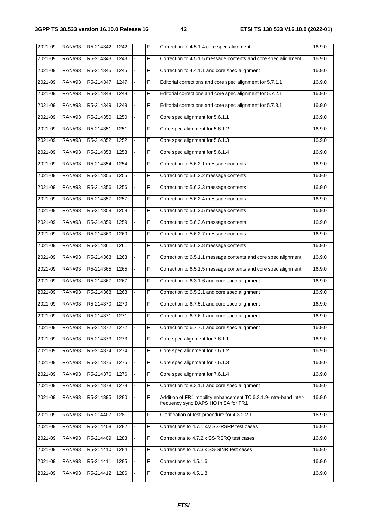| $2021 - 09$ | <b>RAN#93</b> | R5-214342 | 1242          |    | F | Correction to 4.5.1.4 core spec alignment                                                                 | 16.9.0 |
|-------------|---------------|-----------|---------------|----|---|-----------------------------------------------------------------------------------------------------------|--------|
| 2021-09     | <b>RAN#93</b> | R5-214343 | 1243          |    | F | Correction to 4.5.1.5 message contents and core spec alignment                                            | 16.9.0 |
| 2021-09     | <b>RAN#93</b> | R5-214345 | $\sqrt{1245}$ |    | F | Correction to 4.4.1.1 and core spec alignment                                                             | 16.9.0 |
| 2021-09     | <b>RAN#93</b> | R5-214347 | 1247          | ÷. | F | Editorial corrections and core spec alignment for 5.7.1.1                                                 | 16.9.0 |
| 2021-09     | <b>RAN#93</b> | R5-214348 | 1248          |    | F | Editorial corrections and core spec alignment for 5.7.2.1                                                 | 16.9.0 |
| 2021-09     | <b>RAN#93</b> | R5-214349 | 1249          |    | F | Editorial corrections and core spec alignment for 5.7.3.1                                                 | 16.9.0 |
| 2021-09     | <b>RAN#93</b> | R5-214350 | 1250          |    | F | Core spec alignment for 5.6.1.1                                                                           | 16.9.0 |
| 2021-09     | <b>RAN#93</b> | R5-214351 | 1251          |    | F | Core spec alignment for 5.6.1.2                                                                           | 16.9.0 |
| 2021-09     | <b>RAN#93</b> | R5-214352 | 1252          |    | F | Core spec alignment for 5.6.1.3                                                                           | 16.9.0 |
| 2021-09     | <b>RAN#93</b> | R5-214353 | 1253          | ÷. | F | Core spec alignment for 5.6.1.4                                                                           | 16.9.0 |
| 2021-09     | <b>RAN#93</b> | R5-214354 | 1254          |    | F | Correction to 5.6.2.1 message contents                                                                    | 16.9.0 |
| 2021-09     | <b>RAN#93</b> | R5-214355 | 1255          |    | F | Correction to 5.6.2.2 message contents                                                                    | 16.9.0 |
| 2021-09     | <b>RAN#93</b> | R5-214356 | 1256          |    | F | Correction to 5.6.2.3 message contents                                                                    | 16.9.0 |
| 2021-09     | <b>RAN#93</b> | R5-214357 | 1257          |    | F | Correction to 5.6.2.4 message contents                                                                    | 16.9.0 |
| 2021-09     | <b>RAN#93</b> | R5-214358 | 1258          |    | F | Correction to 5.6.2.5 message contents                                                                    | 16.9.0 |
| 2021-09     | <b>RAN#93</b> | R5-214359 | 1259          |    | F | Correction to 5.6.2.6 message contents                                                                    | 16.9.0 |
| 2021-09     | <b>RAN#93</b> | R5-214360 | 1260          | ä, | F | Correction to 5.6.2.7 message contents                                                                    | 16.9.0 |
| 2021-09     | <b>RAN#93</b> | R5-214361 | 1261          |    | F | Correction to 5.6.2.8 message contents                                                                    | 16.9.0 |
| 2021-09     | <b>RAN#93</b> | R5-214363 | 1263          |    | F | Correction to 6.5.1.1 message contents and core spec alignment                                            | 16.9.0 |
| 2021-09     | <b>RAN#93</b> | R5-214365 | 1265          |    | F | Correction to 6.5.1.5 message contents and core spec alignment                                            | 16.9.0 |
| 2021-09     | <b>RAN#93</b> | R5-214367 | 1267          |    | F | Correction to 6.3.1.6 and core spec alignment                                                             | 16.9.0 |
| 2021-09     | <b>RAN#93</b> | R5-214368 | 1268          |    | F | Correction to 6.5.2.1 and core spec alignment                                                             | 16.9.0 |
| 2021-09     | <b>RAN#93</b> | R5-214370 | 1270          |    | F | Correction to 6.7.5.1 and core spec alignment                                                             | 16.9.0 |
| 2021-09     | <b>RAN#93</b> | R5-214371 | 1271          |    | F | Correction to 6.7.6.1 and core spec alignment                                                             | 16.9.0 |
| 2021-09     | <b>RAN#93</b> | R5-214372 | 1272          |    | F | Correction to 6.7.7.1 and core spec alignment                                                             | 16.9.0 |
| 2021-09     | <b>RAN#93</b> | R5-214373 | 1273          |    | F | Core spec alignment for 7.6.1.1                                                                           | 16.9.0 |
| 2021-09     | <b>RAN#93</b> | R5-214374 | 1274          |    | F | Core spec alignment for 7.6.1.2                                                                           | 16.9.0 |
| 2021-09     | <b>RAN#93</b> | R5-214375 | 1275          |    | F | Core spec alignment for 7.6.1.3                                                                           | 16.9.0 |
| 2021-09     | <b>RAN#93</b> | R5-214376 | 1276          |    | F | Core spec alignment for 7.6.1.4                                                                           | 16.9.0 |
| 2021-09     | <b>RAN#93</b> | R5-214378 | 1278          |    | F | Correction to 8.3.1.1 and core spec alignment                                                             | 16.9.0 |
| 2021-09     | <b>RAN#93</b> | R5-214395 | 1280          |    | F | Addition of FR1 mobility enhancement TC 6.3.1.9-Intra-band inter-<br>frequency sync DAPS HO in SA for FR1 | 16.9.0 |
| 2021-09     | <b>RAN#93</b> | R5-214407 | 1281          |    | F | Clarification of test procedure for 4.3.2.2.1                                                             | 16.9.0 |
| 2021-09     | <b>RAN#93</b> | R5-214408 | 1282          |    | F | Corrections to 4.7.1.x.y SS-RSRP test cases                                                               | 16.9.0 |
| 2021-09     | <b>RAN#93</b> | R5-214409 | 1283          |    | F | Corrections to 4.7.2.x SS-RSRQ test cases                                                                 | 16.9.0 |
| 2021-09     | <b>RAN#93</b> | R5-214410 | 1284          |    | F | Corrections to 4.7.3.x SS-SINR test cases                                                                 | 16.9.0 |
| 2021-09     | <b>RAN#93</b> | R5-214411 | 1285          |    | F | Corrections to 4.5.1.6                                                                                    | 16.9.0 |
| 2021-09     | <b>RAN#93</b> | R5-214412 | 1286          |    | F | Corrections to 4.5.1.8                                                                                    | 16.9.0 |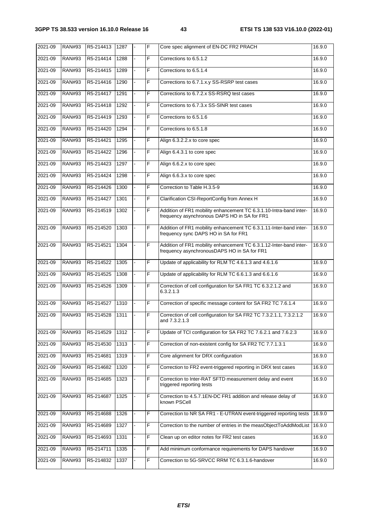| $2021 - 09$ | <b>RAN#93</b> | R5-214413 | 1287 | F | Core spec alignment of EN-DC FR2 PRACH                                                                             | 16.9.0 |
|-------------|---------------|-----------|------|---|--------------------------------------------------------------------------------------------------------------------|--------|
| 2021-09     | <b>RAN#93</b> | R5-214414 | 1288 | F | Corrections to 6.5.1.2                                                                                             | 16.9.0 |
| 2021-09     | <b>RAN#93</b> | R5-214415 | 1289 | F | Corrections to 6.5.1.4                                                                                             | 16.9.0 |
| 2021-09     | <b>RAN#93</b> | R5-214416 | 1290 | F | Corrections to 6.7.1.x.y SS-RSRP test cases                                                                        | 16.9.0 |
| 2021-09     | <b>RAN#93</b> | R5-214417 | 1291 | F | Corrections to 6.7.2.x SS-RSRQ test cases                                                                          | 16.9.0 |
| 2021-09     | <b>RAN#93</b> | R5-214418 | 1292 | F | Corrections to 6.7.3.x SS-SINR test cases                                                                          | 16.9.0 |
| 2021-09     | <b>RAN#93</b> | R5-214419 | 1293 | F | Corrections to 6.5.1.6                                                                                             | 16.9.0 |
| 2021-09     | <b>RAN#93</b> | R5-214420 | 1294 | F | Corrections to 6.5.1.8                                                                                             | 16.9.0 |
| 2021-09     | <b>RAN#93</b> | R5-214421 | 1295 | F | Align 6.3.2.2.x to core spec                                                                                       | 16.9.0 |
| 2021-09     | <b>RAN#93</b> | R5-214422 | 1296 | F | Align 6.4.3.1 to core spec                                                                                         | 16.9.0 |
| 2021-09     | <b>RAN#93</b> | R5-214423 | 1297 | F | Align 6.6.2.x to core spec                                                                                         | 16.9.0 |
| 2021-09     | <b>RAN#93</b> | R5-214424 | 1298 | F | Align 6.6.3.x to core spec                                                                                         | 16.9.0 |
| 2021-09     | <b>RAN#93</b> | R5-214426 | 1300 | F | Correction to Table H.3.5-9                                                                                        | 16.9.0 |
| 2021-09     | <b>RAN#93</b> | R5-214427 | 1301 | F | Clarification CSI-ReportConfig from Annex H                                                                        | 16.9.0 |
| 2021-09     | <b>RAN#93</b> | R5-214519 | 1302 | F | Addition of FR1 mobility enhancement TC 6.3.1.10-Intra-band inter-<br>frequency asynchronous DAPS HO in SA for FR1 | 16.9.0 |
| 2021-09     | <b>RAN#93</b> | R5-214520 | 1303 | F | Addition of FR1 mobility enhancement TC 6.3.1.11-Inter-band inter-<br>frequency sync DAPS HO in SA for FR1         | 16.9.0 |
| 2021-09     | <b>RAN#93</b> | R5-214521 | 1304 | F | Addition of FR1 mobility enhancement TC 6.3.1.12-Inter-band inter-<br>frequency asynchronousDAPS HO in SA for FR1  | 16.9.0 |
| 2021-09     | <b>RAN#93</b> | R5-214522 | 1305 | F | Update of applicability for RLM TC 4.6.1.3 and 4.6.1.6                                                             | 16.9.0 |
| 2021-09     | <b>RAN#93</b> | R5-214525 | 1308 | F | Update of applicability for RLM TC 6.6.1.3 and 6.6.1.6                                                             | 16.9.0 |
| 2021-09     | <b>RAN#93</b> | R5-214526 | 1309 | F | Correction of cell configuration for SA FR1 TC 6.3.2.1.2 and<br>6.3.2.1.3                                          | 16.9.0 |
| 2021-09     | <b>RAN#93</b> | R5-214527 | 1310 | F | Correction of specific message content for SA FR2 TC 7.6.1.4                                                       | 16.9.0 |
| 2021-09     | <b>RAN#93</b> | R5-214528 | 1311 | F | Correction of cell configuration for SA FR2 TC 7.3.2.1.1, 7.3.2.1.2<br>and 7.3.2.1.3                               | 16.9.0 |
| 2021-09     | <b>RAN#93</b> | R5-214529 | 1312 | F | Update of TCI configuration for SA FR2 TC 7.6.2.1 and 7.6.2.3                                                      | 16.9.0 |
| 2021-09     | <b>RAN#93</b> | R5-214530 | 1313 | F | Correction of non-existent config for SA FR2 TC 7.7.1.3.1                                                          | 16.9.0 |
| 2021-09     | <b>RAN#93</b> | R5-214681 | 1319 | F | Core alignment for DRX configuration                                                                               | 16.9.0 |
| 2021-09     | <b>RAN#93</b> | R5-214682 | 1320 | F | Correction to FR2 event-triggered reporting in DRX test cases                                                      | 16.9.0 |
| 2021-09     | <b>RAN#93</b> | R5-214685 | 1323 | F | Correction to Inter-RAT SFTD measurement delay and event<br>triggered reporting tests                              | 16.9.0 |
| 2021-09     | <b>RAN#93</b> | R5-214687 | 1325 | F | Correction to 4.5.7.1EN-DC FR1 addition and release delay of<br>known PSCell                                       | 16.9.0 |
| 2021-09     | <b>RAN#93</b> | R5-214688 | 1326 | F | Correction to NR SA FR1 - E-UTRAN event-triggered reporting tests                                                  | 16.9.0 |
| 2021-09     | <b>RAN#93</b> | R5-214689 | 1327 | F | Correction to the number of entries in the measObjectToAddModList                                                  | 16.9.0 |
| 2021-09     | <b>RAN#93</b> | R5-214693 | 1331 | F | Clean up on editor notes for FR2 test cases                                                                        | 16.9.0 |
| 2021-09     | <b>RAN#93</b> | R5-214711 | 1335 | F | Add minimum conformance requirements for DAPS handover                                                             | 16.9.0 |
| 2021-09     | <b>RAN#93</b> | R5-214832 | 1337 | F | Correction to 5G-SRVCC RRM TC 6.3.1.6-handover                                                                     | 16.9.0 |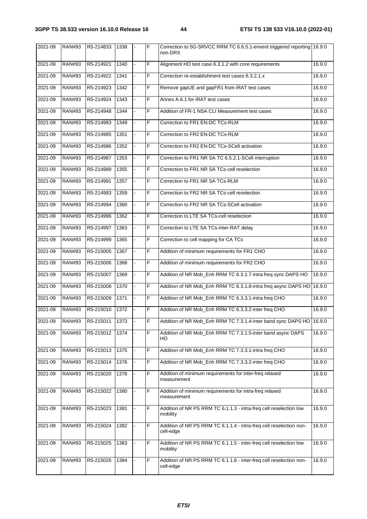| 2021-09 | <b>RAN#93</b> | R5-214833 | 1338 | F | Correction to 5G-SRVCC RRM TC 6.6.5.1-envent triggered reporting 16.9.0<br>non-DRX |        |
|---------|---------------|-----------|------|---|------------------------------------------------------------------------------------|--------|
| 2021-09 | <b>RAN#93</b> | R5-214921 | 1340 | F | Alignment HO test case 6.3.1.2 with core requirements                              | 16.9.0 |
| 2021-09 | <b>RAN#93</b> | R5-214922 | 1341 | F | Correction re-establishment test cases 6.3.2.1.x                                   | 16.9.0 |
| 2021-09 | <b>RAN#93</b> | R5-214923 | 1342 | F | Remove gapUE and gapFR1 from iRAT test cases                                       | 16.9.0 |
| 2021-09 | <b>RAN#93</b> | R5-214924 | 1343 | F | Annex A.6.1 for iRAT test cases                                                    | 16.9.0 |
| 2021-09 | <b>RAN#93</b> | R5-214948 | 1344 | F | Addition of FR-1 NSA CLI Measurement test cases                                    | 16.9.0 |
| 2021-09 | <b>RAN#93</b> | R5-214983 | 1349 | F | Correction to FR1 EN-DC TCs-RLM                                                    | 16.9.0 |
| 2021-09 | <b>RAN#93</b> | R5-214985 | 1351 | F | Correction to FR2 EN-DC TCs-RLM                                                    | 16.9.0 |
| 2021-09 | <b>RAN#93</b> | R5-214986 | 1352 | F | Correction to FR2 EN-DC TCs-SCell activation                                       | 16.9.0 |
| 2021-09 | <b>RAN#93</b> | R5-214987 | 1353 | F | Correction to FR1 NR SA TC 6.5.2.1-SCell interruption                              | 16.9.0 |
| 2021-09 | <b>RAN#93</b> | R5-214989 | 1355 | F | Correction to FR1 NR SA TCs-cell reselection                                       | 16.9.0 |
| 2021-09 | <b>RAN#93</b> | R5-214991 | 1357 | F | Correction to FR1 NR SA TCs-RLM                                                    | 16.9.0 |
| 2021-09 | <b>RAN#93</b> | R5-214993 | 1359 | F | Correction to FR2 NR SA TCs-cell reselection                                       | 16.9.0 |
| 2021-09 | <b>RAN#93</b> | R5-214994 | 1360 | F | Correction to FR2 NR SA TCs-SCell activation                                       | 16.9.0 |
| 2021-09 | <b>RAN#93</b> | R5-214996 | 1362 | F | Correction to LTE SA TCs-cell reselection                                          | 16.9.0 |
| 2021-09 | <b>RAN#93</b> | R5-214997 | 1363 | F | Correction to LTE SA TCs-inter-RAT delay                                           | 16.9.0 |
| 2021-09 | <b>RAN#93</b> | R5-214999 | 1365 | F | Correction to cell mapping for CA TCs                                              | 16.9.0 |
| 2021-09 | <b>RAN#93</b> | R5-215005 | 1367 | F | Addition of minimum requirements for FR1 CHO                                       | 16.9.0 |
| 2021-09 | <b>RAN#93</b> | R5-215006 | 1368 | F | Addition of minimum requirements for FR2 CHO                                       | 16.9.0 |
| 2021-09 | <b>RAN#93</b> | R5-215007 | 1369 | F | Addition of NR Mob_Enh RRM TC 6.3.1.7-intra freq sync DAPS HO                      | 16.9.0 |
| 2021-09 | <b>RAN#93</b> | R5-215008 | 1370 | F | Addition of NR Mob_Enh RRM TC 6.3.1.8-intra freq async DAPS HO                     | 16.9.0 |
| 2021-09 | <b>RAN#93</b> | R5-215009 | 1371 | F | Addition of NR Mob_Enh RRM TC 6.3.3.1-intra freq CHO                               | 16.9.0 |
| 2021-09 | <b>RAN#93</b> | R5-215010 | 1372 | F | Addition of NR Mob_Enh RRM TC 6.3.3.2-inter freq CHO                               | 16.9.0 |
| 2021-09 | <b>RAN#93</b> | R5-215011 | 1373 | F | Addition of NR Mob_Enh RRM TC 7.3.1.4-inter band sync DAPS HO   16.9.0             |        |
| 2021-09 | <b>RAN#93</b> | R5-215012 | 1374 | F | Addition of NR Mob_Enh RRM TC 7.3.1.5-inter band async DAPS<br>HO.                 | 16.9.0 |
| 2021-09 | <b>RAN#93</b> | R5-215013 | 1375 | F | Addition of NR Mob_Enh RRM TC 7.3.3.1-intra freq CHO                               | 16.9.0 |
| 2021-09 | <b>RAN#93</b> | R5-215014 | 1376 | F | Addition of NR Mob_Enh RRM TC 7.3.3.2-inter freq CHO                               | 16.9.0 |
| 2021-09 | <b>RAN#93</b> | R5-215020 | 1378 | F | Addition of minimum requirements for inter-freq relaxed<br>measurement             | 16.9.0 |
| 2021-09 | <b>RAN#93</b> | R5-215022 | 1380 | F | Addition of minimum requirements for intra-freq relaxed<br>measurement             | 16.9.0 |
| 2021-09 | <b>RAN#93</b> | R5-215023 | 1381 | F | Addition of NR PS RRM TC 6.1.1.3 - intra-freq cell reselection low<br>mobility     | 16.9.0 |
| 2021-09 | <b>RAN#93</b> | R5-215024 | 1382 | F | Addition of NR PS RRM TC 6.1.1.4 - intra-freq cell reselection non-<br>cell-edge   | 16.9.0 |
| 2021-09 | <b>RAN#93</b> | R5-215025 | 1383 | F | Addition of NR PS RRM TC 6.1.1.5 - inter-freq cell reselection low<br>mobility     | 16.9.0 |
| 2021-09 | <b>RAN#93</b> | R5-215026 | 1384 | F | Addition of NR PS RRM TC 6.1.1.6 - inter-freq cell reselection non-<br>cell-edge   | 16.9.0 |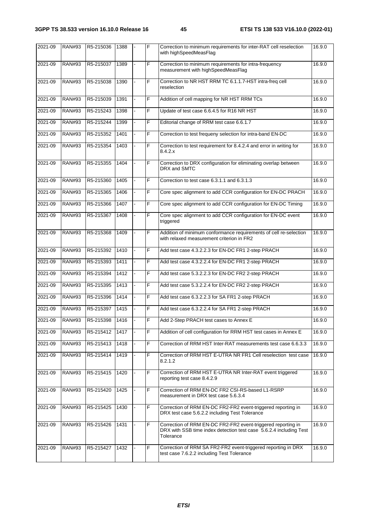| 2021-09 | <b>RAN#93</b> | R5-215036             | 1388 |    | F              | Correction to minimum requirements for inter-RAT cell reselection<br>with highSpeedMeasFlag                                                     | 16.9.0 |
|---------|---------------|-----------------------|------|----|----------------|-------------------------------------------------------------------------------------------------------------------------------------------------|--------|
| 2021-09 | <b>RAN#93</b> | R5-215037             | 1389 |    | F              | Correction to minimum requirements for intra-frequency<br>measurement with highSpeedMeasFlag                                                    | 16.9.0 |
| 2021-09 | <b>RAN#93</b> | R5-215038             | 1390 |    | F              | Correction to NR HST RRM TC 6.1.1.7-HST intra-freq cell<br>reselection                                                                          | 16.9.0 |
| 2021-09 | <b>RAN#93</b> | R5-215039             | 1391 |    | F              | Addition of cell mapping for NR HST RRM TCs                                                                                                     | 16.9.0 |
| 2021-09 | <b>RAN#93</b> | R5-215243             | 1398 |    | F              | Update of test case 6.6.4.5 for R16 NR HST                                                                                                      | 16.9.0 |
| 2021-09 | <b>RAN#93</b> | R5-215244             | 1399 |    | F              | Editorial change of RRM test case 6.6.1.7                                                                                                       | 16.9.0 |
| 2021-09 | <b>RAN#93</b> | R5-215352             | 1401 |    | F              | Correction to test frequeny selection for intra-band EN-DC                                                                                      | 16.9.0 |
| 2021-09 | <b>RAN#93</b> | R5-215354             | 1403 |    | F              | Correction to test requirement for 8.4.2.4 and error in writing for<br>8.4.2.x                                                                  | 16.9.0 |
| 2021-09 | <b>RAN#93</b> | R5-215355             | 1404 |    | F              | Correction to DRX configuration for eliminating overlap between<br>DRX and SMTC                                                                 | 16.9.0 |
| 2021-09 | <b>RAN#93</b> | R5-215360             | 1405 |    | F              | Correction to test case 6.3.1.1 and 6.3.1.3                                                                                                     | 16.9.0 |
| 2021-09 | <b>RAN#93</b> | R5-215365             | 1406 |    | F              | Core spec alignment to add CCR configuration for EN-DC PRACH                                                                                    | 16.9.0 |
| 2021-09 | <b>RAN#93</b> | R5-215366             | 1407 |    | F              | Core spec alignment to add CCR configuration for EN-DC Timing                                                                                   | 16.9.0 |
| 2021-09 | <b>RAN#93</b> | R5-215367             | 1408 |    | F              | Core spec alignment to add CCR configuration for EN-DC event<br>triggered                                                                       | 16.9.0 |
| 2021-09 | <b>RAN#93</b> | R5-215368             | 1409 |    | F              | Addition of minimum conformance requirements of cell re-selection<br>with relaxed measurement criterion in FR2                                  | 16.9.0 |
| 2021-09 | <b>RAN#93</b> | R5-215392             | 1410 |    | F              | Add test case 4.3.2.2.3 for EN-DC FR1 2-step PRACH                                                                                              | 16.9.0 |
| 2021-09 | <b>RAN#93</b> | R5-215393             | 1411 |    | F              | Add test case 4.3.2.2.4 for EN-DC FR1 2-step PRACH                                                                                              | 16.9.0 |
| 2021-09 | <b>RAN#93</b> | R5-215394             | 1412 |    | F              | Add test case 5.3.2.2.3 for EN-DC FR2 2-step PRACH                                                                                              | 16.9.0 |
| 2021-09 | <b>RAN#93</b> | R5-215395             | 1413 | ÷. | F              | Add test case 5.3.2.2.4 for EN-DC FR2 2-step PRACH                                                                                              | 16.9.0 |
| 2021-09 | <b>RAN#93</b> | R5-215396             | 1414 |    | F              | Add test case 6.3.2.2.3 for SA FR1 2-step PRACH                                                                                                 | 16.9.0 |
| 2021-09 | <b>RAN#93</b> | R5-215397             | 1415 |    | F              | Add test case 6.3.2.2.4 for SA FR1 2-step PRACH                                                                                                 | 16.9.0 |
| 2021-09 |               | RAN#93 R5-215398 1416 |      |    | $\overline{F}$ | Add 2-Step PRACH test cases to Annex E                                                                                                          | 16.9.0 |
| 2021-09 | <b>RAN#93</b> | R5-215412             | 1417 |    | F              | Addition of cell configuration for RRM HST test cases in Annex E                                                                                | 16.9.0 |
| 2021-09 | <b>RAN#93</b> | R5-215413             | 1418 |    | F              | Correction of RRM HST Inter-RAT measurements test case 6.6.3.3                                                                                  | 16.9.0 |
| 2021-09 | <b>RAN#93</b> | R5-215414             | 1419 |    | F              | Correction of RRM HST E-UTRA NR FR1 Cell reselection test case<br>8.2.1.2                                                                       | 16.9.0 |
| 2021-09 | <b>RAN#93</b> | R5-215415             | 1420 |    | F              | Correction of RRM HST E-UTRA NR Inter-RAT event triggered<br>reporting test case 8.4.2.9                                                        | 16.9.0 |
| 2021-09 | <b>RAN#93</b> | R5-215420             | 1425 |    | F              | Correction of RRM EN-DC FR2 CSI-RS-based L1-RSRP<br>measurement in DRX test case 5.6.3.4                                                        | 16.9.0 |
| 2021-09 | <b>RAN#93</b> | R5-215425             | 1430 |    | F              | Correction of RRM EN-DC FR2-FR2 event-triggered reporting in<br>DRX test case 5.6.2.2 including Test Tolerance                                  | 16.9.0 |
| 2021-09 | <b>RAN#93</b> | R5-215426             | 1431 |    | F              | Correction of RRM EN-DC FR2-FR2 event-triggered reporting in<br>DRX with SSB time index detection test case 5.6.2.4 including Test<br>Tolerance | 16.9.0 |
| 2021-09 | <b>RAN#93</b> | R5-215427             | 1432 |    | F              | Correction of RRM SA FR2-FR2 event-triggered reporting in DRX<br>test case 7.6.2.2 including Test Tolerance                                     | 16.9.0 |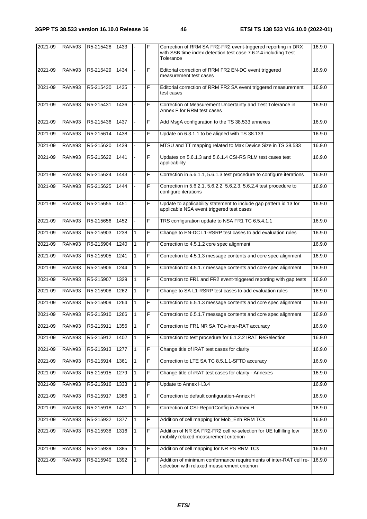| 2021-09 | <b>RAN#93</b> | R5-215428 | 1433 |              | F | Correction of RRM SA FR2-FR2 event-triggered reporting in DRX<br>with SSB time index detection test case 7.6.2.4 including Test<br>Tolerance | 16.9.0 |
|---------|---------------|-----------|------|--------------|---|----------------------------------------------------------------------------------------------------------------------------------------------|--------|
| 2021-09 | <b>RAN#93</b> | R5-215429 | 1434 |              | F | Editorial correction of RRM FR2 EN-DC event triggered<br>measurement test cases                                                              | 16.9.0 |
| 2021-09 | <b>RAN#93</b> | R5-215430 | 1435 |              | F | Editorial correction of RRM FR2 SA event triggered measurement<br>test cases                                                                 | 16.9.0 |
| 2021-09 | <b>RAN#93</b> | R5-215431 | 1436 |              | F | Correction of Measurement Uncertainty and Test Tolerance in<br>Annex F for RRM test cases                                                    | 16.9.0 |
| 2021-09 | <b>RAN#93</b> | R5-215436 | 1437 |              | F | Add MsgA configuration to the TS 38.533 annexes                                                                                              | 16.9.0 |
| 2021-09 | <b>RAN#93</b> | R5-215614 | 1438 |              | F | Update on 6.3.1.1 to be aligned with TS 38.133                                                                                               | 16.9.0 |
| 2021-09 | <b>RAN#93</b> | R5-215620 | 1439 |              | F | MTSU and TT mapping related to Max Device Size in TS 38.533                                                                                  | 16.9.0 |
| 2021-09 | <b>RAN#93</b> | R5-215622 | 1441 |              | F | Updates on 5.6.1.3 and 5.6.1.4 CSI-RS RLM test cases test<br>applicability                                                                   | 16.9.0 |
| 2021-09 | <b>RAN#93</b> | R5-215624 | 1443 |              | F | Correction in 5.6.1.1, 5.6.1.3 test procedure to configure iterations                                                                        | 16.9.0 |
| 2021-09 | <b>RAN#93</b> | R5-215625 | 1444 |              | F | Correction in 5.6.2.1, 5.6.2.2, 5.6.2.3, 5.6.2.4 test procedure to<br>configure iterations                                                   | 16.9.0 |
| 2021-09 | <b>RAN#93</b> | R5-215655 | 1451 |              | F | Update to applicability statement to include gap pattern id 13 for<br>applicable NSA event triggered test cases                              | 16.9.0 |
| 2021-09 | <b>RAN#93</b> | R5-215656 | 1452 |              | F | TRS configuration update to NSA FR1 TC 6.5.4.1.1                                                                                             | 16.9.0 |
| 2021-09 | <b>RAN#93</b> | R5-215903 | 1238 | $\mathbf{1}$ | F | Change to EN-DC L1-RSRP test cases to add evaluation rules                                                                                   | 16.9.0 |
| 2021-09 | <b>RAN#93</b> | R5-215904 | 1240 | 1            | F | Correction to 4.5.1.2 core spec alignment                                                                                                    | 16.9.0 |
| 2021-09 | <b>RAN#93</b> | R5-215905 | 1241 | $\mathbf{1}$ | F | Correction to 4.5.1.3 message contents and core spec alignment                                                                               | 16.9.0 |
| 2021-09 | <b>RAN#93</b> | R5-215906 | 1244 | $\mathbf{1}$ | F | Correction to 4.5.1.7 message contents and core spec alignment                                                                               | 16.9.0 |
| 2021-09 | <b>RAN#93</b> | R5-215907 | 1329 | $\mathbf{1}$ | F | Correction to FR1 and FR2 event-triggered reporting with gap tests                                                                           | 16.9.0 |
| 2021-09 | <b>RAN#93</b> | R5-215908 | 1262 | 1            | F | Change to SA L1-RSRP test cases to add evaluation rules                                                                                      | 16.9.0 |
| 2021-09 | <b>RAN#93</b> | R5-215909 | 1264 | 1            | F | Correction to 6.5.1.3 message contents and core spec alignment                                                                               | 16.9.0 |
| 2021-09 | <b>RAN#93</b> | R5-215910 | 1266 | 1            | F | Correction to 6.5.1.7 message contents and core spec alignment                                                                               | 16.9.0 |
| 2021-09 | <b>RAN#93</b> | R5-215911 | 1356 | $\mathbf{1}$ | F | Correction to FR1 NR SA TCs-inter-RAT accuracy                                                                                               | 16.9.0 |
| 2021-09 | <b>RAN#93</b> | R5-215912 | 1402 | $\mathbf{1}$ | F | Correction to test procedure for 6.1.2.2 IRAT ReSelection                                                                                    | 16.9.0 |
| 2021-09 | <b>RAN#93</b> | R5-215913 | 1277 | $\mathbf{1}$ | F | Change title of iRAT test cases for clarity                                                                                                  | 16.9.0 |
| 2021-09 | <b>RAN#93</b> | R5-215914 | 1361 | 1            | F | Correction to LTE SA TC 8.5.1.1-SFTD accuracy                                                                                                | 16.9.0 |
| 2021-09 | <b>RAN#93</b> | R5-215915 | 1279 | 1            | F | Change title of iRAT test cases for clarity - Annexes                                                                                        | 16.9.0 |
| 2021-09 | <b>RAN#93</b> | R5-215916 | 1333 | 1            | F | Update to Annex H.3.4                                                                                                                        | 16.9.0 |
| 2021-09 | <b>RAN#93</b> | R5-215917 | 1366 | 1            | F | Correction to default configuration-Annex H                                                                                                  | 16.9.0 |
| 2021-09 | <b>RAN#93</b> | R5-215918 | 1421 | $\mathbf{1}$ | F | Correction of CSI-ReportConfig in Annex H                                                                                                    | 16.9.0 |
| 2021-09 | <b>RAN#93</b> | R5-215932 | 1377 | 1            | F | Addition of cell mapping for Mob_Enh RRM TCs                                                                                                 | 16.9.0 |
| 2021-09 | <b>RAN#93</b> | R5-215938 | 1316 |              | F | Addition of NR SA FR2-FR2 cell re-selection for UE fulfilling low<br>mobility relaxed measurement criterion                                  | 16.9.0 |
| 2021-09 | <b>RAN#93</b> | R5-215939 | 1385 | $\mathbf{1}$ | F | Addition of cell mapping for NR PS RRM TCs                                                                                                   | 16.9.0 |
| 2021-09 | <b>RAN#93</b> | R5-215940 | 1392 | 1            | F | Addition of minimum conformance requirements of inter-RAT cell re-<br>selection with relaxed measurement criterion                           | 16.9.0 |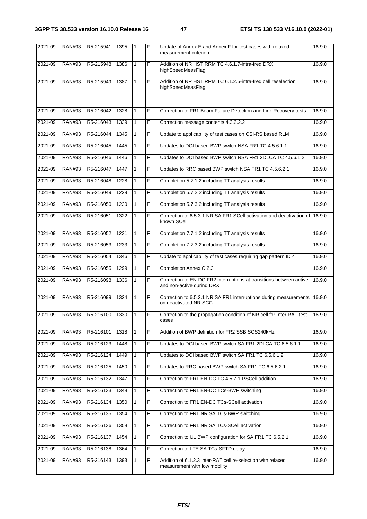| 2021-09 | <b>RAN#93</b> | R5-215941 | 1395 | 1            | F              | Update of Annex E and Annex F for test cases with relaxed<br>measurement criterion               | 16.9.0 |
|---------|---------------|-----------|------|--------------|----------------|--------------------------------------------------------------------------------------------------|--------|
| 2021-09 | <b>RAN#93</b> | R5-215948 | 1386 | 1            | $\overline{F}$ | Addition of NR HST RRM TC 4.6.1.7-intra-freq DRX<br>highSpeedMeasFlag                            | 16.9.0 |
| 2021-09 | <b>RAN#93</b> | R5-215949 | 1387 | $\mathbf{1}$ | F              | Addition of NR HST RRM TC 6.1.2.5-intra-freq cell reselection<br>highSpeedMeasFlag               | 16.9.0 |
|         |               |           |      |              |                |                                                                                                  |        |
| 2021-09 | <b>RAN#93</b> | R5-216042 | 1328 | 1            | F              | Correction to FR1 Beam Failure Detection and Link Recovery tests                                 | 16.9.0 |
| 2021-09 | <b>RAN#93</b> | R5-216043 | 1339 | 1            | F              | Correction message contents 4.3.2.2.2                                                            | 16.9.0 |
| 2021-09 | <b>RAN#93</b> | R5-216044 | 1345 | $\mathbf{1}$ | F              | Update to applicability of test cases on CSI-RS based RLM                                        | 16.9.0 |
| 2021-09 | <b>RAN#93</b> | R5-216045 | 1445 | 1            | F              | Updates to DCI based BWP switch NSA FR1 TC 4.5.6.1.1                                             | 16.9.0 |
| 2021-09 | <b>RAN#93</b> | R5-216046 | 1446 | 1            | F              | Updates to DCI based BWP switch NSA FR1 2DLCA TC 4.5.6.1.2                                       | 16.9.0 |
| 2021-09 | <b>RAN#93</b> | R5-216047 | 1447 | $\mathbf{1}$ | F.             | Updates to RRC based BWP switch NSA FR1 TC 4.5.6.2.1                                             | 16.9.0 |
| 2021-09 | <b>RAN#93</b> | R5-216048 | 1228 | $\mathbf{1}$ | F              | Completion 5.7.1.2 including TT analysis results                                                 | 16.9.0 |
| 2021-09 | <b>RAN#93</b> | R5-216049 | 1229 | $\mathbf{1}$ | F              | Completion 5.7.2.2 including TT analysis results                                                 | 16.9.0 |
| 2021-09 | <b>RAN#93</b> | R5-216050 | 1230 | $\mathbf{1}$ | F.             | Completion 5.7.3.2 including TT analysis results                                                 | 16.9.0 |
| 2021-09 | <b>RAN#93</b> | R5-216051 | 1322 | $\mathbf{1}$ | F              | Correction to 6.5.3.1 NR SA FR1 SCell activation and deactivation of<br>known SCell              | 16.9.0 |
| 2021-09 | <b>RAN#93</b> | R5-216052 | 1231 | $\mathbf{1}$ | F              | Completion 7.7.1.2 including TT analysis results                                                 | 16.9.0 |
| 2021-09 | <b>RAN#93</b> | R5-216053 | 1233 | $\mathbf{1}$ | F.             | Completion 7.7.3.2 including TT analysis results                                                 | 16.9.0 |
| 2021-09 | <b>RAN#93</b> | R5-216054 | 1346 | $\mathbf{1}$ | F              | Update to applicability of test cases requiring gap pattern ID 4                                 | 16.9.0 |
| 2021-09 | <b>RAN#93</b> | R5-216055 | 1299 | 1            | F              | Completion Annex C.2.3                                                                           | 16.9.0 |
| 2021-09 | <b>RAN#93</b> | R5-216098 | 1336 | 1            | F              | Correction to EN-DC FR2 interruptions at transitions between active<br>and non-active during DRX | 16.9.0 |
| 2021-09 | <b>RAN#93</b> | R5-216099 | 1324 | $\mathbf{1}$ | F              | Correction to 6.5.2.1 NR SA FR1 interruptions during measurements<br>on deactivated NR SCC       | 16.9.0 |
| 2021-09 | <b>RAN#93</b> | R5-216100 | 1330 | 1            | F              | Correction to the propagation condition of NR cell for Inter RAT test<br>cases                   | 16.9.0 |
| 2021-09 | <b>RAN#93</b> | R5-216101 | 1318 | 1            | F              | Addition of BWP definition for FR2 SSB SCS240kHz                                                 | 16.9.0 |
| 2021-09 | <b>RAN#93</b> | R5-216123 | 1448 | $\mathbf{1}$ | F              | Updates to DCI based BWP switch SA FR1 2DLCA TC 6.5.6.1.1                                        | 16.9.0 |
| 2021-09 | <b>RAN#93</b> | R5-216124 | 1449 | 1            | F              | Updates to DCI based BWP switch SA FR1 TC 6.5.6.1.2                                              | 16.9.0 |
| 2021-09 | <b>RAN#93</b> | R5-216125 | 1450 | $\mathbf{1}$ | F              | Updates to RRC based BWP switch SA FR1 TC 6.5.6.2.1                                              | 16.9.0 |
| 2021-09 | <b>RAN#93</b> | R5-216132 | 1347 | $\mathbf{1}$ | F              | Correction to FR1 EN-DC TC 4.5.7.1-PSCell addition                                               | 16.9.0 |
| 2021-09 | <b>RAN#93</b> | R5-216133 | 1348 | 1            | F              | Correction to FR1 EN-DC TCs-BWP switching                                                        | 16.9.0 |
| 2021-09 | <b>RAN#93</b> | R5-216134 | 1350 | $\mathbf{1}$ | F              | Correction to FR1 EN-DC TCs-SCell activation                                                     | 16.9.0 |
| 2021-09 | <b>RAN#93</b> | R5-216135 | 1354 | 1            | F              | Correction to FR1 NR SA TCs-BWP switching                                                        | 16.9.0 |
| 2021-09 | <b>RAN#93</b> | R5-216136 | 1358 | 1            | F              | Correction to FR1 NR SA TCs-SCell activation                                                     | 16.9.0 |
| 2021-09 | <b>RAN#93</b> | R5-216137 | 1454 | $\mathbf{1}$ | F              | Correction to UL BWP configuration for SA FR1 TC 6.5.2.1                                         | 16.9.0 |
| 2021-09 | <b>RAN#93</b> | R5-216138 | 1364 | $\mathbf{1}$ | F              | Correction to LTE SA TCs-SFTD delay                                                              | 16.9.0 |
| 2021-09 | <b>RAN#93</b> | R5-216143 | 1393 | 1            | F              | Addition of 6.1.2.3 inter-RAT cell re-selection with relaxed<br>measurement with low mobility    | 16.9.0 |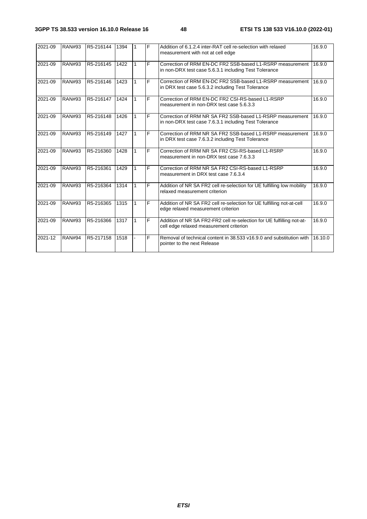| 2021-09 | <b>RAN#93</b> | R5-216144 | 1394 |   | F | Addition of 6.1.2.4 inter-RAT cell re-selection with relaxed<br>measurement with not at cell edge                  | 16.9.0  |
|---------|---------------|-----------|------|---|---|--------------------------------------------------------------------------------------------------------------------|---------|
| 2021-09 | <b>RAN#93</b> | R5-216145 | 1422 |   | F | Correction of RRM EN-DC FR2 SSB-based L1-RSRP measurement<br>in non-DRX test case 5.6.3.1 including Test Tolerance | 16.9.0  |
| 2021-09 | <b>RAN#93</b> | R5-216146 | 1423 |   | E | Correction of RRM EN-DC FR2 SSB-based L1-RSRP measurement<br>in DRX test case 5.6.3.2 including Test Tolerance     | 16.9.0  |
| 2021-09 | <b>RAN#93</b> | R5-216147 | 1424 |   | E | Correction of RRM EN-DC FR2 CSI-RS-based L1-RSRP<br>measurement in non-DRX test case 5.6.3.3                       | 16.9.0  |
| 2021-09 | <b>RAN#93</b> | R5-216148 | 1426 |   | F | Correction of RRM NR SA FR2 SSB-based L1-RSRP measurement<br>in non-DRX test case 7.6.3.1 including Test Tolerance | 16.9.0  |
| 2021-09 | <b>RAN#93</b> | R5-216149 | 1427 | 1 | F | Correction of RRM NR SA FR2 SSB-based L1-RSRP measurement<br>in DRX test case 7.6.3.2 including Test Tolerance     | 16.9.0  |
| 2021-09 | <b>RAN#93</b> | R5-216360 | 1428 | 1 | F | Correction of RRM NR SA FR2 CSI-RS-based L1-RSRP<br>measurement in non-DRX test case 7.6.3.3                       | 16.9.0  |
| 2021-09 | <b>RAN#93</b> | R5-216361 | 1429 |   | F | Correction of RRM NR SA FR2 CSI-RS-based L1-RSRP<br>measurement in DRX test case 7.6.3.4                           | 16.9.0  |
| 2021-09 | <b>RAN#93</b> | R5-216364 | 1314 |   | F | Addition of NR SA FR2 cell re-selection for UE fulfilling low mobility<br>relaxed measurement criterion            | 16.9.0  |
| 2021-09 | <b>RAN#93</b> | R5-216365 | 1315 |   | F | Addition of NR SA FR2 cell re-selection for UE fulfilling not-at-cell<br>edge relaxed measurement criterion        | 16.9.0  |
| 2021-09 | <b>RAN#93</b> | R5-216366 | 1317 | 1 | F | Addition of NR SA FR2-FR2 cell re-selection for UE fulfilling not-at-<br>cell edge relaxed measurement criterion   | 16.9.0  |
| 2021-12 | <b>RAN#94</b> | R5-217158 | 1518 |   | F | Removal of technical content in 38.533 v16.9.0 and substitution with<br>pointer to the next Release                | 16.10.0 |